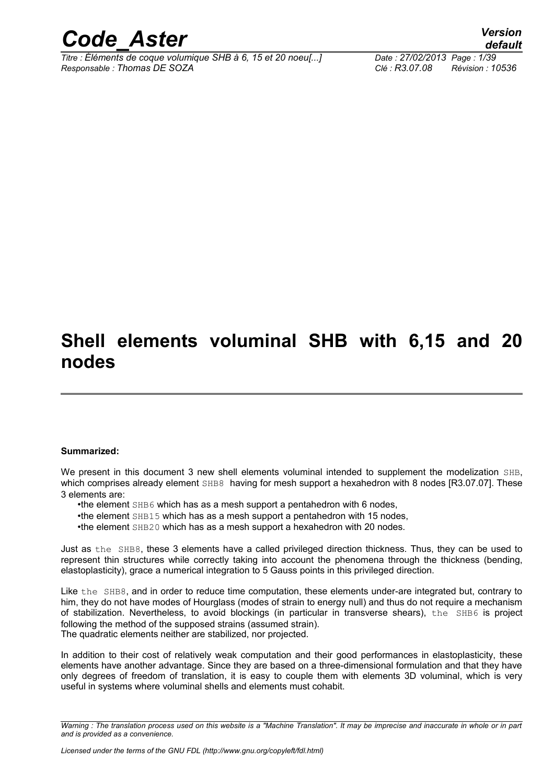

*Titre : Éléments de coque volumique SHB à 6, 15 et 20 noeu[...] Date : 27/02/2013 Page : 1/39 Responsable : Thomas DE SOZA Clé : R3.07.08 Révision : 10536*

*default*

### **Shell elements voluminal SHB with 6,15 and 20 nodes**

#### **Summarized:**

We present in this document 3 new shell elements voluminal intended to supplement the modelization SHB, which comprises already element SHB8 having for mesh support a hexahedron with 8 nodes [R3.07.07]. These 3 elements are:

- •the element SHB6 which has as a mesh support a pentahedron with 6 nodes,
- •the element SHB15 which has as a mesh support a pentahedron with 15 nodes,
- •the element SHB20 which has as a mesh support a hexahedron with 20 nodes.

Just as the SHB8, these 3 elements have a called privileged direction thickness. Thus, they can be used to represent thin structures while correctly taking into account the phenomena through the thickness (bending, elastoplasticity), grace a numerical integration to 5 Gauss points in this privileged direction.

Like the SHB8, and in order to reduce time computation, these elements under-are integrated but, contrary to him, they do not have modes of Hourglass (modes of strain to energy null) and thus do not require a mechanism of stabilization. Nevertheless, to avoid blockings (in particular in transverse shears), the SHB6 is project following the method of the supposed strains (assumed strain). The quadratic elements neither are stabilized, nor projected.

In addition to their cost of relatively weak computation and their good performances in elastoplasticity, these elements have another advantage. Since they are based on a three-dimensional formulation and that they have only degrees of freedom of translation, it is easy to couple them with elements 3D voluminal, which is very useful in systems where voluminal shells and elements must cohabit.

*Warning : The translation process used on this website is a "Machine Translation". It may be imprecise and inaccurate in whole or in part and is provided as a convenience.*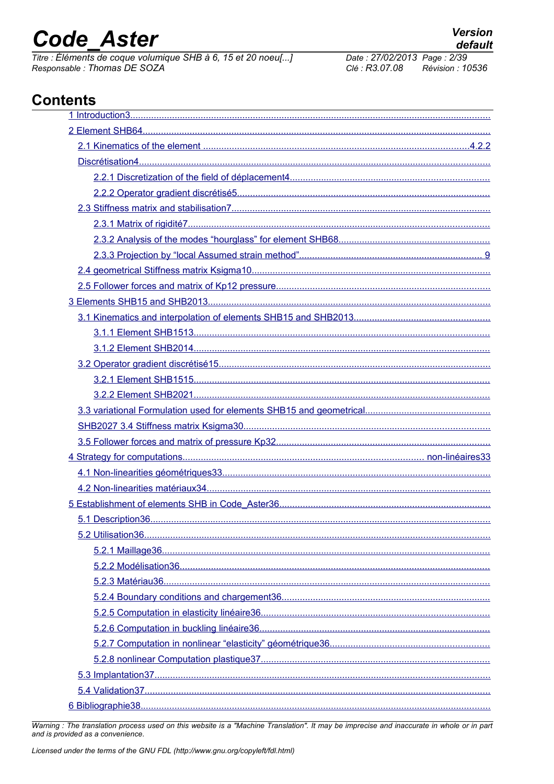# **Code Aster**

Titre : Éléments de coque volumique SHB à 6, 15 et 20 noeu[...] Responsable : Thomas DE SOZA

Date: 27/02/2013 Page: 2/39 Clé : R3.07.08 Révision : 10536

### **Contents**

Warning : The translation process used on this website is a "Machine Translation". It may be imprecise and inaccurate in whole or in part and is provided as a convenience.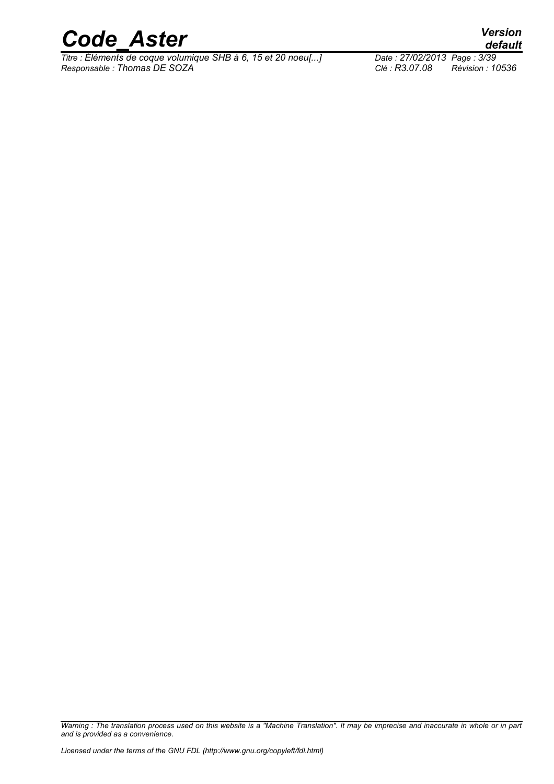

*Titre : Éléments de coque volumique SHB à 6, 15 et 20 noeu[...] Date : 27/02/2013 Page : 3/39 Responsable : Thomas DE SOZA Clé : R3.07.08 Révision : 10536*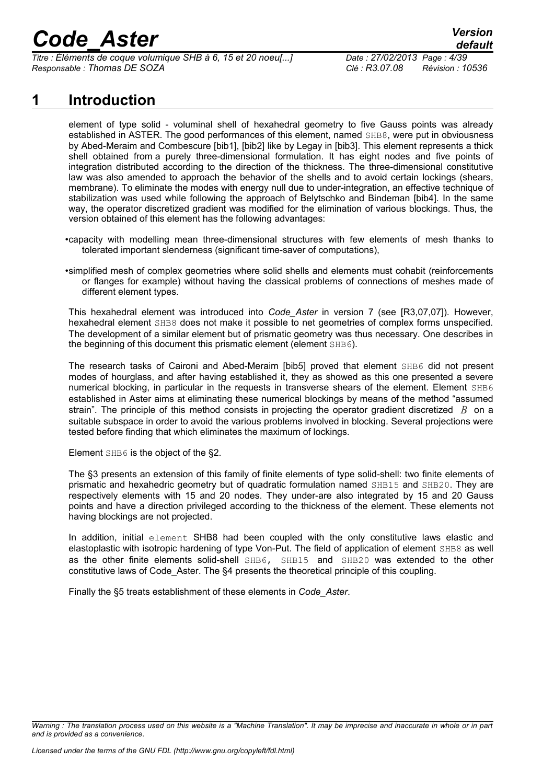*Titre : Éléments de coque volumique SHB à 6, 15 et 20 noeu[...] Date : 27/02/2013 Page : 4/39 Responsable : Thomas DE SOZA Clé : R3.07.08 Révision : 10536*

### **1 Introduction**

<span id="page-3-0"></span>element of type solid - voluminal shell of hexahedral geometry to five Gauss points was already established in ASTER. The good performances of this element, named SHB8, were put in obviousness by Abed-Meraim and Combescure [bib1], [bib2] like by Legay in [bib3]. This element represents a thick shell obtained from a purely three-dimensional formulation. It has eight nodes and five points of integration distributed according to the direction of the thickness. The three-dimensional constitutive law was also amended to approach the behavior of the shells and to avoid certain lockings (shears, membrane). To eliminate the modes with energy null due to under-integration, an effective technique of stabilization was used while following the approach of Belytschko and Bindeman [bib4]. In the same way, the operator discretized gradient was modified for the elimination of various blockings. Thus, the version obtained of this element has the following advantages:

- •capacity with modelling mean three-dimensional structures with few elements of mesh thanks to tolerated important slenderness (significant time-saver of computations),
- •simplified mesh of complex geometries where solid shells and elements must cohabit (reinforcements or flanges for example) without having the classical problems of connections of meshes made of different element types.

This hexahedral element was introduced into *Code\_Aster* in version 7 (see [R3,07,07]). However, hexahedral element SHB8 does not make it possible to net geometries of complex forms unspecified. The development of a similar element but of prismatic geometry was thus necessary. One describes in the beginning of this document this prismatic element (element SHB6).

The research tasks of Caironi and Abed-Meraim [bib5] proved that element SHB6 did not present modes of hourglass, and after having established it, they as showed as this one presented a severe numerical blocking, in particular in the requests in transverse shears of the element. Element SHB6 established in Aster aims at eliminating these numerical blockings by means of the method "assumed strain". The principle of this method consists in projecting the operator gradient discretized *B* on a suitable subspace in order to avoid the various problems involved in blocking. Several projections were tested before finding that which eliminates the maximum of lockings.

Element SHB6 is the object of the §2.

The §3 presents an extension of this family of finite elements of type solid-shell: two finite elements of prismatic and hexahedric geometry but of quadratic formulation named SHB15 and SHB20. They are respectively elements with 15 and 20 nodes. They under-are also integrated by 15 and 20 Gauss points and have a direction privileged according to the thickness of the element. These elements not having blockings are not projected.

In addition, initial element SHB8 had been coupled with the only constitutive laws elastic and elastoplastic with isotropic hardening of type Von-Put. The field of application of element SHB8 as well as the other finite elements solid-shell SHB6, SHB15 and SHB20 was extended to the other constitutive laws of Code\_Aster. The §4 presents the theoretical principle of this coupling.

Finally the §5 treats establishment of these elements in *Code\_Aster*.

*Warning : The translation process used on this website is a "Machine Translation". It may be imprecise and inaccurate in whole or in part and is provided as a convenience.*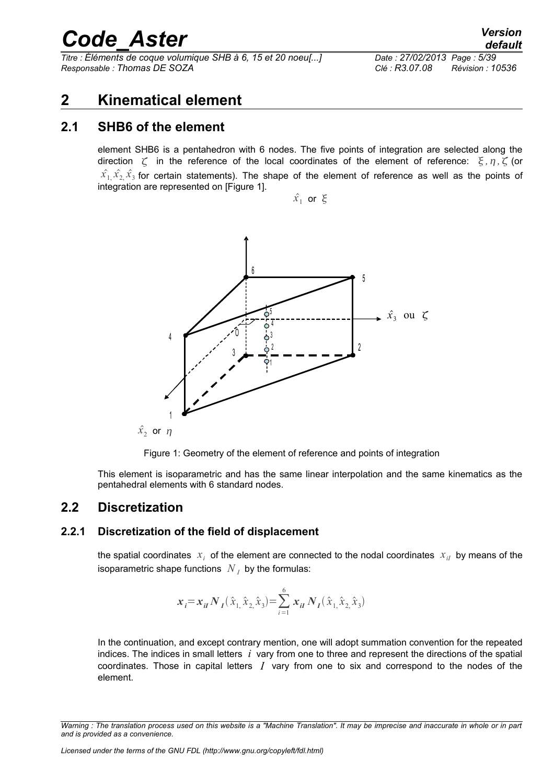*Titre : Éléments de coque volumique SHB à 6, 15 et 20 noeu[...] Date : 27/02/2013 Page : 5/39 Responsable : Thomas DE SOZA Clé : R3.07.08 Révision : 10536*

### <span id="page-4-3"></span>**2 Kinematical element**

#### **2.1 SHB6 of the element**

<span id="page-4-2"></span>element SHB6 is a pentahedron with 6 nodes. The five points of integration are selected along the direction  $\zeta$  in the reference of the local coordinates of the element of reference:  $\xi$ ,  $\eta$ ,  $\zeta$  (or  $\hat{x_1}$ ,  $\hat{x_2}$ ,  $\hat{x_3}$  for certain statements). The shape of the element of reference as well as the points of integration are represented on [Figure 1].





Figure 1: Geometry of the element of reference and points of integration

<span id="page-4-1"></span>This element is isoparametric and has the same linear interpolation and the same kinematics as the pentahedral elements with 6 standard nodes.

#### **2.2 Discretization**

#### **2.2.1 Discretization of the field of displacement**

<span id="page-4-0"></span>the spatial coordinates  $x_i$  of the element are connected to the nodal coordinates  $x_{iI}$  by means of the isoparametric shape functions  $\left| N \right|_I$  by the formulas:

$$
\boldsymbol{x}_i = \boldsymbol{x}_{iI} \, \boldsymbol{N}_I(\hat{x}_{1, \hat{x}_2, \hat{x}_3}) = \sum_{i=1}^6 \boldsymbol{x}_{iI} \, \boldsymbol{N}_I(\hat{x}_{1, \hat{x}_2, \hat{x}_3})
$$

In the continuation, and except contrary mention, one will adopt summation convention for the repeated indices. The indices in small letters *i* vary from one to three and represent the directions of the spatial coordinates. Those in capital letters *I* vary from one to six and correspond to the nodes of the element.

*Warning : The translation process used on this website is a "Machine Translation". It may be imprecise and inaccurate in whole or in part and is provided as a convenience.*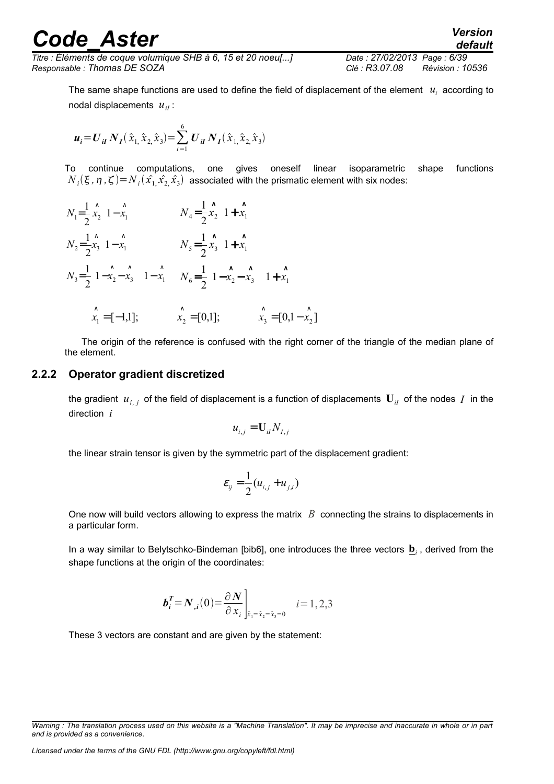*Titre : Éléments de coque volumique SHB à 6, 15 et 20 noeu[...] Date : 27/02/2013 Page : 6/39 Responsable : Thomas DE SOZA Clé : R3.07.08 Révision : 10536*

The same shape functions are used to define the field of displacement of the element  $|u_i|$  according to nodal displacements  $u_{ii}$ :

$$
\boldsymbol{u}_i = \boldsymbol{U}_{iI} \, \boldsymbol{N}_I (\hat{\boldsymbol{x}}_{1, \hat{\boldsymbol{x}}_{2, \hat{\boldsymbol{x}}_{3}}}) = \sum_{i=1}^{6} \boldsymbol{U}_{iI} \, \boldsymbol{N}_I (\hat{\boldsymbol{x}}_{1, \hat{\boldsymbol{x}}_{2, \hat{\boldsymbol{x}}_{3}}})
$$

To continue computations, one gives oneself linear isoparametric shape functions  ${N}_i(\xi,\eta\,,\zeta) \!=\! {N}_i(\hat{x_1}\!,\hat{x_2}\!,\hat{x_3})$  associated with the prismatic element with six nodes:

$$
N_{1} = \frac{1}{2} \hat{x}_{2} \left( 1 - \hat{x}_{1} \right)
$$
\n
$$
N_{2} = \frac{1}{2} \hat{x}_{3} \left( 1 - \hat{x}_{1} \right)
$$
\n
$$
N_{3} = \frac{1}{2} \hat{x}_{3} \left( 1 - \hat{x}_{1} \right)
$$
\n
$$
N_{4} = \frac{1}{2} \hat{x}_{2} \left( 1 + \hat{x}_{1} \right)
$$
\n
$$
N_{5} = \frac{1}{2} \hat{x}_{3} \left( 1 + \hat{x}_{1} \right)
$$
\n
$$
N_{6} = \frac{1}{2} \left( 1 - \hat{x}_{2} - \hat{x}_{3} \right) \left( 1 + \hat{x}_{1} \right)
$$
\n
$$
\hat{x}_{1} = [-1,1]; \qquad \hat{x}_{2} = [0,1]; \qquad \hat{x}_{3} = [0,1 - \hat{x}_{2}]
$$

The origin of the reference is confused with the right corner of the triangle of the median plane of the element.

#### **2.2.2 Operator gradient discretized**

<span id="page-5-0"></span>the gradient  $u_{i, j}$  of the field of displacement is a function of displacements  $\mathbf{U}_{il}$  of the nodes  $I$  in the direction *i*

$$
u_{i,j} = \mathbf{U}_{i} N_{I,j}
$$

the linear strain tensor is given by the symmetric part of the displacement gradient:

$$
\varepsilon_{ij} = \frac{1}{2} (u_{i,j} + u_{j,i})
$$

One now will build vectors allowing to express the matrix *B* connecting the strains to displacements in a particular form.

In a way similar to Belytschko-Bindeman [bib6], one introduces the three vectors **b***<sup>i</sup>* , derived from the shape functions at the origin of the coordinates:

$$
\boldsymbol{b}_{i}^{T} = \boldsymbol{N}_{,i}(0) = \frac{\partial \boldsymbol{N}}{\partial x_{i}}\bigg|_{\hat{x}_{1} = \hat{x}_{2} = \hat{x}_{3} = 0} \quad i = 1, 2, 3
$$

These 3 vectors are constant and are given by the statement:

*Warning : The translation process used on this website is a "Machine Translation". It may be imprecise and inaccurate in whole or in part and is provided as a convenience.*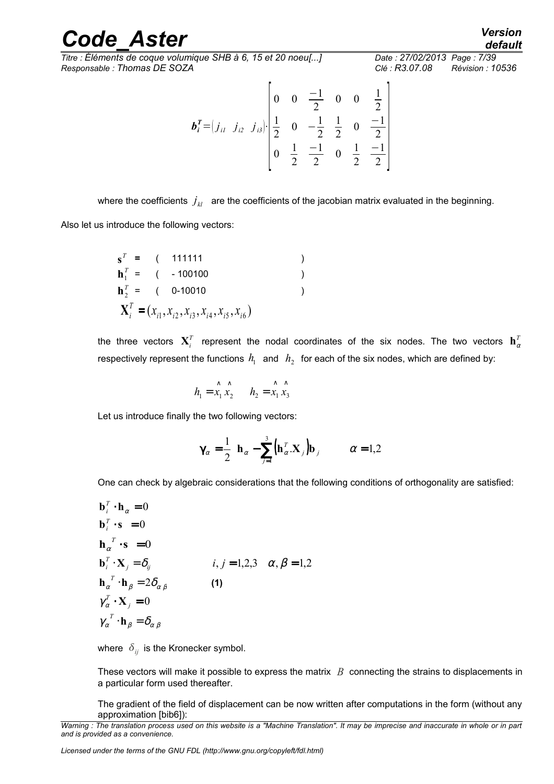*Titre : Éléments de coque volumique SHB à 6, 15 et 20 noeu[...] Date : 27/02/2013 Page : 7/39 Responsable : Thomas DE SOZA Clé : R3.07.08 Révision : 10536*

$$
\boldsymbol{b}_i^T = (j_{i1} \ \ j_{i2} \ \ j_{i3}) \cdot \begin{bmatrix} 0 & 0 & \frac{-1}{2} & 0 & 0 & \frac{1}{2} \\ \frac{1}{2} & 0 & -\frac{1}{2} & \frac{1}{2} & 0 & \frac{-1}{2} \\ 0 & \frac{1}{2} & \frac{-1}{2} & 0 & \frac{1}{2} & \frac{-1}{2} \end{bmatrix}
$$

where the coefficients  $j_{kl}$  are the coefficients of the jacobian matrix evaluated in the beginning.

Also let us introduce the following vectors:

$$
\mathbf{s}^{T} = (111111 \qquad )
$$
\n
$$
\mathbf{h}_{1}^{T} = (111111 \qquad )
$$
\n
$$
\mathbf{h}_{2}^{T} = (0.10010 \qquad )
$$
\n
$$
\mathbf{X}_{i}^{T} = (x_{i1}, x_{i2}, x_{i3}, x_{i4}, x_{i5}, x_{i6})
$$

the three vectors  $\mathbf{X}_i^T$  represent the nodal coordinates of the six nodes. The two vectors  $\mathbf{h}_{\alpha}^T$ respectively represent the functions  $\,h_{\!_1}\,$  and  $\,$   $h_{\!_2}\,$  for each of the six nodes, which are defined by:

$$
h_1 = \hat{x}_1 \hat{x}_2 \qquad h_2 = \hat{x}_1 \hat{x}_3
$$

Let us introduce finally the two following vectors:

$$
\gamma_{\alpha} = \frac{1}{2} \left[ \mathbf{h}_{\alpha} - \sum_{j=1}^{3} \left( \mathbf{h}_{\alpha}^{T} \mathbf{X}_{j} \right) \mathbf{b}_{j} \right] \qquad \alpha = 1, 2
$$

One can check by algebraic considerations that the following conditions of orthogonality are satisfied:

$$
\mathbf{b}_{i}^{T} \cdot \mathbf{h}_{\alpha} = 0
$$
\n
$$
\mathbf{b}_{i}^{T} \cdot \mathbf{s} = 0
$$
\n
$$
\mathbf{h}_{\alpha}^{T} \cdot \mathbf{s} = 0
$$
\n
$$
\mathbf{b}_{i}^{T} \cdot \mathbf{X}_{j} = \delta_{ij}
$$
\n
$$
i, j = 1, 2, 3 \quad \alpha, \beta = 1, 2
$$
\n
$$
\mathbf{h}_{\alpha}^{T} \cdot \mathbf{h}_{\beta} = 2\delta_{\alpha\beta}
$$
\n(1)\n
$$
\gamma_{\alpha}^{T} \cdot \mathbf{X}_{j} = 0
$$
\n
$$
\gamma_{\alpha}^{T} \cdot \mathbf{h}_{\beta} = \delta_{\alpha\beta}
$$

where  $\delta_{ij}$  is the Kronecker symbol.

These vectors will make it possible to express the matrix *B* connecting the strains to displacements in a particular form used thereafter.

The gradient of the field of displacement can be now written after computations in the form (without any approximation [bib6]):

*Warning : The translation process used on this website is a "Machine Translation". It may be imprecise and inaccurate in whole or in part and is provided as a convenience.*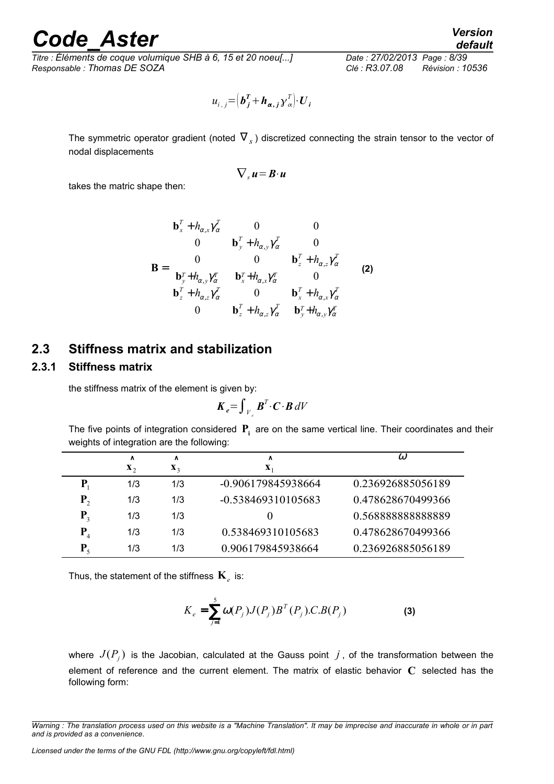*Titre : Éléments de coque volumique SHB à 6, 15 et 20 noeu[...] Date : 27/02/2013 Page : 8/39 Responsable : Thomas DE SOZA Clé : R3.07.08 Révision : 10536*

$$
u_{i,j} = \left(\boldsymbol{b}_j^T + \boldsymbol{h}_{\boldsymbol{\alpha},j}\boldsymbol{\gamma}_{\alpha}^T\right)\cdot\boldsymbol{U}_i
$$

The symmetric operator gradient (noted ∇*<sup>s</sup>* ) discretized connecting the strain tensor to the vector of nodal displacements

$$
\nabla_{s} u = \boldsymbol{B} \cdot \boldsymbol{u}
$$

takes the matric shape then:

$$
\mathbf{B} = \begin{bmatrix} \mathbf{b}_x^T + h_{\alpha,x} \gamma_\alpha^T & 0 & 0 \\ 0 & \mathbf{b}_y^T + h_{\alpha,y} \gamma_\alpha^T & 0 \\ 0 & 0 & \mathbf{b}_z^T + h_{\alpha,z} \gamma_\alpha^T \\ \mathbf{b}_y^T + h_{\alpha,y} \gamma_\alpha^T & \mathbf{b}_x^T + h_{\alpha,x} \gamma_\alpha^T & 0 \\ \mathbf{b}_z^T + h_{\alpha,z} \gamma_\alpha^T & 0 & \mathbf{b}_x^T + h_{\alpha,x} \gamma_\alpha^T \\ 0 & \mathbf{b}_z^T + h_{\alpha,z} \gamma_\alpha^T & \mathbf{b}_y^T + h_{\alpha,y} \gamma_\alpha^T \end{bmatrix}
$$
 (2)

### <span id="page-7-1"></span>**2.3 Stiffness matrix and stabilization**

#### **2.3.1 Stiffness matrix**

<span id="page-7-0"></span>the stiffness matrix of the element is given by:

$$
\boldsymbol{K}_{e} = \int_{V_{e}} \boldsymbol{B}^{T} \cdot \boldsymbol{C} \cdot \boldsymbol{B} \, dV
$$

The five points of integration considered  $P_i$  are on the same vertical line. Their coordinates and their weights of integration are the following:

|                                  | $\wedge$      | $\lambda$      | $\lambda$          | $\omega$          |
|----------------------------------|---------------|----------------|--------------------|-------------------|
|                                  | $\mathbf{x},$ | $\mathbf{X}_3$ | $\mathbf{X}_1$     |                   |
| ${\bf P}_{\scriptscriptstyle 1}$ | 1/3           | 1/3            | -0.906179845938664 | 0.236926885056189 |
| P <sub>2</sub>                   | 1/3           | 1/3            | -0.538469310105683 | 0.478628670499366 |
| $P_{3}$                          | 1/3           | 1/3            |                    | 0.56888888888889  |
| $P_4$                            | 1/3           | 1/3            | 0.538469310105683  | 0.478628670499366 |
| ${\bf P}_{\rm s}$                | 1/3           | 1/3            | 0.906179845938664  | 0.236926885056189 |

Thus, the statement of the stiffness  $\mathbf{K}_{e}$  is:

$$
K_e = \sum_{j=1}^{5} \omega(P_j) J(P_j) B^T(P_j) . C.B(P_j)
$$
 (3)

where  $J(P_j)$  is the Jacobian, calculated at the Gauss point  $j$  , of the transformation between the element of reference and the current element. The matrix of elastic behavior **C** selected has the following form:

*Warning : The translation process used on this website is a "Machine Translation". It may be imprecise and inaccurate in whole or in part and is provided as a convenience.*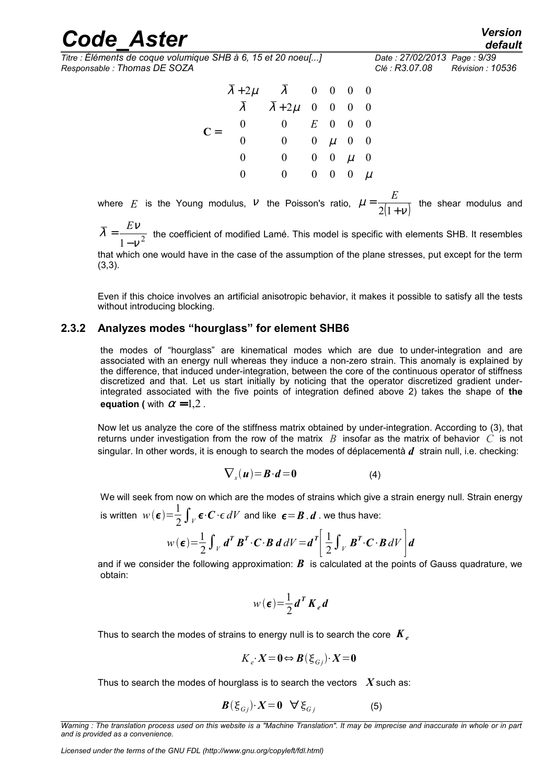*Titre : Éléments de coque volumique SHB à 6, 15 et 20 noeu[...] Date : 27/02/2013 Page : 9/39 Responsable : Thomas DE SOZA Clé : R3.07.08 Révision : 10536*

$$
\mathbf{C} = \begin{bmatrix} \bar{\lambda} + 2\mu & \bar{\lambda} & 0 & 0 & 0 & 0 \\ \bar{\lambda} & \bar{\lambda} + 2\mu & 0 & 0 & 0 & 0 \\ 0 & 0 & E & 0 & 0 & 0 \\ 0 & 0 & 0 & \mu & 0 & 0 \\ 0 & 0 & 0 & 0 & \mu & 0 \\ 0 & 0 & 0 & 0 & 0 & \mu \end{bmatrix}
$$

where *E* is the Young modulus, *V* the Poisson's ratio,  $\mu = \frac{1}{2(1+\nu)}$ =  $2(1)$ *E* the shear modulus and

$$
\bar{\lambda} = \frac{Ev}{1 - v^2}
$$
 the coefficient of modified Lamé. This model is specific with elements SHB. It resembles

that which one would have in the case of the assumption of the plane stresses, put except for the term (3,3).

Even if this choice involves an artificial anisotropic behavior, it makes it possible to satisfy all the tests without introducing blocking.

#### **2.3.2 Analyzes modes "hourglass" for element SHB6**

<span id="page-8-0"></span>the modes of "hourglass" are kinematical modes which are due to under-integration and are associated with an energy null whereas they induce a non-zero strain. This anomaly is explained by the difference, that induced under-integration, between the core of the continuous operator of stiffness discretized and that. Let us start initially by noticing that the operator discretized gradient underintegrated associated with the five points of integration defined above 2) takes the shape of **the equation (** with  $\alpha = 1.2$ .

Now let us analyze the core of the stiffness matrix obtained by under-integration. According to (3), that returns under investigation from the row of the matrix *B* insofar as the matrix of behavior *C* is not singular. In other words, it is enough to search the modes of déplacementà *d* strain null, i.e. checking:

$$
\nabla_s(u) = \mathbf{B} \cdot \mathbf{d} = 0 \tag{4}
$$

We will seek from now on which are the modes of strains which give a strain energy null. Strain energy

is written  $w(\boldsymbol{\epsilon}) = \frac{1}{2}$  $\frac{1}{2}$   $\int_V$   $\boldsymbol{\epsilon} \cdot \boldsymbol{C} \cdot \boldsymbol{\epsilon} dV$  and like  $\boldsymbol{\epsilon} = \boldsymbol{B}$  *. d* . we thus have:

$$
w(\boldsymbol{\epsilon}) = \frac{1}{2} \int_{V} d^{T} \boldsymbol{B}^{T} \cdot \boldsymbol{C} \cdot \boldsymbol{B} ddV = d^{T} \left[ \frac{1}{2} \int_{V} \boldsymbol{B}^{T} \cdot \boldsymbol{C} \cdot \boldsymbol{B} dV \right] d
$$

and if we consider the following approximation:  $\bm{B}$  is calculated at the points of Gauss quadrature, we obtain:

$$
w(\epsilon) = \frac{1}{2} \boldsymbol{d}^T \boldsymbol{K}_e \boldsymbol{d}
$$

Thus to search the modes of strains to energy null is to search the core *K<sup>e</sup>*

$$
K_e \cdot X = 0 \Leftrightarrow B(\xi_{G_j}) \cdot X = 0
$$

Thus to search the modes of hourglass is to search the vectors  $X$  such as:

$$
\boldsymbol{B}(\xi_{Gj})\cdot\boldsymbol{X}=\boldsymbol{0}\quad\forall\,\xi_{Gj}\tag{5}
$$

*Warning : The translation process used on this website is a "Machine Translation". It may be imprecise and inaccurate in whole or in part and is provided as a convenience.*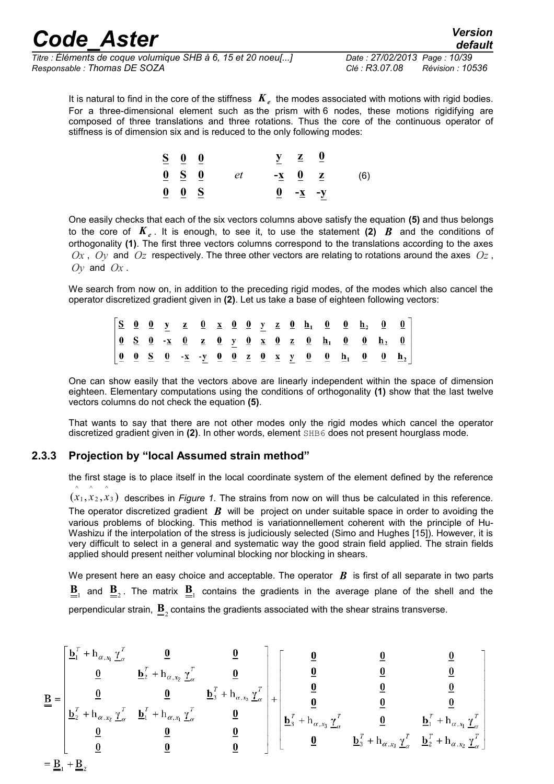*Titre : Éléments de coque volumique SHB à 6, 15 et 20 noeu[...] Date : 27/02/2013 Page : 10/39 Responsable : Thomas DE SOZA Clé : R3.07.08 Révision : 10536*

*default*

It is natural to find in the core of the stiffness  $|K_e|$  the modes associated with motions with rigid bodies. For a three-dimensional element such as the prism with 6 nodes, these motions rigidifying are composed of three translations and three rotations. Thus the core of the continuous operator of stiffness is of dimension six and is reduced to the only following modes:

|                                                                                                                                                                                                                                                                                                                                                                 |  |    | $\sum$                       | $\underline{\mathbf{z}}$ | $\overline{\mathbf{0}}$           |     |
|-----------------------------------------------------------------------------------------------------------------------------------------------------------------------------------------------------------------------------------------------------------------------------------------------------------------------------------------------------------------|--|----|------------------------------|--------------------------|-----------------------------------|-----|
|                                                                                                                                                                                                                                                                                                                                                                 |  | et | $\vert -\underline{x} \vert$ | $\overline{\mathbf{0}}$  | $\mathbf{Z}$                      | (6) |
| $\begin{pmatrix} \underline{\underline{\bf S}} & \underline{\underline{\bf 0}} & \underline{\underline{\bf 0}} & \underline{\underline{\bf 0}} \\ \underline{\underline{\bf 0}} & \underline{\underline{\bf S}} & \underline{\underline{\bf 0}} \\ \underline{\underline{\bf 0}} & \underline{\underline{\bf 0}} & \underline{\underline{\bf S}} \end{pmatrix}$ |  |    | $\overline{\mathbf{0}}$      |                          | $-\underline{x}$ $-\underline{y}$ |     |

One easily checks that each of the six vectors columns above satisfy the equation **(5)** and thus belongs to the core of *K<sup>e</sup>* . It is enough, to see it, to use the statement **(2)** *B* and the conditions of orthogonality **(1)**. The first three vectors columns correspond to the translations according to the axes  $Ox$ ,  $Oy$  and  $Oz$  respectively. The three other vectors are relating to rotations around the axes  $Oz$ ,  $Oy$  and  $Ox$ .

We search from now on, in addition to the preceding rigid modes, of the modes which also cancel the operator discretized gradient given in **(2)**. Let us take a base of eighteen following vectors:

One can show easily that the vectors above are linearly independent within the space of dimension eighteen. Elementary computations using the conditions of orthogonality **(1)** show that the last twelve vectors columns do not check the equation **(5)**.

That wants to say that there are not other modes only the rigid modes which cancel the operator discretized gradient given in **(2)**. In other words, element SHB6 does not present hourglass mode.

#### **2.3.3 Projection by "local Assumed strain method"**

<span id="page-9-0"></span>the first stage is to place itself in the local coordinate system of the element defined by the reference  $\wedge$ ^ ^

 $(x_1, x_2, x_3)$  describes in *Figure 1*. The strains from now on will thus be calculated in this reference. The operator discretized gradient *B* will be project on under suitable space in order to avoiding the various problems of blocking. This method is variationnellement coherent with the principle of Hu-Washizu if the interpolation of the stress is judiciously selected (Simo and Hughes [15]). However, it is very difficult to select in a general and systematic way the good strain field applied. The strain fields applied should present neither voluminal blocking nor blocking in shears.

We present here an easy choice and acceptable. The operator  $\bm{B}$  is first of all separate in two parts  $\frac{\mathbf{B}}{=}$  and  $\frac{\mathbf{B}}{=}$ . The matrix  $\frac{\mathbf{B}}{=}$  contains the gradients in the average plane of the shell and the perpendicular strain,  $\underline{\mathbf{B}}_{2}$  contains the gradients associated with the shear strains transverse.

$$
\underline{\underline{\mathbf{B}}} = \begin{bmatrix} \underline{\mathbf{b}}_1^T + \mathbf{h}_{\alpha,x_1} \, \underline{\gamma}_{\alpha}^T & \underline{\mathbf{0}} & \underline{\mathbf{0}} & \underline{\mathbf{0}} \\ \underline{\mathbf{0}} & \underline{\mathbf{b}}_2^T + \mathbf{h}_{\alpha,x_2} \, \underline{\gamma}_{\alpha}^T & \underline{\mathbf{0}} \\ \underline{\mathbf{0}} & \underline{\mathbf{0}} & \underline{\mathbf{b}}_3^T + \mathbf{h}_{\alpha,x_3} \, \underline{\gamma}_{\alpha}^T \\ \underline{\mathbf{b}}_2^T + \mathbf{h}_{\alpha,x_2} \, \underline{\gamma}_{\alpha}^T & \underline{\mathbf{b}}_1^T + \mathbf{h}_{\alpha,x_1} \, \underline{\gamma}_{\alpha}^T & \underline{\mathbf{0}} \\ \underline{\mathbf{0}} & \underline{\mathbf{0}} & \underline{\mathbf{0}} & \underline{\mathbf{0}} \\ \underline{\mathbf{0}} & \underline{\mathbf{0}} & \underline{\mathbf{0}} & \underline{\mathbf{0}} \\ \underline{\mathbf{0}} & \underline{\mathbf{0}} & \underline{\mathbf{0}} & \underline{\mathbf{0}} \\ \underline{\mathbf{0}} & \underline{\mathbf{0}} & \underline{\mathbf{0}} & \underline{\mathbf{0}} \end{bmatrix} + \begin{bmatrix} \underline{\mathbf{0}} & \underline{\mathbf{0}} & \underline{\mathbf{0}} & \underline{\mathbf{0}} \\ \underline{\mathbf{0}} & \underline{\mathbf{0}} & \underline{\mathbf{0}} \\ \underline{\mathbf{0}} & \underline{\mathbf{0}} & \underline{\mathbf{0}} \\ \underline{\mathbf{0}} & \underline{\mathbf{0}} & \underline{\mathbf{b}}_1^T + \mathbf{h}_{\alpha,x_1} \, \underline{\gamma}_{\alpha}^T \\ \underline{\mathbf{0}} & \underline{\mathbf{0}} & \underline{\mathbf{b}}_3^T + \mathbf{h}_{\alpha,x_3} \, \underline{\gamma}_{\alpha}^T & \underline{\mathbf{0}} \\ \underline{\mathbf{0}} & \underline{\mathbf{b}}_3^T + \mathbf{h}_{\alpha,x_3} \, \underline{\gamma}_{\alpha}^T & \underline{\mathbf{b}}_2^T + \mathbf{h}_{\alpha,x_2} \, \underline{\gamma}_{\alpha}^T \end{bmatrix}
$$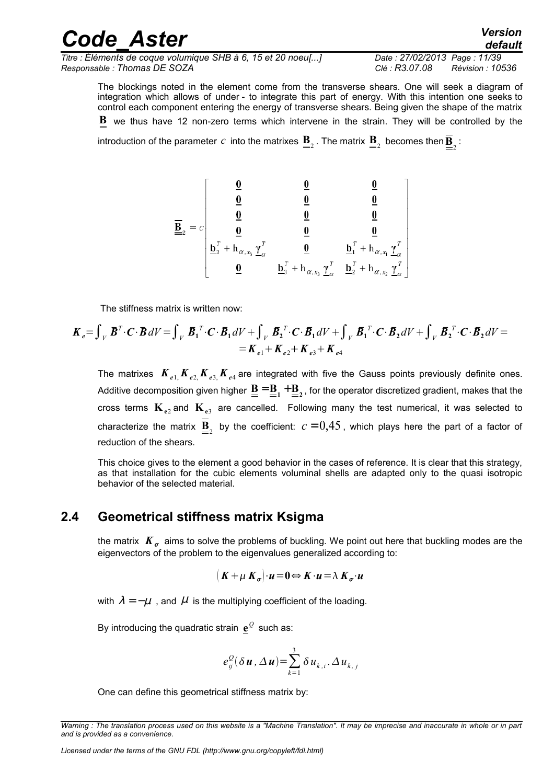| <b>Code Aster</b>                                            |                              | <b>Version</b><br>default |
|--------------------------------------------------------------|------------------------------|---------------------------|
| Titre : Éléments de coque volumique SHB à 6, 15 et 20 noeu[] | Date: 27/02/2013 Page: 11/39 |                           |
| Responsable : Thomas DE SOZA                                 | Clé : R3.07.08               | Révision : 10536          |

The blockings noted in the element come from the transverse shears. One will seek a diagram of integration which allows of under - to integrate this part of energy. With this intention one seeks to control each component entering the energy of transverse shears. Being given the shape of the matrix **B** we thus have 12 non-zero terms which intervene in the strain. They will be controlled by the introduction of the parameter  $c$  into the matrixes  $\underline{\mathbf{B}}_2$  . The matrix  $\underline{\mathbf{B}}_2$  becomes then  $\overline{\underline{\mathbf{B}}}_2$  :

$$
\overline{\underline{\underline{\mathbf{B}}}}_2 = c \begin{bmatrix}\n\overline{\underline{\underline{\mathbf{0}}}} \\
\overline{\underline{\underline{\mathbf{0}}}} \\
\overline{\underline{\underline{\mathbf{0}}}}_3 + \overline{\mathbf{h}}_{\alpha,x_3} \underline{\underline{\mathbf{Y}}}_{\alpha}^T \\
\overline{\underline{\underline{\mathbf{0}}}} \\
\overline{\underline{\underline{\mathbf{0}}}}_3 + \overline{\mathbf{h}}_{\alpha,x_3} \underline{\underline{\mathbf{Y}}}_{\alpha}^T \\
\overline{\underline{\underline{\mathbf{0}}}}_3\n\end{bmatrix} \qquad \overline{\underline{\underline{\mathbf{0}}}}_1\n\begin{bmatrix}\n\overline{\underline{\mathbf{0}}} \\
\overline{\underline{\mathbf{0}}}_1 \\
\overline{\underline{\mathbf{0}}}_2 \\
\overline{\underline{\mathbf{0}}}_3\n\end{bmatrix} \qquad \overline{\underline{\mathbf{b}}}_1^T + \overline{\mathbf{h}}_{\alpha,x_1} \underline{\underline{\mathbf{Y}}}_{\alpha}^T \\
\overline{\underline{\mathbf{b}}}_2^T + \overline{\mathbf{h}}_{\alpha,x_2} \underline{\underline{\mathbf{Y}}}_{\alpha}^T\n\end{bmatrix}
$$

The stiffness matrix is written now:

$$
\boldsymbol{K}_{e} = \int_{V} \boldsymbol{B}^{T} \cdot \boldsymbol{C} \cdot \boldsymbol{B} dV = \int_{V} \boldsymbol{B}_{1}^{T} \cdot \boldsymbol{C} \cdot \boldsymbol{B}_{1} dV + \int_{V} \boldsymbol{B}_{2}^{T} \cdot \boldsymbol{C} \cdot \boldsymbol{B}_{1} dV + \int_{V} \boldsymbol{B}_{1}^{T} \cdot \boldsymbol{C} \cdot \boldsymbol{B}_{2} dV + \int_{V} \boldsymbol{B}_{2}^{T} \cdot \boldsymbol{C} \cdot \boldsymbol{B}_{2} dV =
$$
  
= 
$$
\boldsymbol{K}_{e1} + \boldsymbol{K}_{e2} + \boldsymbol{K}_{e3} + \boldsymbol{K}_{e4}
$$

The matrixes  $K_{e1} K_{e2} K_{e3} K_{e4}$  are integrated with five the Gauss points previously definite ones. Additive decomposition given higher  $\frac{\bf B}=\frac{\bf B}=\pm}_1+\frac{\bf B}2$  , for the operator discretized gradient, makes that the cross terms  $\mathbf{K}_{e2}$  and  $\mathbf{K}_{e3}$  are cancelled. Following many the test numerical, it was selected to characterize the matrix  $\mathbf{B}_{\scriptscriptstyle \pm 2}$  by the coefficient:  $c$  =  $0,\!45$  , which plays here the part of a factor of reduction of the shears.

This choice gives to the element a good behavior in the cases of reference. It is clear that this strategy, as that installation for the cubic elements voluminal shells are adapted only to the quasi isotropic behavior of the selected material.

#### **2.4 Geometrical stiffness matrix Ksigma**

<span id="page-10-0"></span>the matrix  $K_{\sigma}$  aims to solve the problems of buckling. We point out here that buckling modes are the eigenvectors of the problem to the eigenvalues generalized according to:

$$
(K+\mu K_{\sigma})\cdot u=0 \Leftrightarrow K\cdot u=\lambda K_{\sigma}\cdot u
$$

with  $\lambda = -\mu$ , and  $\mu$  is the multiplying coefficient of the loading.

By introducing the quadratic strain  $\mathbf{e}^{\mathcal{Q}}$  such as:

$$
e_{ij}^{\mathcal{Q}}(\delta \boldsymbol{u}, \Delta \boldsymbol{u}) = \sum_{k=1}^{3} \delta u_{k,i} \cdot \Delta u_{k,j}
$$

One can define this geometrical stiffness matrix by:

*Warning : The translation process used on this website is a "Machine Translation". It may be imprecise and inaccurate in whole or in part and is provided as a convenience.*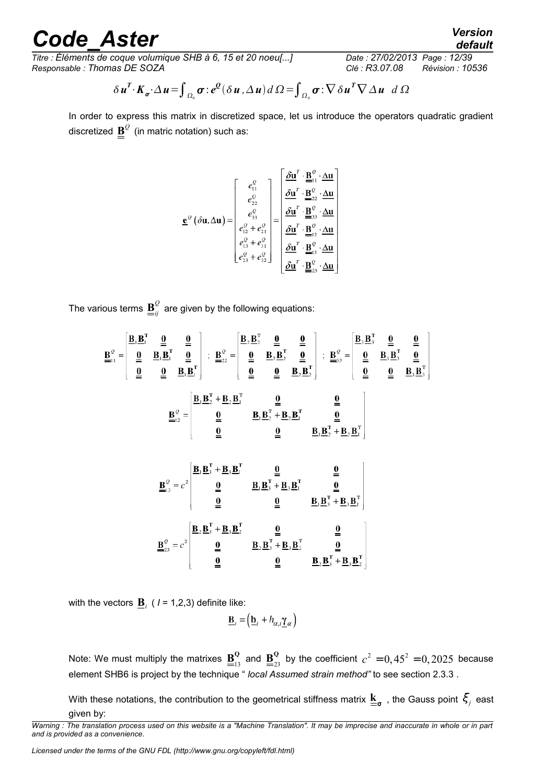*Titre : Éléments de coque volumique SHB à 6, 15 et 20 noeu[...] Date : 27/02/2013 Page : 12/39 Responsable : Thomas DE SOZA Clé : R3.07.08 Révision : 10536*

*default*

$$
\delta \mathbf{u}^T \cdot \mathbf{K}_{\sigma} \cdot \Delta \mathbf{u} = \int_{\Omega_0} \sigma : e^{\mathbf{Q}} (\delta \mathbf{u}, \Delta \mathbf{u}) d\Omega = \int_{\Omega_0} \sigma : \nabla \delta \mathbf{u}^T \nabla \Delta \mathbf{u} d\Omega
$$

In order to express this matrix in discretized space, let us introduce the operators quadratic gradient discretized  $\mathbf{B}^{\mathcal{Q}}$  (in matric notation) such as:

$$
\underline{\mathbf{e}}^{Q}(\delta \mathbf{u}, \Delta \mathbf{u}) = \begin{bmatrix} e_{11}^{Q} \\ e_{22}^{Q} \\ e_{33}^{Q} \\ e_{12}^{Q} + e_{21}^{Q} \\ e_{23}^{Q} + e_{32}^{Q} \end{bmatrix} = \begin{bmatrix} \underline{\delta \mathbf{u}}^{T} \cdot \underline{\mathbf{B}}_{11}^{Q} \cdot \underline{\Delta \mathbf{u}} \\ \underline{\delta \mathbf{u}}^{T} \cdot \underline{\mathbf{B}}_{22}^{Q} \cdot \underline{\Delta \mathbf{u}} \\ \underline{\delta \mathbf{u}}^{T} \cdot \underline{\mathbf{B}}_{13}^{Q} \cdot \underline{\Delta \mathbf{u}} \\ \underline{\delta \mathbf{u}}^{T} \cdot \underline{\mathbf{B}}_{12}^{Q} \cdot \underline{\Delta \mathbf{u}} \\ e_{23}^{Q} + e_{32}^{Q} \end{bmatrix}
$$

The various terms  $\underline{\mathbf{B}}^{\mathcal{Q}}_{\mu}$  $\underline{\mathbf{B}}^{\mathcal{Q}}_{ij}$  are given by the following equations:

$$
\underline{B}_{11}^{\mathcal{Q}} = \begin{bmatrix} \underline{B}_1 \underline{B}_1^T & \underline{0} & \underline{0} \\ \underline{0} & \underline{B}_1 \underline{B}_1^T & \underline{0} \\ \underline{0} & \underline{0} & \underline{B}_1 \underline{B}_1^T \end{bmatrix} ; \ \ \underline{B}_{22}^{\mathcal{Q}} = \begin{bmatrix} \underline{B}_2 \underline{B}_2^T & \underline{0} & \underline{0} \\ \underline{0} & \underline{B}_2 \underline{B}_2^T & \underline{0} \\ \underline{0} & \underline{0} & \underline{B}_2 \underline{B}_2^T \end{bmatrix} ; \ \ \underline{B}_{33}^{\mathcal{Q}} = \begin{bmatrix} \underline{B}_3 \underline{B}_3^T & \underline{0} & \underline{0} \\ \underline{0} & \underline{0} & \underline{B}_3 \underline{B}_3^T \\ \underline{0} & \underline{0} & \underline{B}_1 \underline{B}_2^T + \underline{B}_2 \underline{B}_1^T \end{bmatrix} = \begin{bmatrix} \underline{B}_1 \underline{B}_2^T + \underline{B}_2 \underline{B}_1^T & \underline{0} & \underline{0} \\ \underline{0} & \underline{0} & \underline{B}_1 \underline{B}_2^T + \underline{B}_2 \underline{B}_1^T \end{bmatrix}
$$
\n
$$
\underline{B}_{12}^{\mathcal{Q}} = \begin{bmatrix} \underline{B}_1 \underline{B}_2^T + \underline{B}_2 \underline{B}_1^T & \underline{0} & \underline{0} \\ \underline{0} & \underline{0} & \underline{B}_1 \underline{B}_2^T + \underline{B}_2 \underline{B}_1^T \end{bmatrix}
$$
\n
$$
\underline{B}_{13}^{\mathcal{Q}} = c^2 \begin{bmatrix} \underline{B}_1 \underline{B}_3^T + \underline{B}_3 \underline{B}_1^T & \underline{0} & \underline{0} \\ \underline{0} & \underline{B} & \underline{B}_1 \underline{B}_3^T + \underline{B}_3 \underline{B}_1^T & \underline{0} \\ \underline{0} & \underline{0} & \underline{B}_1 \underline{B}_3^T + \underline{B}_3 \underline{B}_1^T \end{bmatrix}
$$
\n
$$
\underline{B}_{23}^{\mathcal{Q}} = c^2 \begin{
$$

with the vectors  $\underline{\mathbf{B}}_i$  ( *I* = 1,2,3) definite like:

$$
\underline{\mathbf{B}}_i = (\underline{\mathbf{b}}_i + h_{\alpha,i}\underline{\gamma}_{\alpha})
$$

Note: We must multiply the matrixes  $\underline{\mathbf{B}}_{13}^{\mathbf{Q}}$  and  $\underline{\mathbf{B}}_{23}^{\mathbf{Q}}$  by the coefficient  $c^2 = 0, 45^2 = 0, 2025$  because element SHB6 is project by the technique " *local Assumed strain method"* to see section [2.3.3](#page-9-0) .

With these notations, the contribution to the geometrical stiffness matrix  $\underline{\underline{k}}_\sigma$  , the Gauss point  $\tilde{\zeta}_j$  east given by:

*Warning : The translation process used on this website is a "Machine Translation". It may be imprecise and inaccurate in whole or in part and is provided as a convenience.*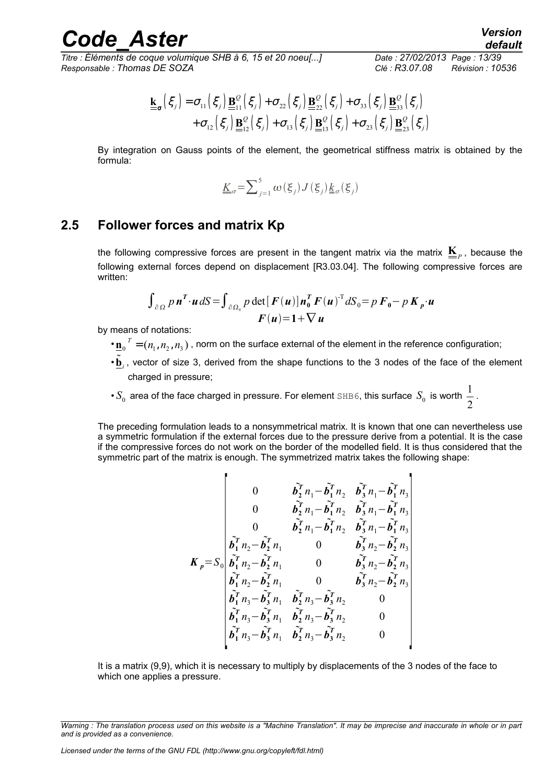*Titre : Éléments de coque volumique SHB à 6, 15 et 20 noeu[...] Date : 27/02/2013 Page : 13/39 Responsable : Thomas DE SOZA Clé : R3.07.08 Révision : 10536*

.

$$
\underline{\mathbf{k}}_{\sigma}(\xi_{j}) = \sigma_{11}(\xi_{j}) \underline{\mathbf{B}}_{11}^{0}(\xi_{j}) + \sigma_{22}(\xi_{j}) \underline{\mathbf{B}}_{22}^{0}(\xi_{j}) + \sigma_{33}(\xi_{j}) \underline{\mathbf{B}}_{33}^{0}(\xi_{j}) + \sigma_{12}(\xi_{j}) \underline{\mathbf{B}}_{12}^{0}(\xi_{j}) + \sigma_{13}(\xi_{j}) \underline{\mathbf{B}}_{13}^{0}(\xi_{j}) + \sigma_{23}(\xi_{j}) \underline{\mathbf{B}}_{23}^{0}(\xi_{j})
$$

By integration on Gauss points of the element, the geometrical stiffness matrix is obtained by the formula:

$$
\underline{\underline{K}}_{\sigma} = \sum_{j=1}^{5} \omega(\xi_j) J(\xi_j) \underline{k}_{\sigma}(\xi_j)
$$

### **2.5 Follower forces and matrix Kp**

<span id="page-12-0"></span>the following compressive forces are present in the tangent matrix via the matrix  $\underline{\mathbf{K}}_P$ , because the following external forces depend on displacement [R3.03.04]. The following compressive forces are written:

$$
\int_{\partial\Omega} p \, \mathbf{n}^T \cdot \mathbf{u} \, dS = \int_{\partial\Omega_0} p \, \det[\mathbf{F}(\mathbf{u})] \mathbf{n}_0^T \mathbf{F}(\mathbf{u})^T dS_0 = p \, \mathbf{F}_0 - p \, \mathbf{K}_p \cdot \mathbf{u}
$$

$$
\mathbf{F}(\mathbf{u}) = 1 + \nabla \mathbf{u}
$$

by means of notations:

- $\cdot$   $\underline{\mathbf{n}}_0^T$  =  $(n_1,n_2,n_3)$  , norm on the surface external of the element in the reference configuration;
- $\cdot \underline{\tilde{\mathbf{b}}}_i$ , vector of size 3, derived from the shape functions to the 3 nodes of the face of the element charged in pressure;
- $\cdot S_{_{0}}$  area of the face charged in pressure. For element  $\frac{\sinh \theta}{\sinh \theta}$  surface  $\frac{S_{_{0}}}{^{}}$  is worth  $\frac{1}{^{}}$ 2

The preceding formulation leads to a nonsymmetrical matrix. It is known that one can nevertheless use a symmetric formulation if the external forces due to the pressure derive from a potential. It is the case if the compressive forces do not work on the border of the modelled field. It is thus considered that the symmetric part of the matrix is enough. The symmetrized matrix takes the following shape:

$$
K_{p} = S_{0} \begin{bmatrix} \tilde{b}_{1}^{T} n_{2} & \tilde{b}_{1}^{T} n_{2} & \tilde{b}_{3}^{T} n_{1} - \tilde{b}_{1}^{T} n_{3} \\ 0 & \tilde{b}_{2}^{T} n_{1} - \tilde{b}_{1}^{T} n_{2} & \tilde{b}_{3}^{T} n_{1} - \tilde{b}_{1}^{T} n_{3} \\ 0 & \tilde{b}_{2}^{T} n_{1} - \tilde{b}_{1}^{T} n_{2} & \tilde{b}_{3}^{T} n_{1} - \tilde{b}_{1}^{T} n_{3} \\ \tilde{b}_{1}^{T} n_{2} - \tilde{b}_{2}^{T} n_{1} & 0 & \tilde{b}_{3}^{T} n_{2} - \tilde{b}_{2}^{T} n_{3} \\ \tilde{b}_{1}^{T} n_{2} - \tilde{b}_{2}^{T} n_{1} & 0 & \tilde{b}_{3}^{T} n_{2} - \tilde{b}_{2}^{T} n_{3} \\ \tilde{b}_{1}^{T} n_{2} - \tilde{b}_{2}^{T} n_{1} & 0 & \tilde{b}_{3}^{T} n_{2} - \tilde{b}_{2}^{T} n_{3} \\ \tilde{b}_{1}^{T} n_{3} - \tilde{b}_{3}^{T} n_{1} & \tilde{b}_{2}^{T} n_{3} - \tilde{b}_{3}^{T} n_{2} & 0 \\ \tilde{b}_{1}^{T} n_{3} - \tilde{b}_{3}^{T} n_{1} & \tilde{b}_{2}^{T} n_{3} - \tilde{b}_{3}^{T} n_{2} & 0 \\ \tilde{b}_{1}^{T} n_{3} - \tilde{b}_{3}^{T} n_{1} & \tilde{b}_{2}^{T} n_{3} - \tilde{b}_{3}^{T} n_{2} & 0 \end{bmatrix}
$$

It is a matrix (9,9), which it is necessary to multiply by displacements of the 3 nodes of the face to which one applies a pressure.

*Warning : The translation process used on this website is a "Machine Translation". It may be imprecise and inaccurate in whole or in part and is provided as a convenience.*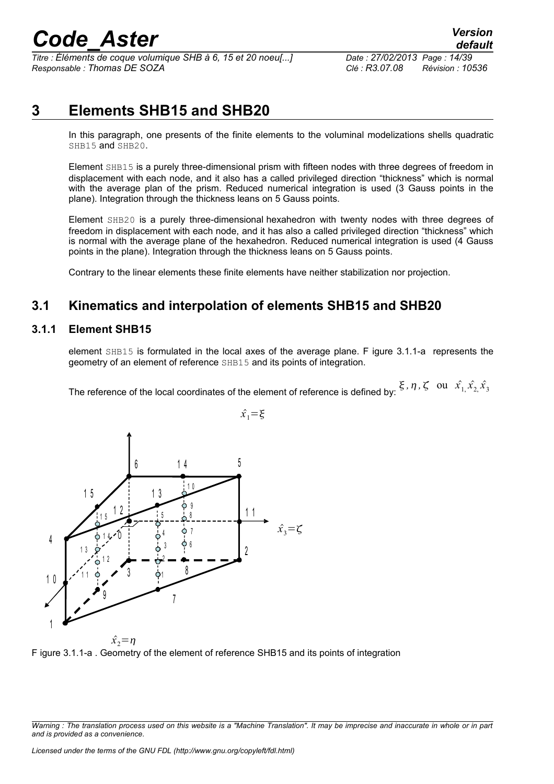*Titre : Éléments de coque volumique SHB à 6, 15 et 20 noeu[...] Date : 27/02/2013 Page : 14/39 Responsable : Thomas DE SOZA Clé : R3.07.08 Révision : 10536*

### **3 Elements SHB15 and SHB20**

<span id="page-13-2"></span>In this paragraph, one presents of the finite elements to the voluminal modelizations shells quadratic SHB15 and SHB20.

Element SHB15 is a purely three-dimensional prism with fifteen nodes with three degrees of freedom in displacement with each node, and it also has a called privileged direction "thickness" which is normal with the average plan of the prism. Reduced numerical integration is used (3 Gauss points in the plane). Integration through the thickness leans on 5 Gauss points.

Element SHB20 is a purely three-dimensional hexahedron with twenty nodes with three degrees of freedom in displacement with each node, and it has also a called privileged direction "thickness" which is normal with the average plane of the hexahedron. Reduced numerical integration is used (4 Gauss points in the plane). Integration through the thickness leans on 5 Gauss points.

<span id="page-13-1"></span>Contrary to the linear elements these finite elements have neither stabilization nor projection.

### **3.1 Kinematics and interpolation of elements SHB15 and SHB20**

#### **3.1.1 Element SHB15**

<span id="page-13-0"></span>element SHB15 is formulated in the local axes of the average plane. [F igure 3.1.1-a](#page-13-3) represents the geometry of an element of reference SHB15 and its points of integration.

The reference of the local coordinates of the element of reference is defined by:  $\xi$ ,  $\eta$ ,  $\zeta$  ou  $\hat{x_1}$ ,  $\hat{x_2}$ ,  $\hat{x_3}$ 



<span id="page-13-3"></span>

*Warning : The translation process used on this website is a "Machine Translation". It may be imprecise and inaccurate in whole or in part and is provided as a convenience.*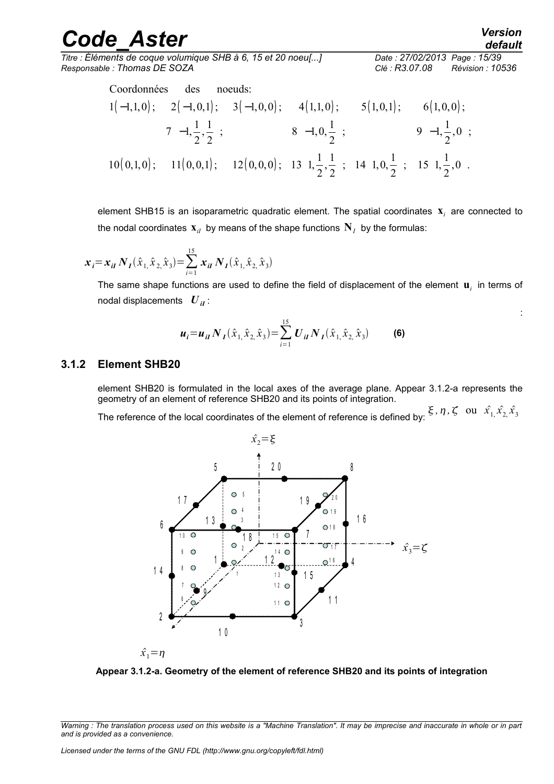*Titre : Éléments de coque volumique SHB à 6, 15 et 20 noeu[...] Date : 27/02/2013 Page : 15/39 Responsable : Thomas DE SOZA Clé : R3.07.08 Révision : 10536*

Coordonnées des noeuds:

\n
$$
1(-1,1,0); \quad 2(-1,0,1); \quad 3(-1,0,0); \quad 4(1,1,0); \quad 5(1,0,1); \quad 6(1,0,0);
$$
\n
$$
7(-1,\frac{1}{2},\frac{1}{2}); \quad 8(-1,0,\frac{1}{2}); \quad 9(-1,\frac{1}{2},0);
$$
\n
$$
10(0,1,0); \quad 11(0,0,1); \quad 12(0,0,0); \quad 13\left(1,\frac{1}{2},\frac{1}{2}\right); \quad 14\left(1,0,\frac{1}{2}\right); \quad 15\left(1,\frac{1}{2},0\right).
$$

element SHB15 is an isoparametric quadratic element. The spatial coordinates  $\mathbf{x}_i$  are connected to the nodal coordinates  $\mathbf{x}_{_{iI}}$  by means of the shape functions  $\mathbf{N}_{_{I}}$  by the formulas:

$$
\boldsymbol{x}_i \!=\! \boldsymbol{x}_{iI} \, \boldsymbol{N}_I(\hat{\boldsymbol{x}}_{1, \hat{\boldsymbol{x}}_{2, \hat{\boldsymbol{x}}_{3}}}) \!=\! \sum_{i=1}^{15} \boldsymbol{x}_{iI} \, \boldsymbol{N}_I(\hat{\boldsymbol{x}}_{1, \hat{\boldsymbol{x}}_{2, \hat{\boldsymbol{x}}_{3}})
$$

The same shape functions are used to define the field of displacement of the element  $\mathbf{u}_i$  in terms of nodal displacements  $U_{ii}$ :

$$
\boldsymbol{u}_i = \boldsymbol{u}_{iI} \, \boldsymbol{N}_I(\hat{x}_1, \hat{x}_2, \hat{x}_3) = \sum_{i=1}^{15} \boldsymbol{U}_{iI} \, \boldsymbol{N}_I(\hat{x}_1, \hat{x}_2, \hat{x}_3) \tag{6}
$$

#### **3.1.2 Element SHB20**

<span id="page-14-0"></span>element SHB20 is formulated in the local axes of the average plane. [Appear 3.1.2-a](#page-14-1) represents the geometry of an element of reference SHB20 and its points of integration.

The reference of the local coordinates of the element of reference is defined by:  $\xi$  ,  $\eta$  ,  $\zeta$   $\,$  ou  $\,$   $\,$   $\hat{x_1}$   $\hat{x_2}$   $\hat{x_3}$ 



<span id="page-14-1"></span>**Appear 3.1.2-a. Geometry of the element of reference SHB20 and its points of integration**

*Warning : The translation process used on this website is a "Machine Translation". It may be imprecise and inaccurate in whole or in part and is provided as a convenience.*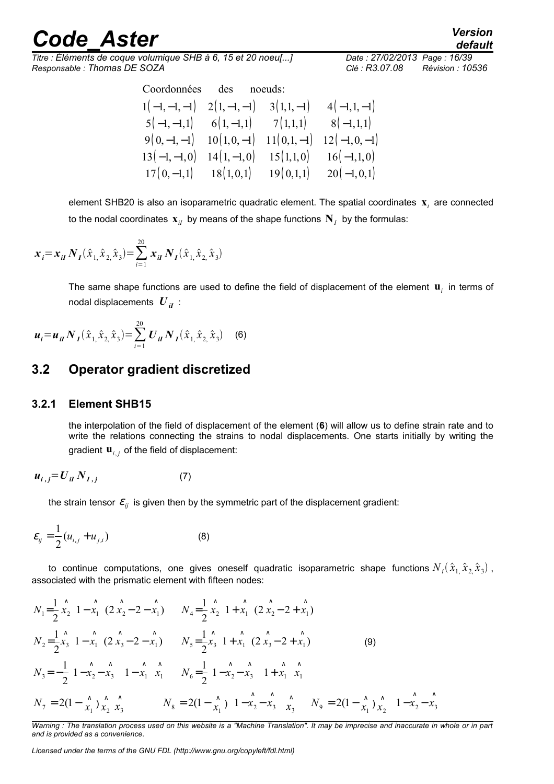*Titre : Éléments de coque volumique SHB à 6, 15 et 20 noeu[...] Date : 27/02/2013 Page : 16/39 Responsable : Thomas DE SOZA Clé : R3.07.08 Révision : 10536*

| Coordonnées   | des            | noeuds:      |                |
|---------------|----------------|--------------|----------------|
| $1(-1,-1,-1)$ | $2(1,-1,-1)$   | $3(1,1,-1)$  | $4(-1,1,-1)$   |
| $5(-1,-1,1)$  | $6(1,-1,1)$    | 7(1,1,1)     | $8(-1,1,1)$    |
| $9(0,-1,-1)$  | $10(1, 0, -1)$ | $11(0,1,-1)$ | $12(-1,0,-1)$  |
| $13(-1,-1,0)$ | $14(1,-1,0)$   | 15(1,1,0)    | $16(-1,1,0)$   |
| $17(0,-1,1)$  | 18(1,0,1)      | 19(0,1,1)    | $20(-1, 0, 1)$ |

element SHB20 is also an isoparametric quadratic element. The spatial coordinates  $\mathbf{x}_i$  are connected to the nodal coordinates  $\mathbf{x}_{iI}$  by means of the shape functions  $\mathbf{N}_I$  by the formulas:

$$
\boldsymbol{x}_i = \boldsymbol{x}_{iI} \, \boldsymbol{N}_I(\hat{x}_{1,}\hat{x}_{2,}\hat{x}_3) = \sum_{i=1}^{20} \boldsymbol{x}_{iI} \, \boldsymbol{N}_I(\hat{x}_{1,}\hat{x}_{2,}\hat{x}_3)
$$

The same shape functions are used to define the field of displacement of the element  $\mathbf{u}_i$  in terms of nodal displacements  $U_{iI}$ :

$$
\boldsymbol{u}_i = \boldsymbol{u}_i N_I(\hat{x}_{1,}\hat{x}_{2,}\hat{x}_{3}) = \sum_{i=1}^{20} \boldsymbol{U}_{ii} N_I(\hat{x}_{1,}\hat{x}_{2,}\hat{x}_{3}) \quad (6)
$$

### <span id="page-15-1"></span>**3.2 Operator gradient discretized**

#### **3.2.1 Element SHB15**

<span id="page-15-0"></span>the interpolation of the field of displacement of the element (**6**) will allow us to define strain rate and to write the relations connecting the strains to nodal displacements. One starts initially by writing the gradient  $\mathbf{u}_{i,j}$  of the field of displacement:

$$
\boldsymbol{u}_{i,j} = \boldsymbol{U}_{il} \boldsymbol{N}_{I,j} \tag{7}
$$

the strain tensor  $\varepsilon_{ij}$  is given then by the symmetric part of the displacement gradient:

$$
\varepsilon_{ij} = \frac{1}{2} (u_{i,j} + u_{j,i})
$$
 (8)

to continue computations, one gives oneself quadratic isoparametric shape functions  $N_{_l}(\hat{x}_{1,}\hat{x}_{2,}\hat{x}_{3})$ , associated with the prismatic element with fifteen nodes:

$$
N_{1} = \frac{1}{2} \hat{x}_{2} \left( 1 - \hat{x}_{1} \right) \left( 2 \hat{x}_{2} - 2 - \hat{x}_{1} \right) \qquad N_{4} = \frac{1}{2} \hat{x}_{2} \left( 1 + \hat{x}_{1} \right) \left( 2 \hat{x}_{2} - 2 + \hat{x}_{1} \right)
$$
\n
$$
N_{2} = \frac{1}{2} \hat{x}_{3} \left( 1 - \hat{x}_{1} \right) \left( 2 \hat{x}_{3} - 2 - \hat{x}_{1} \right) \qquad N_{5} = \frac{1}{2} \hat{x}_{3} \left( 1 + \hat{x}_{1} \right) \left( 2 \hat{x}_{3} - 2 + \hat{x}_{1} \right) \qquad (9)
$$
\n
$$
N_{3} = -\frac{1}{2} \left( 1 - \hat{x}_{2} - \hat{x}_{3} \right) \left( 1 - \hat{x}_{1} \right) \hat{x}_{1} \qquad N_{6} = \frac{1}{2} \left( 1 - \hat{x}_{2} - \hat{x}_{3} \right) \left( 1 + \hat{x}_{1} \right) \hat{x}_{1}
$$
\n
$$
N_{7} = 2(1 - \hat{x}_{1}) \hat{x}_{2} \hat{x}_{3} \qquad N_{8} = 2(1 - \hat{x}_{1}) \left( 1 - \hat{x}_{2} - \hat{x}_{3} \right) \hat{x}_{3} \qquad N_{9} = 2(1 - \hat{x}_{1}) \hat{x}_{2} \left( 1 - \hat{x}_{2} - \hat{x}_{3} \right)
$$

*Warning : The translation process used on this website is a "Machine Translation". It may be imprecise and inaccurate in whole or in part and is provided as a convenience.*

*Licensed under the terms of the GNU FDL (http://www.gnu.org/copyleft/fdl.html)*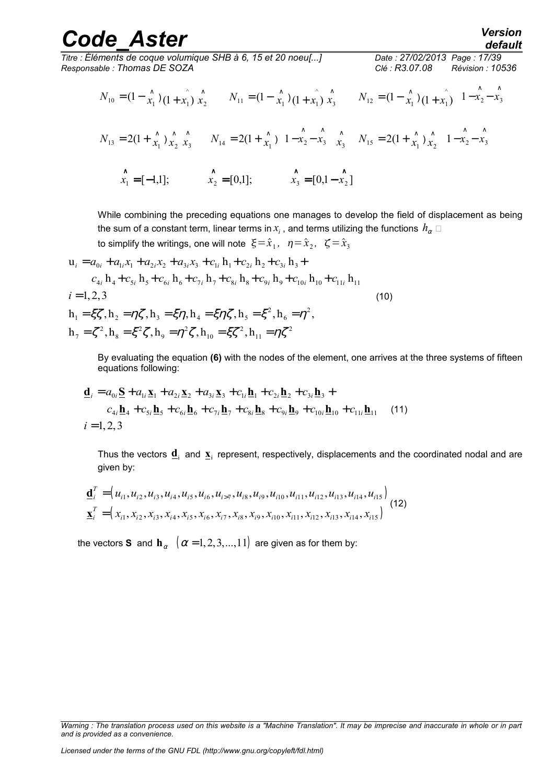*Titre : Éléments de coque volumique SHB à 6, 15 et 20 noeu[...] Date : 27/02/2013 Page : 17/39 Responsable : Thomas DE SOZA Clé : R3.07.08 Révision : 10536*

$$
N_{10} = (1 - \hat{x}_1)(1 + \hat{x}_1) \hat{x}_2 \qquad N_{11} = (1 - \hat{x}_1)(1 + \hat{x}_1) \hat{x}_3 \qquad N_{12} = (1 - \hat{x}_1)(1 + \hat{x}_1) \left(1 - \hat{x}_2 - \hat{x}_3\right)
$$
  

$$
N_{13} = 2(1 + \hat{x}_1) \hat{x}_2 \hat{x}_3 \qquad N_{14} = 2(1 + \hat{x}_1) \left(1 - \hat{x}_2 - \hat{x}_3\right) \hat{x}_3 \qquad N_{15} = 2(1 + \hat{x}_1) \hat{x}_2 \left(1 - \hat{x}_2 - \hat{x}_3\right)
$$
  

$$
\hat{x}_1 = [-1,1]; \qquad \hat{x}_2 = [0,1]; \qquad \hat{x}_3 = [0,1 - \hat{x}_2]
$$

While combining the preceding equations one manages to develop the field of displacement as being the sum of a constant term, linear terms in  $x^{}_{\!i}$  , and terms utilizing the functions  $\,h^{}_{\alpha} \,$   $\sqsubset$ 

to simplify the writings, one will note  $\vert \xi \vert = \hat{x}_1^{}, \; \; \eta \vert = \hat{x}_2^{}, \; \; \zeta \vert = \hat{x}_3^{},$ 

$$
\begin{cases}\n\mathbf{u}_{i} = a_{0i} + a_{1i}x_{1} + a_{2i}x_{2} + a_{3i}x_{3} + c_{1i} \mathbf{h}_{1} + c_{2i} \mathbf{h}_{2} + c_{3i} \mathbf{h}_{3} + \\
c_{4i} \mathbf{h}_{4} + c_{5i} \mathbf{h}_{5} + c_{6i} \mathbf{h}_{6} + c_{7i} \mathbf{h}_{7} + c_{8i} \mathbf{h}_{8} + c_{9i} \mathbf{h}_{9} + c_{10i} \mathbf{h}_{10} + c_{11i} \mathbf{h}_{11} \\
i = 1, 2, 3\n\end{cases}
$$
\n(10)  
\n
$$
\begin{cases}\n\mathbf{h}_{1} = \xi \zeta, \mathbf{h}_{2} = \eta \zeta, \mathbf{h}_{3} = \xi \eta, \mathbf{h}_{4} = \xi \eta \zeta, \mathbf{h}_{5} = \xi^{2}, \mathbf{h}_{6} = \eta^{2}, \\
\mathbf{h}_{7} = \zeta^{2}, \mathbf{h}_{8} = \xi^{2} \zeta, \mathbf{h}_{9} = \eta^{2} \zeta, \mathbf{h}_{10} = \xi \zeta^{2}, \mathbf{h}_{11} = \eta \zeta^{2}\n\end{cases}
$$
\n(10)

By evaluating the equation **(6)** with the nodes of the element, one arrives at the three systems of fifteen equations following:

$$
\begin{cases}\n\underline{\mathbf{d}}_{i} = a_{0i} \underline{\mathbf{S}} + a_{1i} \underline{\mathbf{x}}_{1} + a_{2i} \underline{\mathbf{x}}_{2} + a_{3i} \underline{\mathbf{x}}_{3} + c_{1i} \underline{\mathbf{h}}_{1} + c_{2i} \underline{\mathbf{h}}_{2} + c_{3i} \underline{\mathbf{h}}_{3} +\nc_{4i} \underline{\mathbf{h}}_{4} + c_{5i} \underline{\mathbf{h}}_{5} + c_{6i} \underline{\mathbf{h}}_{6} + c_{7i} \underline{\mathbf{h}}_{7} + c_{8i} \underline{\mathbf{h}}_{8} + c_{9i} \underline{\mathbf{h}}_{9} + c_{10i} \underline{\mathbf{h}}_{10} + c_{11i} \underline{\mathbf{h}}_{11}\n\end{cases}
$$
\n(11)

Thus the vectors  $\mathbf{d}_i$  and  $\mathbf{x}_i$  represent, respectively, displacements and the coordinated nodal and are given by:

$$
\begin{cases}\n\underline{\mathbf{d}}_{i}^{T} = (u_{i1}, u_{i2}, u_{i3}, u_{i4}, u_{i5}, u_{i6}, u_{i>7}, u_{i8}, u_{i9}, u_{i10}, u_{i11}, u_{i12}, u_{i13}, u_{i14}, u_{i15}) \\
\underline{\mathbf{x}}_{i}^{T} = (x_{i1}, x_{i2}, x_{i3}, x_{i4}, x_{i5}, x_{i6}, x_{i7}, x_{i8}, x_{i9}, x_{i10}, x_{i11}, x_{i12}, x_{i13}, x_{i14}, x_{i15})\n\end{cases}
$$
(12)

the vectors **S** and  $h_{\alpha}$   $(\alpha=1,2,3,...,11)$  are given as for them by:

*Warning : The translation process used on this website is a "Machine Translation". It may be imprecise and inaccurate in whole or in part and is provided as a convenience.*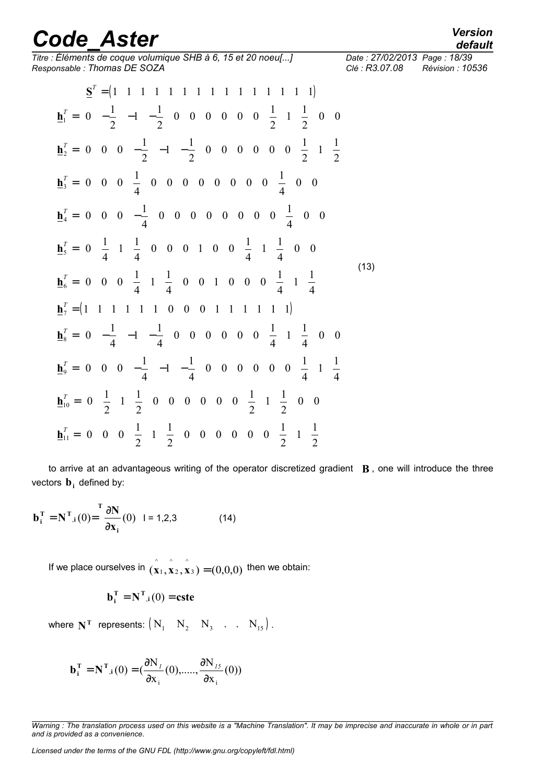*Titre : Éléments de coque volumique SHB à 6, 15 et 20 noeu[...] Date : 27/02/2013 Page : 18/39 Responsable : Thomas DE SOZA Clé : R3.07.08 Révision : 10536*

*default*

( ) 1 2 3 4 5 6 7 1 1 1 1 1 1 1 1 1 1 1 1 1 1 1 1 1 1 1 0 1 0 0 0 0 0 0 1 0 0 2 2 2 2 1 1 1 1 0 0 0 1 0 0 0 0 0 0 1 2 2 2 2 1 1 0 0 0 0 0 0 0 0 0 0 0 0 0 4 4 1 1 0 0 0 0 0 0 0 0 0 0 0 0 0 4 4 1 1 1 1 0 1 0 0 0 1 0 0 1 0 0 4 4 4 4 1 1 1 1 0 0 0 1 0 0 1 0 0 0 1 4 4 4 4 1 *T T T T T T T T* = = − − − = − − − <sup>=</sup> = − <sup>=</sup> <sup>=</sup> = **S h h h h h h h** ( ) 8 9 10 11 1 1 1 1 1 0 0 0 1 1 1 1 1 1 1 1 1 1 0 1 0 0 0 0 0 0 1 0 0 4 4 4 4 1 1 1 1 0 0 0 1 0 0 0 0 0 0 1 4 4 4 4 1 1 1 1 0 1 0 0 0 0 0 0 1 0 0 2 2 2 2 1 1 1 1 0 0 0 1 0 0 0 0 0 0 1 2 2 2 2 *T T T T* = − − − = − − − = = **h h h h** (13)

to arrive at an advantageous writing of the operator discretized gradient **B** , one will introduce the three vectors **b<sup>i</sup>** defined by:

$$
\mathbf{b}_{i}^{\mathrm{T}} = \mathbf{N}^{\mathrm{T}}_{,i}(0) = \frac{\partial \mathbf{N}}{\partial \mathbf{x}_{i}}(0) \quad i = 1,2,3 \tag{14}
$$

If we place ourselves in  $(x_1, x_2, x_3) = (0,0,0)$ 2 ^ 1  $\hat{\mathbf{x}}_1, \hat{\mathbf{x}}_2, \hat{\mathbf{x}}_3$  =  $(0,0,0)$  then we obtain:

$$
\mathbf{b}_{i}^{\mathrm{T}} = \mathbf{N}^{\mathrm{T}}_{,i}(0) = \mathbf{cste}
$$

where  $N^T$  represents:  $\begin{pmatrix} N_1 & N_2 & N_3 & \dots & N_{15} \end{pmatrix}$ .

$$
\mathbf{b}_{i}^{\mathrm{T}} = \mathbf{N}^{\mathrm{T}}_{,i}(0) = \left(\frac{\partial N_{j}}{\partial x_{i}}(0),\ldots,\frac{\partial N_{j}}{\partial x_{i}}(0)\right)
$$

*Licensed under the terms of the GNU FDL (http://www.gnu.org/copyleft/fdl.html)*

*Warning : The translation process used on this website is a "Machine Translation". It may be imprecise and inaccurate in whole or in part and is provided as a convenience.*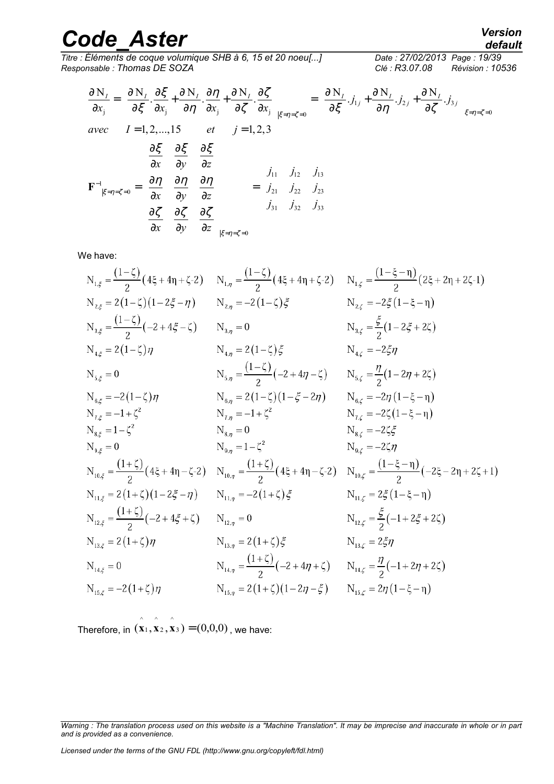*Titre : Éléments de coque volumique SHB à 6, 15 et 20 noeu[...] Date : 27/02/2013 Page : 19/39 Responsable : Thomas DE SOZA Clé : R3.07.08 Révision : 10536*

*default*<br>Date : 27/02/2013 Page : 19/39

$$
\frac{\partial N_{I}}{\partial x_{j}} = \left(\frac{\partial N_{I}}{\partial \xi} \cdot \frac{\partial \xi}{\partial x_{j}} + \frac{\partial N_{I}}{\partial \eta} \cdot \frac{\partial \eta}{\partial x_{j}} + \frac{\partial N_{I}}{\partial \zeta} \cdot \frac{\partial \zeta}{\partial x_{j}}\right)_{\xi=\eta=\zeta=0} = \left(\frac{\partial N_{I}}{\partial \xi} \cdot J_{1j} + \frac{\partial N_{I}}{\partial \eta} \cdot J_{2j} + \frac{\partial N_{I}}{\partial \zeta} \cdot J_{3j}\right)_{\xi=\eta=\zeta=0}
$$
\n
$$
\text{avec } I = 1, 2, ..., 15 \qquad \text{et } j = 1, 2, 3
$$
\n
$$
\mathbf{F}^{-1}_{|\xi=\eta=\zeta=0} = \left(\begin{array}{ccc} \frac{\partial \xi}{\partial x} & \frac{\partial \xi}{\partial y} & \frac{\partial \xi}{\partial z} \\ \frac{\partial \eta}{\partial x} & \frac{\partial \eta}{\partial y} & \frac{\partial \eta}{\partial z} \\ \frac{\partial \zeta}{\partial x} & \frac{\partial \zeta}{\partial y} & \frac{\partial \zeta}{\partial z} \\ \frac{\partial \zeta}{\partial x} & \frac{\partial \zeta}{\partial y} & \frac{\partial \zeta}{\partial z} \end{array}\right)_{\xi=\eta=\zeta=0} = \left(\begin{array}{ccc} j_{11} & j_{12} & j_{13} \\ j_{21} & j_{22} & j_{23} \\ j_{31} & j_{32} & j_{33} \end{array}\right)
$$

We have:

$$
N_{1,\xi} = \frac{(1-\xi)}{2} (4\xi + 4\eta + \zeta - 2) \t N_{1,\eta} = \frac{(1-\xi)}{2} (4\xi + 4\eta + \zeta - 2) \t N_{1,\zeta} = \frac{(1-\xi - \eta)}{2} (2\xi + 2\eta + 2\xi - 1)
$$
  
\n
$$
N_{2,\xi} = 2(1-\zeta)(1-2\xi - \eta) \t N_{2,\eta} = -2(1-\zeta)\zeta \t N_{2,\zeta} = -2\xi(1-\xi - \eta)
$$
  
\n
$$
N_{3,\xi} = \frac{(1-\zeta)}{2} (-2+4\xi - \zeta) \t N_{3,\eta} = 0 \t N_{3,\zeta} = \frac{\xi}{2} (1-2\xi + 2\zeta)
$$
  
\n
$$
N_{4,\zeta} = 2(1-\zeta)\eta \t N_{4,\eta} = 2(1-\zeta)\zeta \t N_{4,\zeta} = -2\xi\eta
$$
  
\n
$$
N_{5,\zeta} = 0 \t N_{5,\eta} = \frac{(1-\zeta)}{2} (-2+4\eta - \zeta) \t N_{5,\zeta} = \frac{\eta}{2} (1-2\eta + 2\zeta)
$$
  
\n
$$
N_{6,\zeta} = -2(1-\zeta)\eta \t N_{6,\eta} = 2(1-\zeta)(1-\zeta - 2\eta) \t N_{6,\zeta} = -2\eta (1-\xi - \eta)
$$
  
\n
$$
N_{7,\zeta} = -1+\zeta^2 \t N_{8,\eta} = 0 \t N_{8,\eta} = 0 \t N_{8,\eta} = 0
$$
  
\n
$$
N_{8,\zeta} = 1-\zeta^2 \t N_{8,\eta} = 0 \t N_{8,\eta} = 0 \t N_{8,\zeta} = -2\xi\eta
$$
  
\n
$$
N_{10,\zeta} = \frac{(1+\zeta)}{2} (4\xi + 4\eta - \zeta - 2) \t N_{10,\eta} = \frac{(1+\zeta)}{2} (4\xi + 4\eta - \zeta - 2) \t N_{10,\zeta} = \frac{(1-\zeta - \eta)}{2} (-2\xi - 2\eta + 2\xi + 1)
$$
  
\n
$$
N_{1
$$

Therefore, in  $(\hat{\mathbf{x}}_1, \hat{\mathbf{x}}_2, \hat{\mathbf{x}}_3) = (0,0,0)$ 2 ^ 1  $\hat{\mathbf{x}}_1, \hat{\mathbf{x}}_2, \hat{\mathbf{x}}_3$  =  $(0,0,0)$  , we have:

*Licensed under the terms of the GNU FDL (http://www.gnu.org/copyleft/fdl.html)*

*Warning : The translation process used on this website is a "Machine Translation". It may be imprecise and inaccurate in whole or in part and is provided as a convenience.*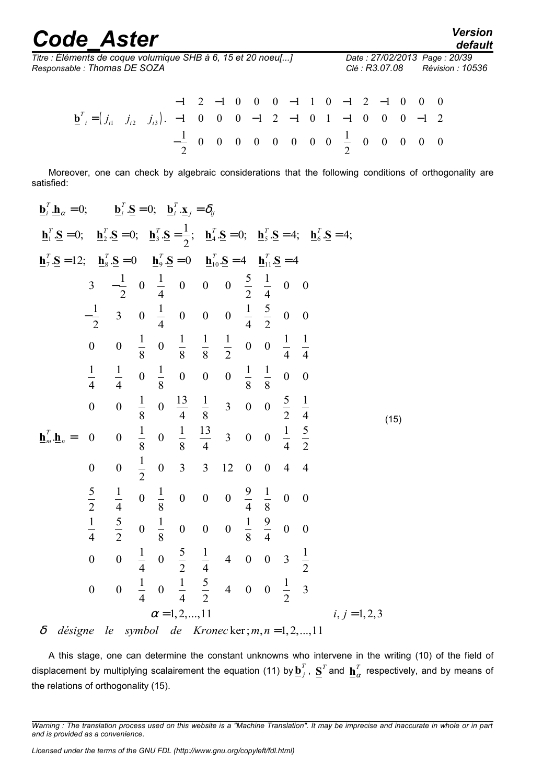**b**

**Titre : Éléments de coque volumique SHB à 6, 15 et 20 noeu[...]** 

*Code\_Aster*<br>Eléments de coque volumique SHB à 6, 15 et 20 noeu[...] Date : 27/02/2013 Page : 20/39<br>Consable : Thomas DE SOZ4 *Responsable : Thomas DE SOZA Clé : R3.07.08 Révision : 10536*  $(J_{i1} \quad J_{i2} \quad J_{i3})$  $1 \quad 2 \quad -1 \quad 0 \quad 0 \quad 0 \quad -1 \quad 1 \quad 0 \quad -1 \quad 2 \quad -1 \quad 0 \quad 0 \quad 0$  $-1$  0 0 0 -1 2 -1 0 1 -1 0 0 0 -1 2  $\frac{1}{2}$  0 0 0 0 0 0 0 0 0  $\frac{1}{2}$  0 0 0 0 0 0 2 2  $T_i = (j_{i1} \quad j_{i2} \quad j_{i3})$ in the contract of the contract of the contract of the contract of the contract of the contract of the contract of  $-1$   $-2$   $-1$  0 0 0  $-1$  1 0  $-1$  2  $-1$  0 0 0  $=(\begin{array}{ccccccccc}j_{i1} & j_{i2} & j_{i3}\end{array})$   $|-1$  0 0 0  $-1$  2  $-1$  0 1  $-1$  0 0 0  $-$ − 

Moreover, one can check by algebraic considerations that the following conditions of orthogonality are satisfied:

|  | $\mathbf{b}_i^T \mathbf{h}_{\alpha} = 0;$                                                                                                                                                                                                                                                                                                                                                                               |                                                                                                                                                                    | $\underline{\mathbf{b}}_i^T \cdot \underline{\mathbf{S}} = 0; \quad \underline{\mathbf{b}}_i^T \cdot \underline{\mathbf{x}}_j = \delta_{ij}$                                                             |  |                                                                                                             |    |                  |                  |                |                  |                  |      |
|--|-------------------------------------------------------------------------------------------------------------------------------------------------------------------------------------------------------------------------------------------------------------------------------------------------------------------------------------------------------------------------------------------------------------------------|--------------------------------------------------------------------------------------------------------------------------------------------------------------------|----------------------------------------------------------------------------------------------------------------------------------------------------------------------------------------------------------|--|-------------------------------------------------------------------------------------------------------------|----|------------------|------------------|----------------|------------------|------------------|------|
|  | $\underline{\mathbf{h}}_1^T \cdot \underline{\mathbf{S}} = 0; \quad \underline{\mathbf{h}}_2^T \cdot \underline{\mathbf{S}} = 0; \quad \underline{\mathbf{h}}_3^T \cdot \underline{\mathbf{S}} = \frac{1}{2}; \quad \underline{\mathbf{h}}_4^T \cdot \underline{\mathbf{S}} = 0; \quad \underline{\mathbf{h}}_5^T \cdot \underline{\mathbf{S}} = 4; \quad \underline{\mathbf{h}}_6^T \cdot \underline{\mathbf{S}} = 4;$ |                                                                                                                                                                    |                                                                                                                                                                                                          |  |                                                                                                             |    |                  |                  |                |                  |                  |      |
|  | $\underline{\mathbf{h}}_7^T \cdot \underline{\mathbf{S}} = 12; \quad \underline{\mathbf{h}}_8^T \cdot \underline{\mathbf{S}} = 0 \quad \underline{\mathbf{h}}_9^T \cdot \underline{\mathbf{S}} = 0 \quad \underline{\mathbf{h}}_{10}^T \cdot \underline{\mathbf{S}} = 4 \quad \underline{\mathbf{h}}_{11}^T \cdot \underline{\mathbf{S}} = 4$                                                                           |                                                                                                                                                                    |                                                                                                                                                                                                          |  |                                                                                                             |    |                  |                  |                |                  |                  |      |
|  |                                                                                                                                                                                                                                                                                                                                                                                                                         |                                                                                                                                                                    | $\begin{bmatrix} 3 & -\frac{1}{2} & 0 & \frac{1}{4} & 0 & 0 & 0 & \frac{5}{2} & \frac{1}{4} & 0 & 0 \\ -\frac{1}{2} & 3 & 0 & \frac{1}{4} & 0 & 0 & 0 & \frac{1}{4} & \frac{5}{2} & 0 & 0 \end{bmatrix}$ |  |                                                                                                             |    |                  |                  |                |                  |                  |      |
|  |                                                                                                                                                                                                                                                                                                                                                                                                                         |                                                                                                                                                                    |                                                                                                                                                                                                          |  |                                                                                                             |    |                  |                  |                |                  |                  |      |
|  |                                                                                                                                                                                                                                                                                                                                                                                                                         |                                                                                                                                                                    | 0 0 $\frac{1}{8}$ 0 $\frac{1}{8}$ $\frac{1}{8}$ $\frac{1}{2}$ 0 0 $\frac{1}{4}$ $\frac{1}{4}$                                                                                                            |  |                                                                                                             |    |                  |                  |                |                  |                  |      |
|  |                                                                                                                                                                                                                                                                                                                                                                                                                         |                                                                                                                                                                    | $\frac{1}{4}$ $\frac{1}{4}$ 0 $\frac{1}{8}$ 0 0 0 $\frac{1}{8}$ $\frac{1}{8}$ 0                                                                                                                          |  |                                                                                                             |    |                  |                  |                | $\overline{0}$   |                  |      |
|  |                                                                                                                                                                                                                                                                                                                                                                                                                         |                                                                                                                                                                    | 0 0 $\frac{1}{8}$ 0 $\frac{13}{4}$ $\frac{1}{8}$ 3 0 0 $\frac{5}{2}$ $\frac{1}{4}$                                                                                                                       |  |                                                                                                             |    |                  |                  |                |                  |                  | (15) |
|  | $\mathbf{\underline{h}}_m^T.\mathbf{\underline{h}}_n =$                                                                                                                                                                                                                                                                                                                                                                 | $\boldsymbol{0}$                                                                                                                                                   | 0 $\frac{1}{8}$ 0 $\frac{1}{8}$ $\frac{13}{4}$ 3 0 0 $\frac{1}{4}$ $\frac{5}{2}$                                                                                                                         |  |                                                                                                             |    |                  |                  |                |                  |                  |      |
|  |                                                                                                                                                                                                                                                                                                                                                                                                                         | $\boldsymbol{0}$                                                                                                                                                   | $0 \quad \frac{1}{2} \quad 0$                                                                                                                                                                            |  | $3 \quad 3$                                                                                                 | 12 | $\boldsymbol{0}$ | $\boldsymbol{0}$ | $\overline{4}$ | $\overline{4}$   |                  |      |
|  |                                                                                                                                                                                                                                                                                                                                                                                                                         | $\frac{5}{2}$ $\frac{1}{4}$ 0 $\frac{1}{8}$ 0 0 0 $\frac{9}{4}$ $\frac{1}{8}$ 0<br>$\frac{1}{4}$ $\frac{5}{2}$ 0 $\frac{1}{8}$ 0 0 0 $\frac{1}{8}$ $\frac{9}{4}$ 0 |                                                                                                                                                                                                          |  |                                                                                                             |    |                  |                  |                | $\bf{0}$         |                  |      |
|  |                                                                                                                                                                                                                                                                                                                                                                                                                         |                                                                                                                                                                    |                                                                                                                                                                                                          |  |                                                                                                             |    |                  |                  |                | $\boldsymbol{0}$ |                  |      |
|  |                                                                                                                                                                                                                                                                                                                                                                                                                         | $\overline{0}$                                                                                                                                                     | $0 \frac{1}{4}$ 0 $\frac{5}{2}$ $\frac{1}{4}$ 4 0 0 3 $\frac{1}{2}$                                                                                                                                      |  |                                                                                                             |    |                  |                  |                |                  |                  |      |
|  |                                                                                                                                                                                                                                                                                                                                                                                                                         | $\overline{0}$                                                                                                                                                     |                                                                                                                                                                                                          |  | $0 \quad \frac{1}{4} \quad 0 \quad \frac{1}{4} \quad \frac{5}{2} \quad 4 \quad 0 \quad 0 \quad \frac{1}{2}$ |    |                  |                  |                | $\overline{3}$   |                  |      |
|  |                                                                                                                                                                                                                                                                                                                                                                                                                         |                                                                                                                                                                    |                                                                                                                                                                                                          |  | $\alpha = 1, 2, , 11$                                                                                       |    |                  |                  |                |                  | $i, j = 1, 2, 3$ |      |
|  | $\overline{x}$                                                                                                                                                                                                                                                                                                                                                                                                          |                                                                                                                                                                    | $d$ <i>osigna</i> la sumbol de Kronecker: m n -1.2                                                                                                                                                       |  |                                                                                                             |    |                  |                  |                | -11              |                  |      |

 $\begin{bmatrix} \delta & \text{d\'esigne} & \text{le} & \text{symbol} & \text{de} & \text{Kronec} \text{ ker}; m, n = 1, 2, \ldots, 11 \end{bmatrix}$ 

A this stage, one can determine the constant unknowns who intervene in the writing (10) of the field of displacement by multiplying scalairement the equation (11) by  $\underline{\bf b}_j^T$ ,  $\underline{\bf S}^T$  and  $\underline{\bf h}_\alpha^T$  respectively, and by means of the relations of orthogonality (15).

*Warning : The translation process used on this website is a "Machine Translation". It may be imprecise and inaccurate in whole or in part and is provided as a convenience.*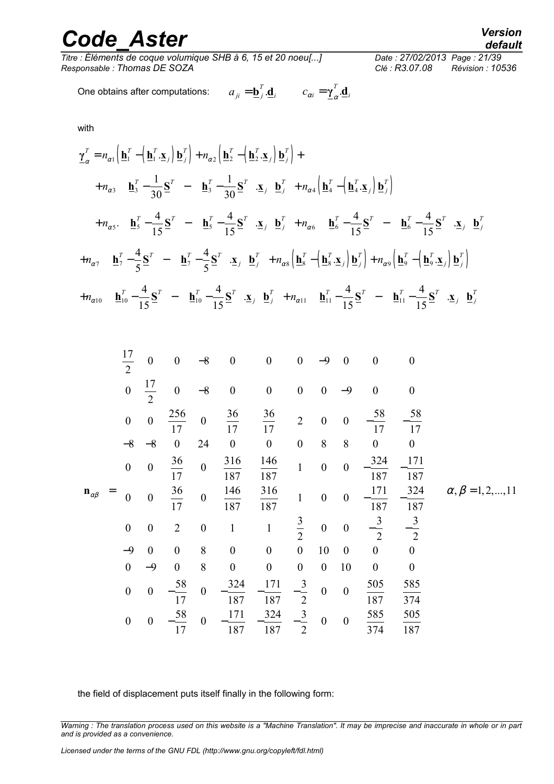# *Code\_Aster Version*<br>*Titre : Éléments de coque volumique SHB à 6. 15 et 20 noeu[...]* Date : 27/02/2013 Page : 21/39

*Titre : Éléments de coque volumique SHB à 6, 15 et 20 noeu[...] Date : 27/02/2014 Page : 27/02/2014 Page : 71/02/2014 Page : 71/02/2014 Page : 71/02/2014 Page : 71/02/2014 Page : 71/07/08 Responsable : Thomas DE SOZA Clé : R3.07.08 Révision : 10536*

One obtains after computations: .  $a_{ji} = \underline{\mathbf{b}}_j^T \cdot \underline{\mathbf{d}}_i$   $c_{\alpha i} = \underline{\gamma}_{\alpha}^T \cdot$  $c_{\alpha i} = \underline{\gamma}_{\alpha}^{T} \underline{\mathbf{d}}_{i}$ 

with

$$
\underline{\mathbf{Y}}_{\alpha}^{T} = n_{\alpha 1} \left( \underline{\mathbf{h}}_{1}^{T} - \left( \underline{\mathbf{h}}_{1}^{T} \underline{\mathbf{x}}_{j} \right) \underline{\mathbf{b}}_{j}^{T} \right) + n_{\alpha 2} \left( \underline{\mathbf{h}}_{2}^{T} - \left( \underline{\mathbf{h}}_{2}^{T} \underline{\mathbf{x}}_{j} \right) \underline{\mathbf{b}}_{j}^{T} \right) +
$$
\n
$$
+ n_{\alpha 3} \left[ \left( \underline{\mathbf{h}}_{3}^{T} - \frac{1}{30} \underline{\mathbf{S}}^{T} \right) - \left( \left( \underline{\mathbf{h}}_{3}^{T} - \frac{1}{30} \underline{\mathbf{S}}^{T} \right) \underline{\mathbf{x}}_{j} \right) \underline{\mathbf{b}}_{j}^{T} \right] + n_{\alpha 4} \left( \underline{\mathbf{h}}_{4}^{T} - \left( \underline{\mathbf{h}}_{4}^{T} \underline{\mathbf{x}}_{j} \right) \underline{\mathbf{b}}_{j}^{T} \right)
$$
\n
$$
+ n_{\alpha 5} \cdot \left[ \left( \underline{\mathbf{h}}_{5}^{T} - \frac{4}{15} \underline{\mathbf{S}}^{T} \right) - \left( \left( \underline{\mathbf{h}}_{5}^{T} - \frac{4}{15} \underline{\mathbf{S}}^{T} \right) \underline{\mathbf{x}}_{j} \right) \underline{\mathbf{b}}_{j}^{T} \right] + n_{\alpha 6} \left( \left( \underline{\mathbf{h}}_{6}^{T} - \frac{4}{15} \underline{\mathbf{S}}^{T} \right) - \left( \left( \underline{\mathbf{h}}_{6}^{T} - \frac{4}{15} \underline{\mathbf{S}}^{T} \right) \underline{\mathbf{x}}_{j} \right) \underline{\mathbf{b}}_{j}^{T} \right)
$$
\n
$$
+ n_{\alpha 7} \left( \left( \underline{\mathbf{h}}_{7}^{T} - \frac{4}{5} \underline{\mathbf{S}}^{T} \right) - \left( \left( \underline{\mathbf{h}}_{7}^{T} - \frac{4}{5} \underline{\mathbf{S}}^{T} \right) \underline{\mathbf{x}}_{j} \right) \underline{\mathbf{b}}_{j}^{T}
$$

$$
\begin{bmatrix}\n\frac{17}{2} & 0 & 0 & -8 & 0 & 0 & 0 & -9 & 0 & 0 & 0 \\
0 & \frac{17}{2} & 0 & -8 & 0 & 0 & 0 & 0 & -9 & 0 & 0 \\
0 & 0 & \frac{256}{17} & 0 & \frac{36}{17} & \frac{36}{17} & 2 & 0 & 0 & -\frac{58}{17} & -\frac{58}{17} \\
-8 & -8 & 0 & 24 & 0 & 0 & 0 & 8 & 8 & 0 & 0 \\
0 & 0 & \frac{36}{17} & 0 & \frac{316}{187} & \frac{146}{187} & 1 & 0 & 0 & -\frac{324}{187} & -\frac{171}{187} \\
0 & 0 & \frac{36}{17} & 0 & \frac{146}{187} & \frac{316}{187} & 1 & 0 & 0 & -\frac{171}{187} & -\frac{324}{187} \\
0 & 0 & 2 & 0 & 1 & 1 & \frac{3}{2} & 0 & 0 & -\frac{3}{2} & -\frac{3}{2} \\
-9 & 0 & 0 & 8 & 0 & 0 & 0 & 10 & 0 & 0 & 0 \\
0 & -9 & 0 & 8 & 0 & 0 & 0 & 10 & 0 & 0 & 0 \\
0 & 0 & -\frac{58}{17} & 0 & -\frac{324}{187} & -\frac{171}{187} & -\frac{3}{2} & 0 & 0 & \frac{505}{187} & \frac{585}{374} \\
0 & 0 & -\frac{58}{17} & 0 & -\frac{171}{187} & -\frac{324}{187} & -\frac{3}{2} & 0 & 0 & \frac{585}{374} & \frac{505}{187}\n\end{bmatrix}
$$

the field of displacement puts itself finally in the following form:

*Warning : The translation process used on this website is a "Machine Translation". It may be imprecise and inaccurate in whole or in part and is provided as a convenience.*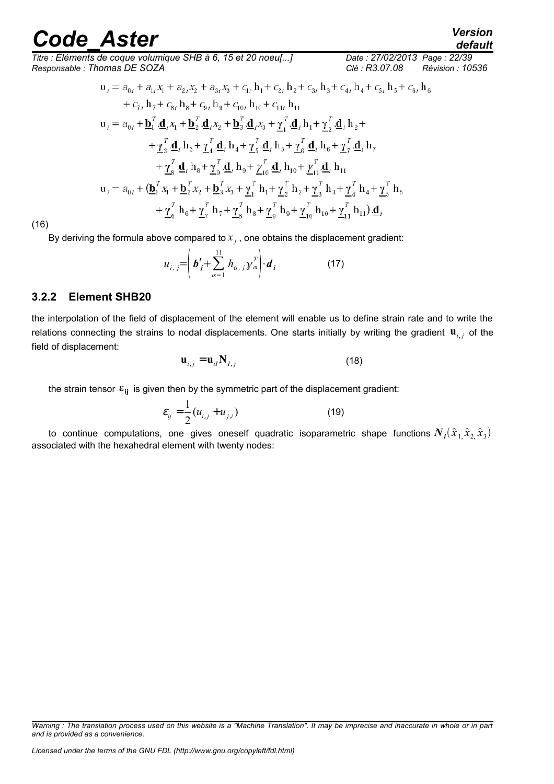$\mathbf{u}$ 

*Titre : Éléments de coque volumique SHB à 6, 15 et 20 noeu[...] Date : 27/02/2013 Page : 22/39 Responsable : Thomas DE SOZA Clé : R3.07.08 Révision : 10536*

$$
\mathbf{u}_{1} = a_{01} + a_{11}x_{1} + a_{21}x_{2} + a_{31}x_{3} + c_{11}h_{1} + c_{21}h_{2} + c_{31}h_{3} + c_{41}h_{4} + c_{51}h_{5} + c_{61}h_{6}
$$
  
+  $c_{71}h_{7} + c_{81}h_{8} + c_{91}h_{9} + c_{101}h_{10} + c_{111}h_{11}$   

$$
\mathbf{u}_{1} = a_{01} + \underline{\mathbf{b}}_{1}^{T} \cdot \underline{\mathbf{d}}_{1}x_{1} + \underline{\mathbf{b}}_{2}^{T} \cdot \underline{\mathbf{d}}_{1}x_{2} + \underline{\mathbf{b}}_{3}^{T} \cdot \underline{\mathbf{d}}_{1}x_{3} + \underline{\gamma}_{1}^{T} \cdot \underline{\mathbf{d}}_{1}h_{1} + \underline{\gamma}_{2}^{T} \cdot \underline{\mathbf{d}}_{1}h_{2} +
$$
  
+  $\underline{\gamma}_{3}^{T} \cdot \underline{\mathbf{d}}_{1}h_{3} + \underline{\gamma}_{4}^{T} \cdot \underline{\mathbf{d}}_{1}h_{4} + \underline{\gamma}_{5}^{T} \cdot \underline{\mathbf{d}}_{1}h_{5} + \underline{\gamma}_{6}^{T} \cdot \underline{\mathbf{d}}_{1}h_{6} + \underline{\gamma}_{7}^{T} \cdot \underline{\mathbf{d}}_{1}h_{7}$   
+  $\underline{\gamma}_{8}^{T} \cdot \underline{\mathbf{d}}_{1}h_{8} + \underline{\gamma}_{9}^{T} \cdot \underline{\mathbf{d}}_{1}h_{9} + \underline{\gamma}_{10}^{T} \cdot \underline{\mathbf{d}}_{1}h_{10} + \underline{\gamma}_{11}^{T} \cdot \underline{\mathbf{d}}_{1}h_{11}$   

$$
\mathbf{u}_{1} = a_{01} + (\underline{\mathbf{b}}_{1}^{T}x_{1} + \underline{\mathbf{b}}_{2}^{T}x_{2} + \underline{\mathbf{b}}_{3}^{T}x_{3} + \underline{\gamma}_{1}^{T} h_{1} + \underline{\gamma}_{2}^{T} h_{2} + \underline{\gamma}_{3}^{T} h_{3} + \underline{\gamma}_{4}^{T} h_{4} + \underline{\gamma}_{5}^{T} h_{5}
$$

 $+ \, \underline{\gamma}^T_6 \, \, {\bf h}_6 + \underline{\gamma}^T_7 \, \, {\bf h}_7 + \underline{\gamma}^T_8 \, \, {\bf h}_8 + \underline{\gamma}^T_9 \, \, {\bf h}_9 + \underline{\gamma}^T_{10} \, \, {\bf h}_{10} + \underline{\gamma}^T_{11} \, {\bf h}_{11}) \, . \underline{\bf d}_4$ 

(16)

By deriving the formula above compared to  $x_j$ , one obtains the displacement gradient:

$$
u_{i,j} = \left(b_j^t + \sum_{\alpha=1}^{11} h_{\alpha,j} y_{\alpha}^T\right) \cdot d_i \tag{17}
$$

#### <span id="page-21-0"></span>**3.2.2 Element SHB20**

the interpolation of the field of displacement of the element will enable us to define strain rate and to write the relations connecting the strains to nodal displacements. One starts initially by writing the gradient  $\mathbf{u}_{i,j}$  of the field of displacement:

$$
\mathbf{u}_{i,j} = \mathbf{u}_{il} \mathbf{N}_{I,j} \tag{18}
$$

the strain tensor ε<sub>ij</sub> is given then by the symmetric part of the displacement gradient:

$$
\varepsilon_{ij} = \frac{1}{2} (u_{i,j} + u_{j,i})
$$
 (19)

to continue computations, one gives oneself quadratic isoparametric shape functions  $\bm{N}_i(\hat{x}_{1,}\hat{x}_{2,}\hat{x}_{3})$ associated with the hexahedral element with twenty nodes:

*Warning : The translation process used on this website is a "Machine Translation". It may be imprecise and inaccurate in whole or in part and is provided as a convenience.*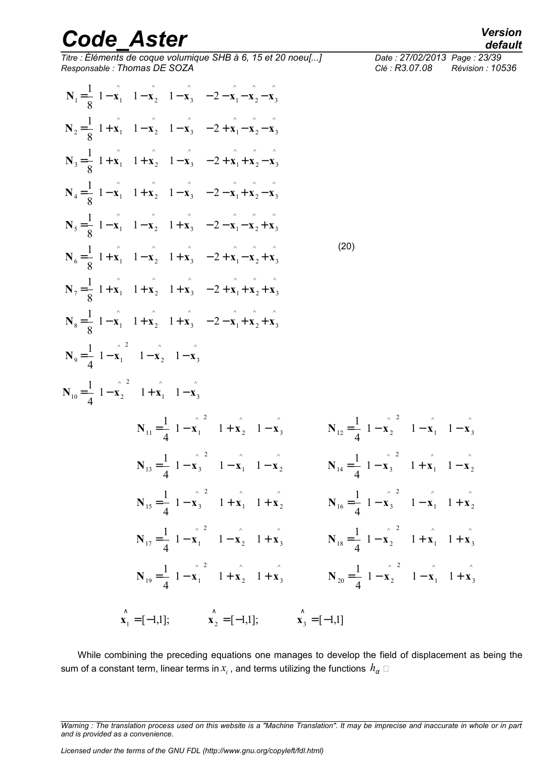$\overline{T}$ *Titre : Éléments de coque volumique SHB à 6, 15 et 20 noeu[...] Responsable : Thomas DE SOZA Clé : R3.07.08 Révision : 10536*

$$
N_{1} = \frac{1}{8}\left(1-x_{1}^{2}\right)\left(1-x_{2}^{2}\right)\left(1-x_{3}^{2}\right)\left(1-x_{2}^{2}-x_{1}^{2}-x_{2}^{2}-x_{3}^{2}\right)
$$
\n
$$
N_{2} = \frac{1}{8}\left(1+x_{1}^{2}\right)\left(1-x_{2}^{2}\right)\left(1-x_{3}^{2}\right)\left(1-x_{2}^{2}-2+x_{1}^{2}-x_{2}^{2}-x_{3}^{2}\right)
$$
\n
$$
N_{3} = \frac{1}{8}\left(1-x_{1}^{2}\right)\left(1+x_{2}^{2}\right)\left(1-x_{3}^{2}\right)\left(1-x_{3}^{2}-2+x_{1}^{2}+x_{2}^{2}-x_{3}^{2}\right)
$$
\n
$$
N_{4} = \frac{1}{8}\left(1-x_{1}^{2}\right)\left(1-x_{2}^{2}\right)\left(1+x_{3}^{2}\right)\left(1-x_{2}^{2}-2-x_{1}^{2}+x_{2}^{2}-x_{3}^{2}\right)
$$
\n
$$
N_{5} = \frac{1}{8}\left(1-x_{1}^{2}\right)\left(1-x_{2}^{2}\right)\left(1+x_{3}^{2}\right)\left(1-x_{2}^{2}+x_{1}^{2}+x_{2}^{2}\right)
$$
\n
$$
N_{7} = \frac{1}{8}\left(1+x_{1}^{2}\right)\left(1+x_{2}^{2}\right)\left(1+x_{3}^{2}\right)\left(1-x_{2}^{2}+x_{1}^{2}+x_{2}^{2}+x_{3}^{2}\right)
$$
\n
$$
N_{8} = \frac{1}{8}\left(1-x_{1}^{2}\right)\left(1+x_{2}^{2}\right)\left(1+x_{3}^{2}\right)\left(1-x_{3}^{2}\right)
$$
\n
$$
N_{10} = \frac{1}{4}\left(1-x_{1}^{2}\right)\left(1-x_{2}^{2}\right)\left(1-x_{3}^{2}\right)
$$
\n
$$
N_{11} = \frac{1}{4}\left(1-x_{1}^{2}\right)\left(1+x_{3}^{2}\right)\left(1-x_{3}^{2}\right)
$$
\n
$$
N_{12} = \frac{1}{4}\left(1-x_{2}^{2}\right)\left(1+x_{1
$$

While combining the preceding equations one manages to develop the field of displacement as being the sum of a constant term, linear terms in $x_i$  , and terms utilizing the functions  $\,h_\alpha^{}\sqsubseteq$ 

*Warning : The translation process used on this website is a "Machine Translation". It may be imprecise and inaccurate in whole or in part and is provided as a convenience.*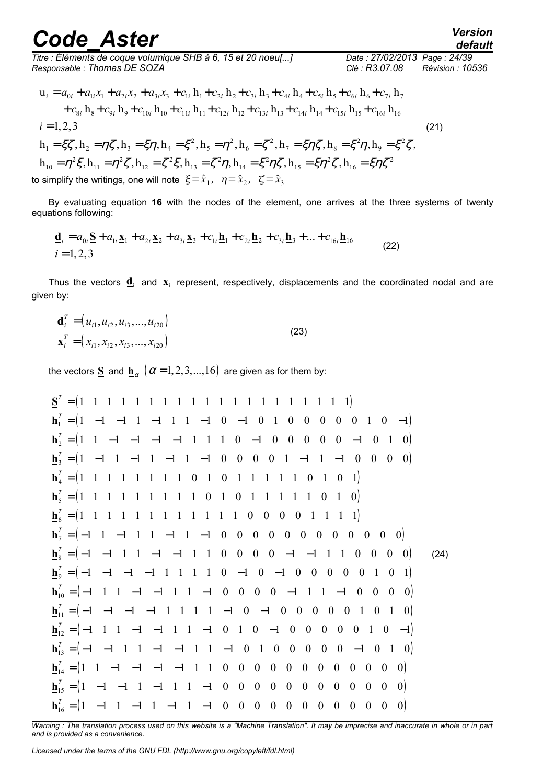*Titre : Éléments de coque volumique SHB à 6, 15 et 20 noeu[...] Date : 27/02/2013 Page : 24/39 Responsable : Thomas DE SOZA Clé : R3.07.08 Révision : 10536*

$$
\begin{cases}\n\mathbf{u}_{i} = a_{0i} + a_{1i}x_{1} + a_{2i}x_{2} + a_{3i}x_{3} + c_{1i} \mathbf{h}_{1} + c_{2i} \mathbf{h}_{2} + c_{3i} \mathbf{h}_{3} + c_{4i} \mathbf{h}_{4} + c_{5i} \mathbf{h}_{5} + c_{6i} \mathbf{h}_{6} + c_{7i} \mathbf{h}_{7} \\
+ c_{8i} \mathbf{h}_{8} + c_{9i} \mathbf{h}_{9} + c_{10i} \mathbf{h}_{10} + c_{11i} \mathbf{h}_{11} + c_{12i} \mathbf{h}_{12} + c_{13i} \mathbf{h}_{13} + c_{14i} \mathbf{h}_{14} + c_{15i} \mathbf{h}_{15} + c_{16i} \mathbf{h}_{16}\n\end{cases}
$$
\n(21)  
\n
$$
\begin{cases}\n\mathbf{i} = 1, 2, 3 \\
\mathbf{h}_{1} = \xi \zeta, \mathbf{h}_{2} = \eta \zeta, \mathbf{h}_{3} = \xi \eta, \mathbf{h}_{4} = \xi^{2}, \mathbf{h}_{5} = \eta^{2}, \mathbf{h}_{6} = \zeta^{2}, \mathbf{h}_{7} = \xi \eta \zeta, \mathbf{h}_{8} = \xi^{2} \eta, \mathbf{h}_{9} = \xi^{2} \zeta, \\
\mathbf{h}_{10} = \eta^{2} \xi, \mathbf{h}_{11} = \eta^{2} \zeta, \mathbf{h}_{12} = \zeta^{2} \xi, \mathbf{h}_{13} = \zeta^{2} \eta, \mathbf{h}_{14} = \xi^{2} \eta \zeta, \mathbf{h}_{15} = \xi \eta^{2} \zeta, \mathbf{h}_{16} = \xi \eta \zeta^{2}\n\end{cases}
$$
\n(21)  
\nto simplify the writings, one will note  $\xi = \hat{x}_{1}, \quad \eta = \hat{x}_{2}, \quad \zeta = \hat{x}_{3}$ 

By evaluating equation **16** with the nodes of the element, one arrives at the three systems of twenty equations following:

$$
\begin{cases} \mathbf{\underline{d}}_{i} = a_{0i} \mathbf{\underline{S}} + a_{1i} \mathbf{\underline{x}}_{1} + a_{2i} \mathbf{\underline{x}}_{2} + a_{3i} \mathbf{\underline{x}}_{3} + c_{1i} \mathbf{\underline{h}}_{1} + c_{2i} \mathbf{\underline{h}}_{2} + c_{3i} \mathbf{\underline{h}}_{3} + \dots + c_{16i} \mathbf{\underline{h}}_{16} \\ i = 1, 2, 3 \end{cases}
$$
(22)

Thus the vectors  $\underline{\mathbf{d}}_i$  and  $\underline{\mathbf{x}}_i$  represent, respectively, displacements and the coordinated nodal and are given by:

$$
\begin{cases}\n\underline{\mathbf{d}}_i^T = (u_{i1}, u_{i2}, u_{i3}, \dots, u_{i20}) \\
\underline{\mathbf{x}}_i^T = (x_{i1}, x_{i2}, x_{i3}, \dots, x_{i20})\n\end{cases}
$$
\n(23)

the vectors  $S$  and  $h_{\alpha}$   $(\alpha = 1, 2, 3, \dots, 16)$  are given as for them by:

( ) ( ) ( ) ( ) ( ) ( ) ( ) 1 2 3 4 5 6 7 1 1 1 1 1 1 1 1 1 1 1 1 1 1 1 1 1 1 1 1 1 1 1 1 1 1 1 1 0 1 0 1 0 0 0 0 0 1 0 1 1 1 1 1 1 1 1 1 1 0 1 0 0 0 0 0 1 0 1 0 1 1 1 1 1 1 1 1 0 0 0 0 1 1 1 1 0 0 0 0 1 1 1 1 1 1 1 1 0 1 0 1 1 1 1 1 0 1 0 1 1 1 1 1 1 1 1 1 1 0 1 0 1 1 1 1 1 0 1 0 1 1 1 1 1 1 1 1 1 1 1 1 0 0 0 0 1 1 1 1 1 1 1 1 1 1 1 *T T T T T T T T* = = − − − − − − = − − − − − − = − − − − − − = = = = − − − − **S h h h h h h h** ( ) ( ) ( ) ( ) ( ) ( ) ( ) 8 9 10 11 12 13 14 1 0 0 0 0 0 0 0 0 0 0 0 0 1 1 1 1 1 1 1 1 0 0 0 0 1 1 1 1 0 0 0 0 1 1 1 1 1 1 1 1 0 1 0 1 0 0 0 0 0 1 0 1 1 1 1 1 1 1 1 1 0 0 0 0 1 1 1 1 0 0 0 0 1 1 1 1 1 1 1 1 1 0 1 0 0 0 0 0 1 0 1 0 1 1 1 1 1 1 1 1 0 1 0 1 0 0 0 0 0 1 0 1 1 1 1 1 1 1 1 1 1 0 1 0 0 0 0 0 1 0 1 0 *T T T T T T* = − − − − − − = − − − − − − = − − − − − − = − − − − − − = − − − − − − = − − − − − − **h h h h h h h** ( ) ( ) ( ) 15 16 **h** 1 1 1 1 1 1 1 1 0 0 0 0 0 0 0 0 0 0 0 0 1 1 1 1 1 1 1 1 0 0 0 0 0 0 0 0 0 0 0 0 1 1 1 1 1 1 1 1 0 0 0 0 0 0 0 0 0 0 0 0 *T T T* = − − − − = − − − − = − − − − **h** (24)

*Warning : The translation process used on this website is a "Machine Translation". It may be imprecise and inaccurate in whole or in part and is provided as a convenience.*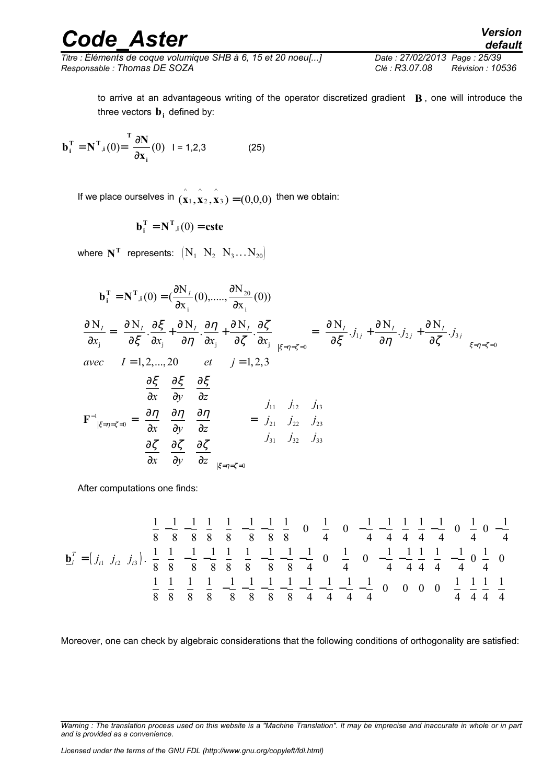*Code\_Aster Version Titre : Éléments de coque volumique SHB à 6, 15 et 20 noeu[...] Date : 27/02/2013 Page : 25/39*

*Responsable : Thomas DE SOZA Clé : R3.07.08 Révision : 10536*

to arrive at an advantageous writing of the operator discretized gradient **B** , one will introduce the three vectors  $\mathbf{b}_i$  defined by:

$$
\mathbf{b}_{i}^{\mathrm{T}} = \mathbf{N}^{\mathrm{T}}_{,i}(0) = \frac{\partial \mathbf{N}}{\partial \mathbf{x}_{i}}(0) \quad l = 1,2,3 \tag{25}
$$

If we place ourselves in  $(x_1, x_2, x_3) = (0,0,0)$ 2  $\wedge$ 1  $\hat{\mathbf{x}}_1, \hat{\mathbf{x}}_2, \hat{\mathbf{x}}_3$  ) =  $(0,0,0)$  <sup>then</sup> we obtain:

$$
\mathbf{b}_{i}^{\mathrm{T}} = \mathbf{N}^{\mathrm{T}}_{,i}(0) = \mathbf{cste}
$$

where  $\mathbf{N}^{\mathrm{T}}$  represents:  $\begin{bmatrix} \mathrm{N}_1 & \mathrm{N}_2 & \mathrm{N}_3 \dots \mathrm{N}_{20} \end{bmatrix}$ 

$$
\mathbf{b}_{i}^{\mathrm{T}} = \mathbf{N}^{\mathrm{T}}_{,i}(0) = \left(\frac{\partial N_{j}}{\partial x_{i}}(0), \dots, \frac{\partial N_{20}}{\partial x_{i}}(0)\right)
$$
\n
$$
\frac{\partial N_{j}}{\partial x_{j}} = \left(\frac{\partial N_{j}}{\partial \xi} \cdot \frac{\partial \xi}{\partial x_{j}} + \frac{\partial N_{j}}{\partial \eta} \cdot \frac{\partial \eta}{\partial x_{j}} + \frac{\partial N_{j}}{\partial \zeta} \cdot \frac{\partial \zeta}{\partial x_{j}}\right)_{\xi=\eta=\zeta=0} = \left(\frac{\partial N_{j}}{\partial \xi} \cdot \mathbf{j}_{1j} + \frac{\partial N_{j}}{\partial \eta} \cdot \mathbf{j}_{2j} + \frac{\partial N_{j}}{\partial \zeta} \cdot \mathbf{j}_{3j}\right)_{\xi=\eta=\zeta=0}
$$
\n
$$
a \text{vec} \qquad I = 1, 2, \dots, 20 \qquad \text{et} \qquad j = 1, 2, 3
$$
\n
$$
\mathbf{F}^{-1}_{|\xi=\eta=\zeta=0} = \left(\begin{array}{ccc} \frac{\partial \xi}{\partial x} & \frac{\partial \xi}{\partial y} & \frac{\partial \xi}{\partial z} \\ \frac{\partial \eta}{\partial x} & \frac{\partial \eta}{\partial y} & \frac{\partial \eta}{\partial z} \\ \frac{\partial \zeta}{\partial x} & \frac{\partial \zeta}{\partial y} & \frac{\partial \zeta}{\partial z} \\ \frac{\partial \zeta}{\partial x} & \frac{\partial \zeta}{\partial y} & \frac{\partial \zeta}{\partial z} \end{array}\right)_{\xi=\eta=\zeta=0} = \left(\begin{array}{ccc} j_{11} & j_{12} & j_{13} \\ j_{21} & j_{22} & j_{23} \\ j_{31} & j_{32} & j_{33} \end{array}\right)
$$

After computations one finds:

$$
\underline{\mathbf{b}}_{i}^{T} = (j_{i1} \ j_{i2} \ j_{i3}) \cdot \begin{bmatrix} \frac{1}{8} & -\frac{1}{8} & \frac{1}{8} & -\frac{1}{8} & -\frac{1}{8} & \frac{1}{8} & 0 & \frac{1}{4} & 0 & -\frac{1}{4} & -\frac{1}{4} & \frac{1}{4} & -\frac{1}{4} & 0 & \frac{1}{4} & 0 & -\frac{1}{4} \\ \frac{1}{8} & \frac{1}{8} & -\frac{1}{8} & -\frac{1}{8} & \frac{1}{8} & -\frac{1}{8} & -\frac{1}{8} & -\frac{1}{8} & -\frac{1}{4} & 0 & \frac{1}{4} & 0 & -\frac{1}{4} & -\frac{1}{4} & \frac{1}{4} & -\frac{1}{4} & 0 & \frac{1}{4} \\ \frac{1}{8} & \frac{1}{8} & -\frac{1}{8} & -\frac{1}{8} & -\frac{1}{8} & -\frac{1}{8} & -\frac{1}{8} & -\frac{1}{4} & -\frac{1}{4} & -\frac{1}{4} & -\frac{1}{4} & 0 & 0 & 0 & 0 & -\frac{1}{4} & \frac{1}{4} & \frac{1}{4} & \frac{1}{4} \\ \frac{1}{8} & \frac{1}{8} & \frac{1}{8} & -\frac{1}{8} & -\frac{1}{8} & -\frac{1}{8} & -\frac{1}{8} & -\frac{1}{8} & -\frac{1}{4} & -\frac{1}{4} & -\frac{1}{4} & -\frac{1}{4} & 0 & 0 & 0 & 0 & -\frac{1}{4} & \frac{1}{4} & \frac{1}{4} & \frac{1}{4} & \frac{1}{4} \end{bmatrix}
$$

Moreover, one can check by algebraic considerations that the following conditions of orthogonality are satisfied:

*Warning : The translation process used on this website is a "Machine Translation". It may be imprecise and inaccurate in whole or in part and is provided as a convenience.*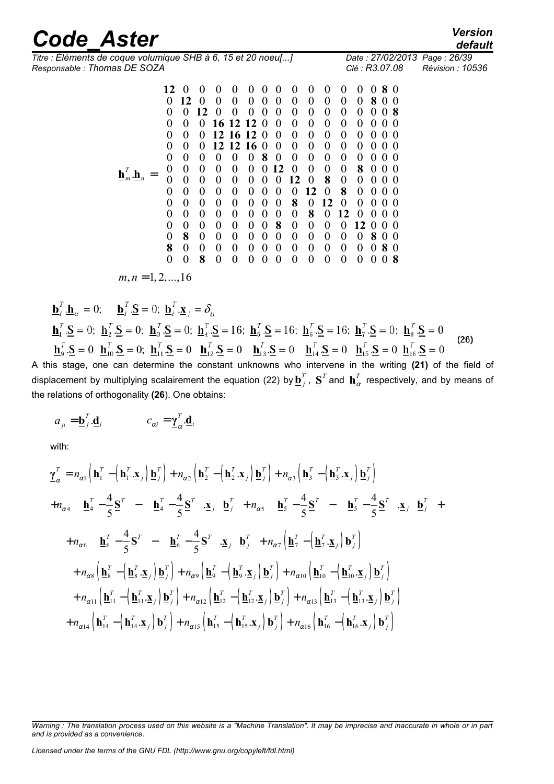*Titre : Éléments de coque volumique SHB à 6, 15 et 20 noeu[...] Responsable : Thomas DE SOZA Clé : R3.07.08 Révision : 10536*

*default*<br>Date : 27/02/2013 Page : 26/39

$$
\mathbf{h}_{m}^T.\mathbf{h}_{n} = \begin{bmatrix}\n12 & 0 & 0 & 0 & 0 & 0 & 0 & 0 & 0 & 0 & 0 & 0 & 0 & 8 & 0 \\
0 & 12 & 0 & 0 & 0 & 0 & 0 & 0 & 0 & 0 & 0 & 0 & 8 & 0 & 0 \\
0 & 0 & 12 & 0 & 0 & 0 & 0 & 0 & 0 & 0 & 0 & 0 & 0 & 0 & 8 \\
0 & 0 & 0 & 16 & 12 & 12 & 0 & 0 & 0 & 0 & 0 & 0 & 0 & 0 & 0 \\
0 & 0 & 0 & 12 & 16 & 12 & 0 & 0 & 0 & 0 & 0 & 0 & 0 & 0 & 0 \\
0 & 0 & 0 & 12 & 12 & 16 & 0 & 0 & 0 & 0 & 0 & 0 & 0 & 0 & 0 \\
0 & 0 & 0 & 0 & 0 & 0 & 8 & 0 & 0 & 0 & 0 & 0 & 0 & 0 & 0 \\
0 & 0 & 0 & 0 & 0 & 0 & 0 & 12 & 0 & 8 & 0 & 0 & 0 & 0 \\
0 & 0 & 0 & 0 & 0 & 0 & 0 & 0 & 12 & 0 & 8 & 0 & 0 & 0 & 0 \\
0 & 0 & 0 & 0 & 0 & 0 & 0 & 0 & 8 & 0 & 12 & 0 & 0 & 0 & 0 \\
0 & 0 & 0 & 0 & 0 & 0 & 0 & 0 & 8 & 0 & 12 & 0 & 0 & 0 & 0 \\
0 & 0 & 0 & 0 & 0 & 0 & 0 & 0 & 8 & 0 & 12 & 0 & 0 & 0 & 0 \\
0 & 8 & 0 & 0 & 0 & 0 & 0 & 0 & 0 & 0 & 0 & 0 & 0 & 0 & 8 & 0 \\
0 & 8 & 0 & 0 & 0 & 0 & 0 & 0 & 0 & 0 & 0 & 0 & 0 & 0 & 8 & 0 \\
0 & 8 & 0 & 0 & 0 & 0 & 0 & 0 & 0 & 0 & 0 & 0 & 0 & 0 & 8 & 0 \\
0 & 0 & 8 & 0 & 0 & 0 & 0 & 0 & 0 & 0 & 0 & 0 & 0 & 0 & 8 & 0 \\
0 & 0
$$

$$
\underline{\mathbf{b}}_1^T \underline{\mathbf{h}}_\alpha = 0; \quad \underline{\mathbf{b}}_1^T \underline{\mathbf{S}} = 0; \quad \underline{\mathbf{b}}_1^T \underline{\mathbf{X}}_j = \delta_{ij}
$$
\n
$$
\underline{\mathbf{h}}_1^T \underline{\mathbf{S}} = 0; \quad \underline{\mathbf{h}}_2^T \underline{\mathbf{S}} = 0; \quad \underline{\mathbf{h}}_3^T \underline{\mathbf{S}} = 0; \quad \underline{\mathbf{h}}_4^T \underline{\mathbf{S}} = 16; \quad \underline{\mathbf{h}}_5^T \underline{\mathbf{S}} = 16; \quad \underline{\mathbf{h}}_6^T \underline{\mathbf{S}} = 16; \quad \underline{\mathbf{h}}_7^T \underline{\mathbf{S}} = 0; \quad \underline{\mathbf{h}}_8^T \underline{\mathbf{S}} = 0
$$
\n
$$
\underline{\mathbf{h}}_9^T \underline{\mathbf{S}} = 0; \quad \underline{\mathbf{h}}_1^T \underline{\mathbf{S}} = 0; \quad \underline{\mathbf{h}}_1^T \underline{\mathbf{S}} = 0 \quad \underline{\mathbf{h}}_{12}^T \underline{\mathbf{S}} = 0 \quad \underline{\mathbf{h}}_{13}^T \underline{\mathbf{S}} = 0 \quad \underline{\mathbf{h}}_{14}^T \underline{\mathbf{S}} = 0 \quad \underline{\mathbf{h}}_{15}^T \underline{\mathbf{S}} = 0 \quad \underline{\mathbf{h}}_{16}^T \underline{\mathbf{S}} = 0 \quad (26)
$$

A this stage, one can determine the constant unknowns who intervene in the writing **(21)** of the field of displacement by multiplying scalairement the equation (22) by  $\frac{\bf b}{J}^T$ ,  $\frac{\bf S}{J}^T$  and  $\frac{\bf h}{\bf a}^T$  respectively, and by means of the relations of orthogonality **(26**). One obtains:

$$
a_{ji} = \underline{\mathbf{b}}_j^T \cdot \underline{\mathbf{d}}_i \qquad c_{\alpha i} = \underline{\gamma}_{\alpha}^T \cdot \underline{\mathbf{d}}_i
$$

with:

$$
\underline{\mathbf{Y}}_{\alpha}^{T} = n_{\alpha 1} \left( \underline{\mathbf{h}}_{1}^{T} - \left( \underline{\mathbf{h}}_{1}^{T} \underline{\mathbf{x}}_{j} \right) \underline{\mathbf{b}}_{j}^{T} \right) + n_{\alpha 2} \left( \underline{\mathbf{h}}_{2}^{T} - \left( \underline{\mathbf{h}}_{2}^{T} \underline{\mathbf{x}}_{j} \right) \underline{\mathbf{b}}_{j}^{T} \right) + n_{\alpha 3} \left( \underline{\mathbf{h}}_{3}^{T} - \left( \underline{\mathbf{h}}_{3}^{T} \underline{\mathbf{x}}_{j} \right) \underline{\mathbf{b}}_{j}^{T} \right) \n+ n_{\alpha 4} \left[ \left( \underline{\mathbf{h}}_{4}^{T} - \frac{4}{5} \underline{\mathbf{S}}^{T} \right) - \left( \left( \underline{\mathbf{h}}_{4}^{T} - \frac{4}{5} \underline{\mathbf{S}}^{T} \right) \underline{\mathbf{x}}_{j} \right) \underline{\mathbf{b}}_{j}^{T} \right] + n_{\alpha 5} \left[ \left( \underline{\mathbf{h}}_{5}^{T} - \frac{4}{5} \underline{\mathbf{S}}^{T} \right) - \left( \left( \underline{\mathbf{h}}_{5}^{T} - \frac{4}{5} \underline{\mathbf{S}}^{T} \right) \underline{\mathbf{x}}_{j} \right) \underline{\mathbf{b}}_{j}^{T} \right] + n_{\alpha 5} \left[ \left( \underline{\mathbf{h}}_{5}^{T} - \left( \underline{\mathbf{h}}_{5}^{T} \underline{\mathbf{x}}_{j} \right) \underline{\mathbf{b}}_{j}^{T} \right) + n_{\alpha 6} \left[ \left( \underline{\mathbf{h}}_{6}^{T} - \frac{4}{5} \underline{\mathbf{S}}^{T} \right) - \left( \left( \underline{\mathbf{h}}_{6}^{T} - \frac{4}{5} \underline{\mathbf{S}}^{T} \right) \underline{\mathbf{x}}_{j} \right) \underline{\mathbf{b}}_{j}^{T} \right) + n_{\alpha 7} \left( \underline{\mathbf{h}}_{7}^{T} - \left( \underline{\mathbf{h}}_{7}^{T} \underline{\mathbf{x}}_{j} \right) \underline{\mathbf{b}}_{j}^{T} \right) + n_{\
$$

*Warning : The translation process used on this website is a "Machine Translation". It may be imprecise and inaccurate in whole or in part and is provided as a convenience.*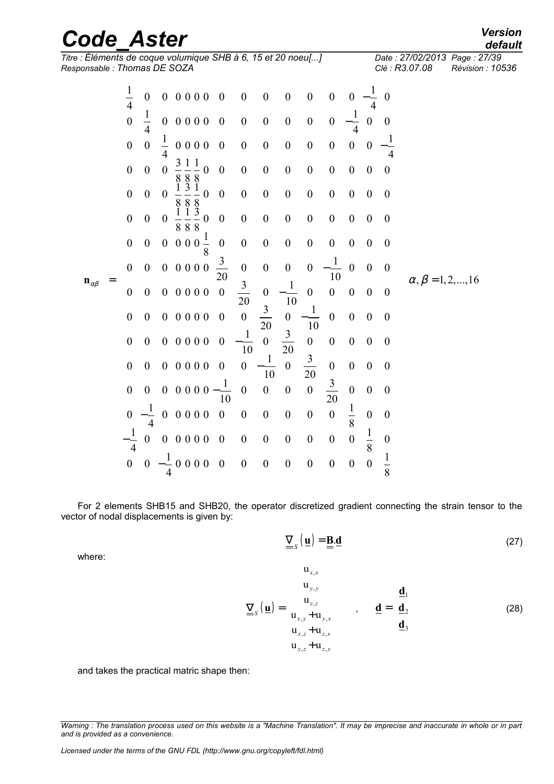| Responsable : Thomas DE SOZA               |                     |                  |                  |                                                                                                                                                       |                         | $\sigma$ boque volumique on $\sigma$ and $\sigma$ , no of $\epsilon$ hood |                          |                         |                  |                  |                  |                  |                  | $2010 + 490.4$<br>Clé : R3.07.08<br>Révision : 10536 |
|--------------------------------------------|---------------------|------------------|------------------|-------------------------------------------------------------------------------------------------------------------------------------------------------|-------------------------|---------------------------------------------------------------------------|--------------------------|-------------------------|------------------|------------------|------------------|------------------|------------------|------------------------------------------------------|
|                                            | $\frac{1}{4}$       |                  |                  | 0 0 0 0 0                                                                                                                                             | $\boldsymbol{0}$        | $\boldsymbol{0}$                                                          | $\boldsymbol{0}$         | $\boldsymbol{0}$        | $\boldsymbol{0}$ | $\boldsymbol{0}$ |                  | $0 -\frac{1}{4}$ | $\boldsymbol{0}$ |                                                      |
|                                            | $\overline{0}$      | $\frac{1}{4}$    |                  | 0 0 0 0 0                                                                                                                                             | $\overline{0}$          | $\boldsymbol{0}$                                                          | $\boldsymbol{0}$         | $\boldsymbol{0}$        | $\boldsymbol{0}$ | $\boldsymbol{0}$ | $\frac{1}{4}$    | $\boldsymbol{0}$ | $\boldsymbol{0}$ |                                                      |
|                                            | $\overline{0}$      | $\overline{0}$   |                  | $\frac{1}{4}$ 0 0 0 0                                                                                                                                 | $\bf{0}$                | $\boldsymbol{0}$                                                          | $\boldsymbol{0}$         | $\boldsymbol{0}$        | $\boldsymbol{0}$ | $\boldsymbol{0}$ | $\boldsymbol{0}$ | $\boldsymbol{0}$ | $\frac{1}{4}$    |                                                      |
|                                            | $\mathbf{0}$        | $\mathbf{0}$     | $\boldsymbol{0}$ | $\frac{3}{2}$ $\frac{1}{2}$ $\frac{1}{2}$ 0                                                                                                           | $\overline{0}$          | $\boldsymbol{0}$                                                          | $\boldsymbol{0}$         | $\boldsymbol{0}$        | $\boldsymbol{0}$ | $\boldsymbol{0}$ | $\boldsymbol{0}$ | $\boldsymbol{0}$ | $\boldsymbol{0}$ |                                                      |
|                                            | $\boldsymbol{0}$    | $\boldsymbol{0}$ | $\boldsymbol{0}$ |                                                                                                                                                       | $\boldsymbol{0}$        | $\boldsymbol{0}$                                                          | $\boldsymbol{0}$         | $\boldsymbol{0}$        | $\boldsymbol{0}$ | $\overline{0}$   | $\boldsymbol{0}$ | $\boldsymbol{0}$ | $\boldsymbol{0}$ |                                                      |
|                                            | $\boldsymbol{0}$    | $\boldsymbol{0}$ | $\boldsymbol{0}$ | $\frac{8}{8} \frac{8}{8} \frac{8}{8} \frac{1}{8} 0$<br>$\frac{1}{8} \frac{3}{8} \frac{1}{8} \frac{3}{8} 0$<br>$\frac{1}{8} \frac{1}{8} \frac{3}{8} 0$ | $\boldsymbol{0}$        | $\boldsymbol{0}$                                                          | $\boldsymbol{0}$         | $\boldsymbol{0}$        | $\boldsymbol{0}$ | $\boldsymbol{0}$ | $\boldsymbol{0}$ | $\boldsymbol{0}$ | $\boldsymbol{0}$ |                                                      |
|                                            | $\overline{0}$      | $\boldsymbol{0}$ |                  | $0\;\; 0\;\; 0\;\; 0\;\frac{1}{8}$                                                                                                                    | $\boldsymbol{0}$        | $\overline{0}$                                                            | $\overline{\phantom{0}}$ | $\boldsymbol{0}$        | $\boldsymbol{0}$ | $\boldsymbol{0}$ | $\boldsymbol{0}$ | $\boldsymbol{0}$ | $\boldsymbol{0}$ |                                                      |
|                                            | $\boldsymbol{0}$    | $\overline{0}$   |                  | $0\ 0\ 0\ 0\ 0\ \frac{3}{20}$                                                                                                                         |                         | $\boldsymbol{0}$                                                          | $\overline{0}$           | $\overline{\mathbf{0}}$ | $\overline{0}$   | $-\frac{1}{10}$  | $\boldsymbol{0}$ | $\boldsymbol{0}$ | $\boldsymbol{0}$ |                                                      |
| $\left[\mathbf{n}_{\alpha\beta}\,\right]=$ |                     | $\boldsymbol{0}$ |                  | 0 0 0 0 0                                                                                                                                             | $\boldsymbol{0}$        | $\frac{3}{20}$                                                            | $\boldsymbol{0}$         | $-\frac{1}{10}$         | $\overline{0}$   | $\overline{0}$   | $\boldsymbol{0}$ | $\boldsymbol{0}$ | $\boldsymbol{0}$ | $\alpha, \beta = 1, 2, , 16$                         |
|                                            | $\overline{0}$      | $\overline{0}$   |                  | 0 0 0 0 0                                                                                                                                             | $\overline{\mathbf{0}}$ | $\boldsymbol{0}$                                                          | $\frac{3}{20}$           | $\boldsymbol{0}$        | $-\frac{1}{10}$  | $\boldsymbol{0}$ | $\boldsymbol{0}$ | $\boldsymbol{0}$ | $\boldsymbol{0}$ |                                                      |
|                                            | $\boldsymbol{0}$    | $\boldsymbol{0}$ |                  | 0 0 0 0 0                                                                                                                                             | $\boldsymbol{0}$        | $-\frac{1}{10}$                                                           | $\overline{0}$           | $\frac{3}{20}$          | $\bf{0}$         | $\overline{0}$   | $\boldsymbol{0}$ | $\boldsymbol{0}$ | $\boldsymbol{0}$ |                                                      |
|                                            | $\boldsymbol{0}$    | $\boldsymbol{0}$ |                  | 0 0 0 0 0                                                                                                                                             | $\overline{\mathbf{0}}$ | $\boldsymbol{0}$                                                          | $-\frac{1}{10}$          | $\boldsymbol{0}$        | $\frac{3}{20}$   | $\overline{0}$   | $\boldsymbol{0}$ | $\boldsymbol{0}$ | $\boldsymbol{0}$ |                                                      |
|                                            | $\overline{0}$      | $\boldsymbol{0}$ |                  | $0\quad 0\ 0\ 0\ 0\ -\frac{1}{10}$                                                                                                                    |                         | $\bf{0}$                                                                  | $\boldsymbol{0}$         | $\boldsymbol{0}$        | $\boldsymbol{0}$ | $\frac{3}{20}$   | $\boldsymbol{0}$ | $\boldsymbol{0}$ | $\boldsymbol{0}$ |                                                      |
|                                            | $\boldsymbol{0}$    |                  |                  | $-\frac{1}{4}$ 0 0 0 0 0                                                                                                                              | $\boldsymbol{0}$        | $\boldsymbol{0}$                                                          | $\boldsymbol{0}$         | $\boldsymbol{0}$        | $\boldsymbol{0}$ | $\boldsymbol{0}$ | $rac{1}{8}$      | $\boldsymbol{0}$ | $\boldsymbol{0}$ |                                                      |
|                                            |                     | $\boldsymbol{0}$ |                  | $0\  \  \, 0\  \, 0\  \, 0\  \  \, 0$                                                                                                                 |                         | $\overline{\mathbf{0}}$                                                   | $\boldsymbol{0}$         | $\boldsymbol{0}$        | $\boldsymbol{0}$ | $\boldsymbol{0}$ | $\overline{0}$   | $\frac{1}{8}$    | $\boldsymbol{0}$ |                                                      |
|                                            | $-\frac{1}{4}$<br>0 |                  |                  | $0 - \frac{1}{4} 0 0 0 0 0$                                                                                                                           |                         | $\overline{0}$                                                            | $\overline{0}$           | $\overline{0}$          | $\overline{0}$   | $\overline{0}$   | $\boldsymbol{0}$ | $\boldsymbol{0}$ | $\frac{1}{8}$    |                                                      |

For 2 elements SHB15 and SHB20, the operator discretized gradient connecting the strain tensor to the vector of nodal displacements is given by:

 $\sum_{i=1}^{n}$  ( $\mathbf{u}$ ) = **<u>B</u>**.**d** (27)

where:

$$
\underline{\underline{\nabla}}_{S}(\underline{\mathbf{u}}) = \begin{bmatrix} u_{x,x} \\ u_{y,y} \\ u_{z,z} \\ u_{x,y} + u_{y,x} \\ u_{x,z} + u_{z,x} \\ u_{y,z} + u_{z,y} \end{bmatrix}, \quad \underline{\mathbf{d}} = \begin{bmatrix} \underline{\mathbf{d}}_{1} \\ \underline{\mathbf{d}}_{2} \\ \underline{\mathbf{d}}_{3} \end{bmatrix}
$$
(28)

and takes the practical matric shape then:

*Titre : Éléments de coque volumique SHB à 6, 15 et 20 noeu[...] Date : 27/02/2013 Page : 27/39*

*Warning : The translation process used on this website is a "Machine Translation". It may be imprecise and inaccurate in whole or in part and is provided as a convenience.*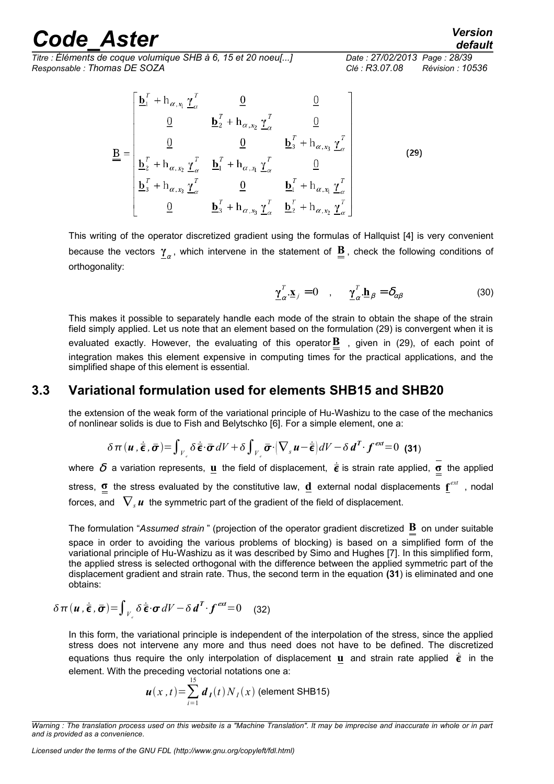*Titre : Éléments de coque volumique SHB à 6, 15 et 20 noeu[...] Date : 27/02/2013 Page : 28/39 Responsable : Thomas DE SOZA Clé : R3.07.08 Révision : 10536*

$$
\underline{\mathbf{B}} = \begin{bmatrix} \underline{\mathbf{b}}_1^T + \mathbf{h}_{\alpha,x_1} \underline{\gamma}_{\alpha}^T & \underline{\mathbf{0}} & \underline{\mathbf{0}} & \underline{\mathbf{0}} \\ \underline{\mathbf{0}} & \underline{\mathbf{b}}_2^T + \mathbf{h}_{\alpha,x_2} \underline{\gamma}_{\alpha}^T & \underline{\mathbf{0}} \\ \underline{\mathbf{0}} & \underline{\mathbf{0}} & \underline{\mathbf{b}}_3^T + \mathbf{h}_{\alpha,x_3} \underline{\gamma}_{\alpha}^T \\ \underline{\mathbf{b}}_2^T + \mathbf{h}_{\alpha,x_2} \underline{\gamma}_{\alpha}^T & \underline{\mathbf{b}}_1^T + \mathbf{h}_{\alpha,x_1} \underline{\gamma}_{\alpha}^T & \underline{\mathbf{0}} \\ \underline{\mathbf{b}}_3^T + \mathbf{h}_{\alpha,x_3} \underline{\gamma}_{\alpha}^T & \underline{\mathbf{0}} & \underline{\mathbf{b}}_1^T + \mathbf{h}_{\alpha,x_1} \underline{\gamma}_{\alpha}^T \\ \underline{\mathbf{0}} & \underline{\mathbf{0}} & \underline{\mathbf{b}}_3^T + \mathbf{h}_{\alpha,x_2} \underline{\gamma}_{\alpha}^T & \underline{\mathbf{b}}_2^T + \mathbf{h}_{\alpha,x_2} \underline{\gamma}_{\alpha}^T \end{bmatrix}
$$
(29)

This writing of the operator discretized gradient using the formulas of Hallquist [4] is very convenient because the vectors  $\frac{\gamma}{\alpha}$ , which intervene in the statement of  $\frac{B}{m}$ , check the following conditions of orthogonality:

$$
\underline{\gamma}_{\alpha}^T \underline{\mathbf{x}}_j = 0 \quad , \quad \underline{\gamma}_{\alpha}^T \underline{\mathbf{h}}_{\beta} = \delta_{\alpha \beta} \tag{30}
$$

This makes it possible to separately handle each mode of the strain to obtain the shape of the strain field simply applied. Let us note that an element based on the formulation (29) is convergent when it is evaluated exactly. However, the evaluating of this operator  $\bf{B}$ , given in (29), of each point of integration makes this element expensive in computing times for the practical applications, and the simplified shape of this element is essential.

#### **3.3 Variational formulation used for elements SHB15 and SHB20**

<span id="page-27-0"></span>the extension of the weak form of the variational principle of Hu-Washizu to the case of the mechanics of nonlinear solids is due to Fish and Belytschko [6]. For a simple element, one a:

$$
\delta \pi (u, \dot{\bar{\boldsymbol{\epsilon}}}, \bar{\boldsymbol{\sigma}}) = \int_{V_{\epsilon}} \delta \dot{\bar{\boldsymbol{\epsilon}}} \cdot \bar{\boldsymbol{\sigma}} \, dV + \delta \int_{V_{\epsilon}} \bar{\boldsymbol{\sigma}} \cdot (\nabla_{s} u - \dot{\bar{\boldsymbol{\epsilon}}}) \, dV - \delta \, d^{T} \cdot \boldsymbol{f}^{ext} = 0 \tag{31}
$$

where  $\delta$  a variation represents, **u** the field of displacement,  $\dot{\bar{\epsilon}}$  is strain rate applied,  $\sigma$  the applied stress,  $\sigma$  the stress evaluated by the constitutive law,  $\sigma$  external nodal displacements  $f^{ext}$ , nodal forces, and  $\nabla_{\alpha} u$  the symmetric part of the gradient of the field of displacement.

The formulation "*Assumed strain* " (projection of the operator gradient discretized **B** on under suitable space in order to avoiding the various problems of blocking) is based on a simplified form of the variational principle of Hu-Washizu as it was described by Simo and Hughes [7]. In this simplified form, the applied stress is selected orthogonal with the difference between the applied symmetric part of the displacement gradient and strain rate. Thus, the second term in the equation **(31**) is eliminated and one obtains:

$$
\delta \pi (\boldsymbol{u}, \dot{\boldsymbol{\epsilon}}, \bar{\boldsymbol{\sigma}}) = \int_{V_e} \delta \dot{\boldsymbol{\epsilon}} \cdot \boldsymbol{\sigma} \, dV - \delta \, \boldsymbol{d}^T \cdot \boldsymbol{f}^{\text{ext}} = 0 \quad (32)
$$

In this form, the variational principle is independent of the interpolation of the stress, since the applied stress does not intervene any more and thus need does not have to be defined. The discretized equations thus require the only interpolation of displacement **u** and strain rate applied  $\vec{\epsilon}$  in the element. With the preceding vectorial notations one a:

$$
\boldsymbol{u}(x, t) = \sum_{i=1}^{15} \boldsymbol{d}_I(t) N_I(x)
$$
 (element SHB15)

*Licensed under the terms of the GNU FDL (http://www.gnu.org/copyleft/fdl.html)*

*Warning : The translation process used on this website is a "Machine Translation". It may be imprecise and inaccurate in whole or in part and is provided as a convenience.*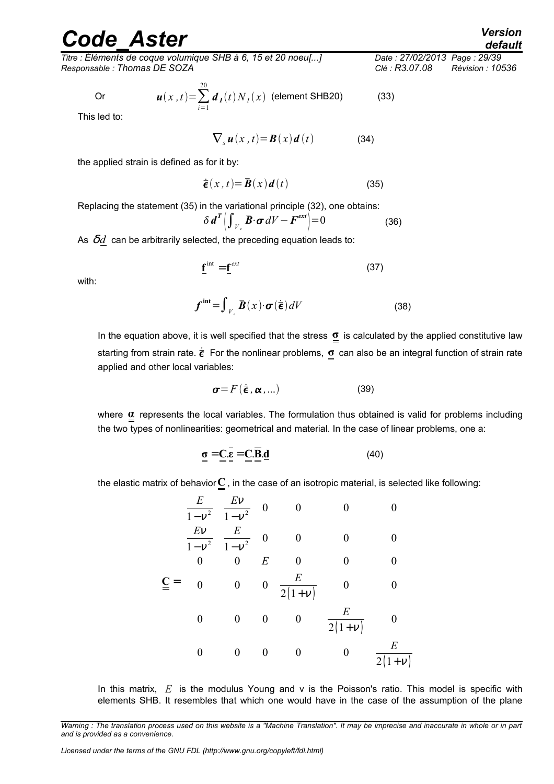*Titre : Éléments de coque volumique SHB à 6, 15 et 20 noeu[...] Date : 27/02/2013 Page : 29/39 Responsable : Thomas DE SOZA Clé : R3.07.08 Révision : 10536*

Or 
$$
\boldsymbol{u}(x,t) = \sum_{i=1}^{20} \boldsymbol{d}_I(t) N_I(x)
$$
 (element SHB20) (33)

This led to:

$$
\nabla_{s} \boldsymbol{u}(x, t) = \boldsymbol{B}(x) \boldsymbol{d}(t) \tag{34}
$$

the applied strain is defined as for it by:

$$
\dot{\overline{\boldsymbol{\epsilon}}}(x,t) = \overline{\boldsymbol{B}}(x)\boldsymbol{d}(t) \tag{35}
$$

Replacing the statement (35) in the variational principle (32), one obtains:

$$
\delta \, d^T \Big( \int_{V_e} \vec{B} \cdot \boldsymbol{\sigma} \, dV - \boldsymbol{F}^{ext} \Big) = 0 \tag{36}
$$

As  $\delta d$  can be arbitrarily selected, the preceding equation leads to:

$$
\underline{\mathbf{f}}^{\text{int}} = \underline{\mathbf{f}}^{\text{ext}} \tag{37}
$$

with:

$$
\boldsymbol{f}^{\text{int}} = \int_{V_e} \boldsymbol{\bar{B}}(x) \cdot \boldsymbol{\sigma}(\dot{\boldsymbol{\epsilon}}) dV \tag{38}
$$

In the equation above, it is well specified that the stress  $\sigma$  is calculated by the applied constitutive law starting from strain rate.  $\vec{\epsilon}$  For the nonlinear problems, **σ** can also be an integral function of strain rate applied and other local variables:

$$
\boldsymbol{\sigma} = F(\dot{\boldsymbol{\epsilon}}, \boldsymbol{\alpha}, \ldots) \tag{39}
$$

where **α** represents the local variables. The formulation thus obtained is valid for problems including the two types of nonlinearities: geometrical and material. In the case of linear problems, one a:

$$
\underline{\underline{\sigma}} = \underline{\underline{C}} \cdot \underline{\underline{\overline{\epsilon}}} = \underline{\underline{C}} \cdot \underline{\underline{\overline{\mathbf{B}}}} \cdot \underline{\underline{\mathbf{d}}} \tag{40}
$$

the elastic matrix of behavior**C** , in the case of an isotropic material, is selected like following:

$$
\underline{\underline{C}} = \begin{bmatrix} \underline{E} & \underline{E}v & 0 & 0 & 0 & 0 \\ \underline{E}v & \underline{E} & 0 & 0 & 0 & 0 \\ \underline{E}v & \underline{E} & 0 & 0 & 0 & 0 \\ 0 & 0 & \underline{E} & 0 & 0 & 0 \\ 0 & 0 & 0 & \underline{E} & 0 & 0 \\ 0 & 0 & 0 & 0 & \underline{E} & 0 \\ 0 & 0 & 0 & 0 & \frac{\underline{E}}{2(1+\nu)} & 0 \\ 0 & 0 & 0 & 0 & 0 & \frac{\underline{E}}{2(1+\nu)} \end{bmatrix}
$$

In this matrix, E is the modulus Young and v is the Poisson's ratio. This model is specific with elements SHB. It resembles that which one would have in the case of the assumption of the plane

*Warning : The translation process used on this website is a "Machine Translation". It may be imprecise and inaccurate in whole or in part and is provided as a convenience.*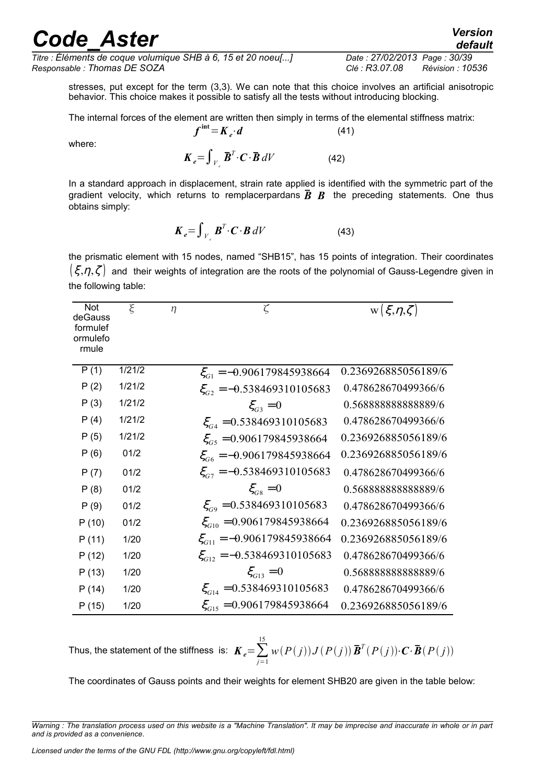*Titre : Éléments de coque volumique SHB à 6, 15 et 20 noeu[...] Date : 27/02/2013 Page : 30/39 Responsable : Thomas DE SOZA Clé : R3.07.08 Révision : 10536*

stresses, put except for the term (3,3). We can note that this choice involves an artificial anisotropic behavior. This choice makes it possible to satisfy all the tests without introducing blocking.

The internal forces of the element are written then simply in terms of the elemental stiffness matrix:  $f^{\text{int}} = K_e \cdot d$  (41)

where:

$$
\boldsymbol{K}_e = \int_{V_e} \boldsymbol{\bar{B}}^T \cdot \boldsymbol{C} \cdot \boldsymbol{\bar{B}} \, dV \tag{42}
$$

In a standard approach in displacement, strain rate applied is identified with the symmetric part of the gradient velocity, which returns to remplacerpardans  $\bar{B}$   $B$  the preceding statements. One thus obtains simply:

$$
\boldsymbol{K}_e = \int_{V_e} \boldsymbol{B}^T \cdot \boldsymbol{C} \cdot \boldsymbol{B} \, dV \tag{43}
$$

the prismatic element with 15 nodes, named "SHB15", has 15 points of integration. Their coordinates  $(\xi, \eta, \zeta)$  and their weights of integration are the roots of the polynomial of Gauss-Legendre given in the following table:

| <b>Not</b><br>deGauss<br>formulef<br>ormulefo<br>rmule | ξ      | n | ζ                                | $w(\xi, \eta, \zeta)$ |
|--------------------------------------------------------|--------|---|----------------------------------|-----------------------|
| P(1)                                                   | 1/21/2 |   | $\xi_{G1} = -0.906179845938664$  | 0.236926885056189/6   |
| P(2)                                                   | 1/21/2 |   | $\xi_{G2} = -0.538469310105683$  | 0.478628670499366/6   |
| P(3)                                                   | 1/21/2 |   | $\xi_{G3}=0$                     | 0.56888888888889/6    |
| P(4)                                                   | 1/21/2 |   | $\xi_{Ga} = 0.538469310105683$   | 0.478628670499366/6   |
| P(5)                                                   | 1/21/2 |   | $\xi_{GS} = 0.906179845938664$   | 0.236926885056189/6   |
| P(6)                                                   | 01/2   |   | $\xi_{GB} = -0.906179845938664$  | 0.236926885056189/6   |
| P(7)                                                   | 01/2   |   | $\xi_{G7} = -0.538469310105683$  | 0.478628670499366/6   |
| P(8)                                                   | 01/2   |   | $\xi_{\scriptscriptstyle GB}=0$  | 0.56888888888889/6    |
| P(9)                                                   | 01/2   |   | $\xi_{G9} = 0.538469310105683$   | 0.478628670499366/6   |
| P(10)                                                  | 01/2   |   | $\xi_{G10} = 0.906179845938664$  | 0.236926885056189/6   |
| P(11)                                                  | 1/20   |   | $\xi_{G11} = -0.906179845938664$ | 0.236926885056189/6   |
| P(12)                                                  | 1/20   |   | $\xi_{G12} = -0.538469310105683$ | 0.478628670499366/6   |
| P(13)                                                  | 1/20   |   | $\xi_{G13} = 0$                  | 0.56888888888889/6    |
| P(14)                                                  | 1/20   |   | $\xi_{G14} = 0.538469310105683$  | 0.478628670499366/6   |
| P(15)                                                  | 1/20   |   | $\xi_{G15} = 0.906179845938664$  | 0.236926885056189/6   |

Thus, the statement of the stiffness is:  $K_e = \sum_{j=1}^{}%{\color{red} \sum_{j=1}^{K}} \, \frac{1}{2\pi\hbar^2}$ 15  $w(P(j))J(P(j))\overline{\bm{B}}^T(P(j))\cdot\bm{C}\cdot\overline{\bm{B}}(P(j))$ 

The coordinates of Gauss points and their weights for element SHB20 are given in the table below:

*Warning : The translation process used on this website is a "Machine Translation". It may be imprecise and inaccurate in whole or in part and is provided as a convenience.*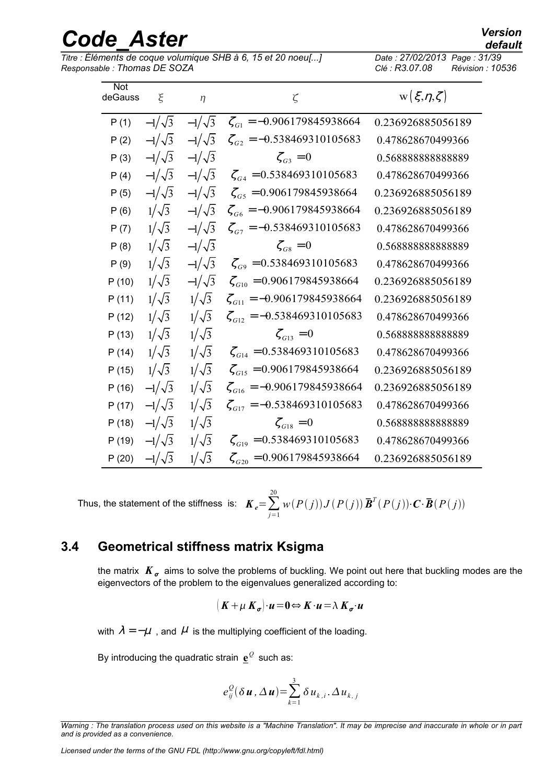*Titre : Éléments de coque volumique SHB à 6, 15 et 20 noeu[...] Date : 27/02/2013 Page : 31/39 Responsable : Thomas DE SOZA Clé : R3.07.08 Révision : 10536*

| Not<br>deGauss | ξ             | $\eta$        | ζ                                         | $w(\xi, \eta, \zeta)$ |
|----------------|---------------|---------------|-------------------------------------------|-----------------------|
| P(1)           | $-1/\sqrt{3}$ | $-1/\sqrt{3}$ | $\zeta_{G1} = -0.906179845938664$         | 0.236926885056189     |
| P(2)           | $-1/\sqrt{3}$ | $-1/\sqrt{3}$ | $\zeta_{G2} = -0.538469310105683$         | 0.478628670499366     |
| P(3)           | $-1/\sqrt{3}$ | $-1/\sqrt{3}$ | $\zeta_{G3} = 0$                          | 0.56888888888889      |
| P(4)           | $-1/\sqrt{3}$ | $-1/\sqrt{3}$ | $\zeta_{G4} = 0.538469310105683$          | 0.478628670499366     |
| P(5)           | $-1/\sqrt{3}$ | $-1/\sqrt{3}$ | $\zeta_{gs} = 0.906179845938664$          | 0.236926885056189     |
| P(6)           | $1/\sqrt{3}$  | $-1/\sqrt{3}$ | $\zeta_{\rm G6} = -0.906179845938664$     | 0.236926885056189     |
| P(7)           | $1/\sqrt{3}$  | $-1/\sqrt{3}$ | $\zeta_{G7} = -0.538469310105683$         | 0.478628670499366     |
| P(8)           | $1/\sqrt{3}$  | $-1/\sqrt{3}$ | $\zeta_{\scriptscriptstyle GB}=0$         | 0.56888888888889      |
| P(9)           | $1/\sqrt{3}$  | $-1/\sqrt{3}$ | $\zeta_{G9} = 0.538469310105683$          | 0.478628670499366     |
| P(10)          | $1/\sqrt{3}$  | $-1/\sqrt{3}$ | $\zeta_{G10} = 0.906179845938664$         | 0.236926885056189     |
| P(11)          | $1/\sqrt{3}$  | $1/\sqrt{3}$  | $\zeta_{\text{G1}} = -0.906179845938664$  | 0.236926885056189     |
| P(12)          | $1/\sqrt{3}$  | $1/\sqrt{3}$  | $\zeta_{G12} = -0.538469310105683$        | 0.478628670499366     |
| P(13)          | $1/\sqrt{3}$  | $1/\sqrt{3}$  | $\zeta_{G13} = 0$                         | 0.56888888888889      |
| P(14)          | $1/\sqrt{3}$  | $1/\sqrt{3}$  | $\zeta_{G14} = 0.538469310105683$         | 0.478628670499366     |
| P(15)          | $1/\sqrt{3}$  | $1/\sqrt{3}$  | $\zeta_{G15} = 0.906179845938664$         | 0.236926885056189     |
| P(16)          | $-1/\sqrt{3}$ | $1/\sqrt{3}$  | $\zeta_{\text{G16}} = -0.906179845938664$ | 0.236926885056189     |
| P(17)          | $-1/\sqrt{3}$ | $1/\sqrt{3}$  | $\zeta_{G17} = -0.538469310105683$        | 0.478628670499366     |
| P(18)          | $-1/\sqrt{3}$ | $1/\sqrt{3}$  | $\zeta_{\rm G18}=0$                       | 0.56888888888889      |
| P(19)          | $-1/\sqrt{3}$ | $1/\sqrt{3}$  | $\zeta_{G19} = 0.538469310105683$         | 0.478628670499366     |
| P(20)          | $-1/\sqrt{3}$ | $1/\sqrt{3}$  | $\zeta_{G20} = 0.906179845938664$         | 0.236926885056189     |

Thus, the statement of the stiffness is:  $K_e = \sum_{j=1}^n$ 20  $w(P(j))J(P(j))\overline{B}^{T}(P(j))\cdot C\cdot \overline{B}(P(j))$ 

### **3.4 Geometrical stiffness matrix Ksigma**

<span id="page-30-0"></span>the matrix  $K_{\sigma}$  aims to solve the problems of buckling. We point out here that buckling modes are the eigenvectors of the problem to the eigenvalues generalized according to:

$$
(K+\mu K_{\sigma})\cdot u=0 \Leftrightarrow K\cdot u=\lambda K_{\sigma}\cdot u
$$

with  $\lambda = -\mu$ , and  $\mu$  is the multiplying coefficient of the loading.

By introducing the quadratic strain  $\mathbf{e}^{\mathcal{Q}}$  such as:

$$
e_{ij}^Q(\delta \mathbf{u}, \Delta \mathbf{u}) = \sum_{k=1}^3 \delta u_{k,i} \cdot \Delta u_{k,j}
$$

*Warning : The translation process used on this website is a "Machine Translation". It may be imprecise and inaccurate in whole or in part and is provided as a convenience.*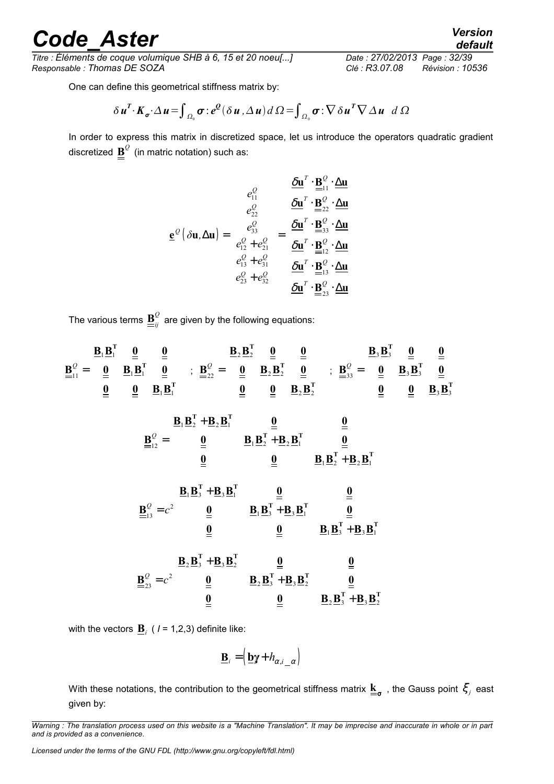$\overline{T}$ itre : Éléments de coque volumique SHB à 6, 15 et 20 noeu[...] *Responsable : Thomas DE SOZA Clé : R3.07.08 Révision : 10536*

*default*

One can define this geometrical stiffness matrix by:

$$
\delta \mathbf{u}^T \cdot \mathbf{K}_{\sigma} \cdot \Delta \mathbf{u} = \int_{\Omega_0} \sigma : e^{\mathbf{Q}} (\delta \mathbf{u}, \Delta \mathbf{u}) d\Omega = \int_{\Omega_0} \sigma : \nabla \delta \mathbf{u}^T \nabla \Delta \mathbf{u} d\Omega
$$

In order to express this matrix in discretized space, let us introduce the operators quadratic gradient discretized  $\mathbf{B}^{\mathcal{Q}}$  (in matric notation) such as:

$$
\underline{\mathbf{e}}^{Q}(\delta \mathbf{u}, \Delta \mathbf{u}) = \begin{bmatrix} e_{11}^{Q} \\ e_{22}^{Q} \\ e_{33}^{Q} \\ e_{13}^{Q} + e_{21}^{Q} \\ e_{13}^{Q} + e_{31}^{Q} \\ e_{23}^{Q} + e_{32}^{Q} \end{bmatrix} = \begin{bmatrix} \underline{\delta \mathbf{u}}^{T} \cdot \underline{\mathbf{B}}_{11}^{Q} \cdot \underline{\Delta \mathbf{u}} \\ \underline{\delta \mathbf{u}}^{T} \cdot \underline{\mathbf{B}}_{22}^{Q} \cdot \underline{\Delta \mathbf{u}} \\ \underline{\delta \mathbf{u}}^{T} \cdot \underline{\mathbf{B}}_{12}^{Q} \cdot \underline{\Delta \mathbf{u}} \\ \underline{\delta \mathbf{u}}^{T} \cdot \underline{\mathbf{B}}_{13}^{Q} \cdot \underline{\Delta \mathbf{u}} \\ \underline{\delta \mathbf{u}}^{T} \cdot \underline{\mathbf{B}}_{13}^{Q} \cdot \underline{\Delta \mathbf{u}} \\ \underline{\delta \mathbf{u}}^{T} \cdot \underline{\mathbf{B}}_{23}^{Q} \cdot \underline{\Delta \mathbf{u}} \\ \underline{\delta \mathbf{u}}^{T} \cdot \underline{\mathbf{B}}_{23}^{Q} \cdot \underline{\Delta \mathbf{u}} \end{bmatrix}
$$

The various terms  $\mathbf{B}_{u}^{\mathcal{Q}}$  $\underline{\mathbf{B}}^{\mathcal{Q}}_{ij}$  are given by the following equations:

$$
\underline{\mathbf{B}}_{11}^{Q} = \begin{bmatrix} \underline{\mathbf{B}}_{1} \underline{\mathbf{B}}_{1}^{T} & \underline{\underline{\mathbf{0}}} & \underline{\underline{\mathbf{0}}} & \underline{\underline{\mathbf{0}}} \\ \underline{\underline{\mathbf{0}}} & \underline{\mathbf{B}}_{1} \underline{\mathbf{B}}_{1}^{T} & \underline{\underline{\mathbf{0}}} \\ \underline{\underline{\mathbf{0}}} & \underline{\underline{\mathbf{0}}} & \underline{\mathbf{B}}_{1} \underline{\mathbf{B}}_{1}^{T} \end{bmatrix} ; \ \ \underline{\mathbf{B}}_{22}^{Q} = \begin{bmatrix} \underline{\mathbf{B}}_{2} \underline{\mathbf{B}}_{2}^{T} & \underline{\underline{\mathbf{0}}} & \underline{\underline{\mathbf{0}}} & \underline{\underline{\mathbf{0}}} \\ \underline{\underline{\mathbf{0}}} & \underline{\underline{\mathbf{0}}} & \underline{\underline{\mathbf{B}}}_{2} \underline{\mathbf{B}}_{2}^{T} \\ \underline{\underline{\mathbf{0}}} & \underline{\underline{\mathbf{0}}} & \underline{\underline{\mathbf{0}}} & \underline{\underline{\mathbf{B}}}_{2} \underline{\mathbf{B}}_{2}^{T} \end{bmatrix} ; \ \ \underline{\mathbf{B}}_{23}^{Q} = \begin{bmatrix} \underline{\mathbf{B}}_{1} \underline{\mathbf{B}}_{2}^{T} & \underline{\underline{\mathbf{0}}} & \underline{\underline{\mathbf{0}}} & \underline{\underline{\mathbf{0}}} & \underline{\underline{\mathbf{B}}}_{2} \underline{\mathbf{B}}_{2}^{T} \\ \underline{\underline{\mathbf{0}}} & \underline{\underline{\mathbf{0}}} & \underline{\underline{\mathbf{0}}} & \underline{\underline{\mathbf{B}}}_{2} \underline{\mathbf{B}}_{2}^{T} \\ \underline{\underline{\mathbf{0}}} & \underline{\underline{\mathbf{0}}} & \underline{\underline{\mathbf{B}}}_{1} \underline{\underline{\mathbf{B}}}_{2}^{T} + \underline{\underline{\mathbf{B}}}_{2} \underline{\underline{\mathbf{B}}}_{1}^{T} & \underline{\underline{\mathbf{0}}} \\ \underline{\underline{\mathbf{0}}} & \underline{\underline{\mathbf{0}}} & \underline{\underline{\mathbf{B}}}_{1} \underline{\underline{\mathbf{B}}}_{2}^{T} + \underline{\underline{\mathbf{B}}}_{2} \underline{\underline{\mathbf{B}}}_{1}^{T} \\ \underline{\underline{\underline{\mathbf{0}}} & \underline{\underline{\mathbf{0}}} & \underline{\underline{\math
$$

with the vectors  $\underline{\mathbf{B}}_i$  ( *I* = 1,2,3) definite like:

$$
\underline{\mathbf{B}}_i = \left( \underline{\mathbf{b}} \underline{\gamma} + h_{\alpha, i_{\alpha}} \right)
$$

With these notations, the contribution to the geometrical stiffness matrix  $\underline{\underline{k}}_\sigma$  , the Gauss point  $\tilde{\zeta}_j$  east given by:

*Warning : The translation process used on this website is a "Machine Translation". It may be imprecise and inaccurate in whole or in part and is provided as a convenience.*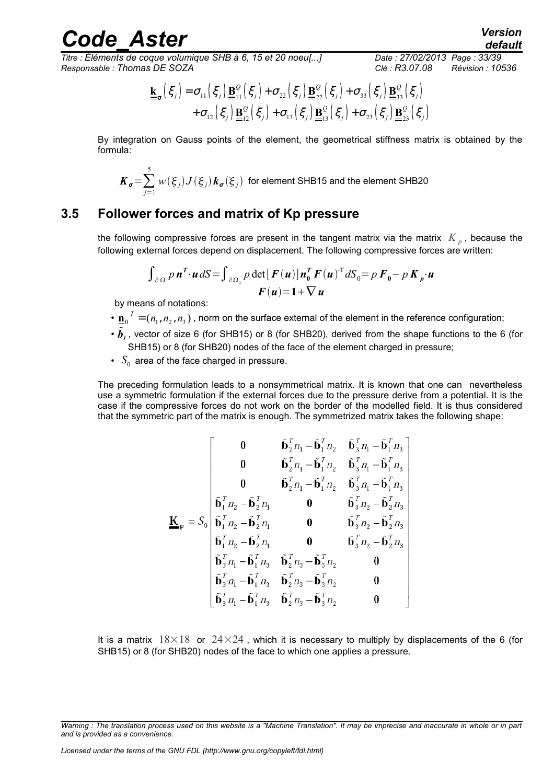*Titre : Éléments de coque volumique SHB à 6, 15 et 20 noeu[...] Date : 27/02/2013 Page : 33/39 Responsable : Thomas DE SOZA Clé : R3.07.08 Révision : 10536*

$$
\underline{\mathbf{k}}_{\sigma}(\xi_j) = \sigma_{11}(\xi_j) \underline{\mathbf{B}}_{11}^{\mathcal{Q}}(\xi_j) + \sigma_{22}(\xi_j) \underline{\mathbf{B}}_{22}^{\mathcal{Q}}(\xi_j) + \sigma_{33}(\xi_j) \underline{\mathbf{B}}_{33}^{\mathcal{Q}}(\xi_j)
$$

$$
+ \sigma_{12}(\xi_j) \underline{\mathbf{B}}_{12}^{\mathcal{Q}}(\xi_j) + \sigma_{13}(\xi_j) \underline{\mathbf{B}}_{13}^{\mathcal{Q}}(\xi_j) + \sigma_{23}(\xi_j) \underline{\mathbf{B}}_{23}^{\mathcal{Q}}(\xi_j)
$$

By integration on Gauss points of the element, the geometrical stiffness matrix is obtained by the formula:

$$
\boldsymbol{K}_{\sigma} = \sum_{j=1}^{5} w(\xi_j) J(\xi_j) \, \boldsymbol{k}_{\sigma}(\xi_j)
$$
 for element SHB15 and the element SHB20

### **3.5 Follower forces and matrix of Kp pressure**

<span id="page-32-0"></span>the following compressive forces are present in the tangent matrix via the matrix *K <sup>p</sup>* , because the following external forces depend on displacement. The following compressive forces are written:

$$
\int_{\partial\Omega} p \, \mathbf{n}^T \cdot \mathbf{u} \, dS = \int_{\partial\Omega_0} p \, \det[\mathbf{F}(\mathbf{u})] \mathbf{n}_0^T \mathbf{F}(\mathbf{u})^T dS_0 = p \, \mathbf{F}_0 - p \, \mathbf{K}_p \cdot \mathbf{u}
$$

$$
\mathbf{F}(\mathbf{u}) = 1 + \nabla \mathbf{u}
$$

by means of notations:

- $\cdot\,$   $\mathbf{n}_0^{\phantom{T}}$  =  $(n_1,n_2,n_3)$  , norm on the surface external of the element in the reference configuration;
- $\cdot\, \tilde b_i$  , vector of size 6 (for SHB15) or 8 (for SHB20), derived from the shape functions to the 6 (for SHB15) or 8 (for SHB20) nodes of the face of the element charged in pressure;
- $\bullet \;\; S_0 \;$  area of the face charged in pressure.

The preceding formulation leads to a nonsymmetrical matrix. It is known that one can nevertheless use a symmetric formulation if the external forces due to the pressure derive from a potential. It is the case if the compressive forces do not work on the border of the modelled field. It is thus considered that the symmetric part of the matrix is enough. The symmetrized matrix takes the following shape:

$$
\underline{\mathbf{K}}_{\mathbf{P}} = S_0 \begin{bmatrix}\n\mathbf{0} & \tilde{\mathbf{b}}_2^T n_1 - \tilde{\mathbf{b}}_1^T n_2 & \tilde{\mathbf{b}}_3^T n_1 - \tilde{\mathbf{b}}_1^T n_3 \\
\mathbf{0} & \tilde{\mathbf{b}}_2^T n_1 - \tilde{\mathbf{b}}_1^T n_2 & \tilde{\mathbf{b}}_3^T n_1 - \tilde{\mathbf{b}}_1^T n_3 \\
\mathbf{0} & \tilde{\mathbf{b}}_2^T n_1 - \tilde{\mathbf{b}}_1^T n_2 & \tilde{\mathbf{b}}_3^T n_1 - \tilde{\mathbf{b}}_1^T n_3 \\
\tilde{\mathbf{b}}_1^T n_2 - \tilde{\mathbf{b}}_2^T n_1 & \mathbf{0} & \tilde{\mathbf{b}}_3^T n_2 - \tilde{\mathbf{b}}_2^T n_3 \\
\tilde{\mathbf{b}}_1^T n_2 - \tilde{\mathbf{b}}_2^T n_1 & \mathbf{0} & \tilde{\mathbf{b}}_3^T n_2 - \tilde{\mathbf{b}}_2^T n_3 \\
\tilde{\mathbf{b}}_1^T n_2 - \tilde{\mathbf{b}}_2^T n_1 & \mathbf{0} & \tilde{\mathbf{b}}_3^T n_2 - \tilde{\mathbf{b}}_2^T n_3 \\
\tilde{\mathbf{b}}_3^T n_1 - \tilde{\mathbf{b}}_1^T n_3 & \tilde{\mathbf{b}}_2^T n_3 - \tilde{\mathbf{b}}_3^T n_2 & \mathbf{0} \\
\tilde{\mathbf{b}}_3^T n_1 - \tilde{\mathbf{b}}_1^T n_3 & \tilde{\mathbf{b}}_2^T n_3 - \tilde{\mathbf{b}}_3^T n_2 & \mathbf{0} \\
\tilde{\mathbf{b}}_3^T n_1 - \tilde{\mathbf{b}}_1^T n_3 & \tilde{\mathbf{b}}_2^T n_3 - \tilde{\mathbf{b}}_3^T n_2 & \mathbf{0}\n\end{bmatrix}
$$

It is a matrix  $18\times18$  or  $24\times24$ , which it is necessary to multiply by displacements of the 6 (for SHB15) or 8 (for SHB20) nodes of the face to which one applies a pressure.

*Warning : The translation process used on this website is a "Machine Translation". It may be imprecise and inaccurate in whole or in part and is provided as a convenience.*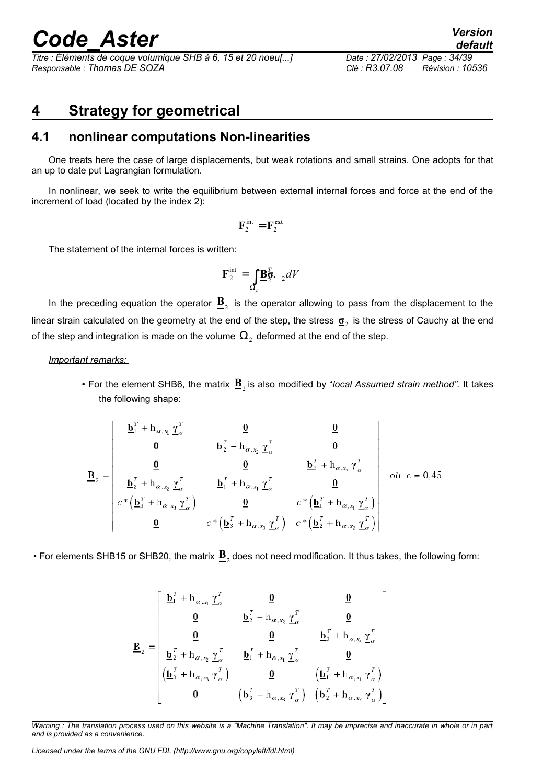*Titre : Éléments de coque volumique SHB à 6, 15 et 20 noeu[...] Date : 27/02/2013 Page : 34/39 Responsable : Thomas DE SOZA Clé : R3.07.08 Révision : 10536*

### <span id="page-33-1"></span>**4 Strategy for geometrical**

#### <span id="page-33-0"></span>**4.1 nonlinear computations Non-linearities**

One treats here the case of large displacements, but weak rotations and small strains. One adopts for that an up to date put Lagrangian formulation.

In nonlinear, we seek to write the equilibrium between external internal forces and force at the end of the increment of load (located by the index 2):

$$
\mathbf{F}_2^{\text{int}} = \mathbf{F}_2^{\text{ext}}
$$

The statement of the internal forces is written:

$$
\underline{\mathbf{F}}_2^{\text{int}} = \int_{\Omega_2} \underline{\mathbf{B}}_2^T \underline{\mathbf{J}}_{-2} dV
$$

In the preceding equation the operator  $\underline{\mathbf{B}}_2$  is the operator allowing to pass from the displacement to the linear strain calculated on the geometry at the end of the step, the stress  $\bm{\sigma}_2$  is the stress of Cauchy at the end of the step and integration is made on the volume  $\Omega_{\scriptscriptstyle 2}$  deformed at the end of the step.

*Important remarks:* 

 $\bullet$  For the element SHB6, the matrix  $\underline{\mathbf{B}}_2$  is also modified by "*local Assumed strain method".* It takes the following shape:

$$
\underline{\mathbf{B}}_{2} = \begin{bmatrix}\n\frac{\mathbf{b}_{1}^{T} + \mathbf{h}_{\alpha,x_{1}} \gamma_{\alpha}^{T}}{\mathbf{0}} & \frac{\mathbf{0}}{\mathbf{0}} & \frac{\mathbf{0}}{\mathbf{0}} \\
\frac{\mathbf{0}}{\mathbf{0}} & \frac{\mathbf{b}_{2}^{T} + \mathbf{h}_{\alpha,x_{2}} \gamma_{\alpha}^{T}}{\mathbf{0}} & \frac{\mathbf{0}}{\mathbf{0}} \\
\frac{\mathbf{b}_{2}^{T} + \mathbf{h}_{\alpha,x_{2}} \gamma_{\alpha}^{T}}{\mathbf{0}} & \frac{\mathbf{b}_{3}^{T} + \mathbf{h}_{\alpha,x_{3}} \gamma_{\alpha}^{T}}{\mathbf{0}} & \frac{\mathbf{0}}{\mathbf{0}} \\
c^{*}(\underline{\mathbf{b}}_{3}^{T} + \mathbf{h}_{\alpha,x_{3}} \gamma_{\alpha}^{T}) & \frac{\mathbf{0}}{\mathbf{0}} & c^{*}(\underline{\mathbf{b}}_{1}^{T} + \mathbf{h}_{\alpha,x_{1}} \gamma_{\alpha}^{T}) \\
\frac{\mathbf{0}}{\mathbf{0}} & c^{*}(\underline{\mathbf{b}}_{2}^{T} + \mathbf{h}_{\alpha,x_{2}} \gamma_{\alpha}^{T}) & c^{*}(\underline{\mathbf{b}}_{2}^{T} + \mathbf{h}_{\alpha,x_{2}} \gamma_{\alpha}^{T})\n\end{bmatrix}
$$

 $\bullet$  For elements SHB15 or SHB20, the matrix  $\mathbf{\underline{B}}_2$  does not need modification. It thus takes, the following form:

$$
\underline{\underline{\mathbf{B}}}_{2} = \begin{bmatrix}\n\underline{\mathbf{b}}_{1}^{T} + \mathbf{h}_{\alpha,x_{1}} \underline{\gamma}_{\alpha}^{T} & \underline{\underline{\mathbf{0}}} & \underline{\underline{\mathbf{0}}} & \underline{\underline{\mathbf{0}}} \\
\underline{\underline{\mathbf{0}}} & \underline{\mathbf{b}}_{2}^{T} + \mathbf{h}_{\alpha,x_{2}} \underline{\gamma}_{\alpha}^{T} & \underline{\underline{\mathbf{0}}} \\
\underline{\underline{\mathbf{0}}} & \underline{\underline{\mathbf{0}}} & \underline{\underline{\mathbf{b}}}_{3}^{T} + \mathbf{h}_{\alpha,x_{3}} \underline{\gamma}_{\alpha}^{T} \\
\underline{\underline{\mathbf{b}}}_{2}^{T} + \mathbf{h}_{\alpha,x_{2}} \underline{\gamma}_{\alpha}^{T} & \underline{\underline{\mathbf{b}}}_{1}^{T} + \mathbf{h}_{\alpha,x_{1}} \underline{\gamma}_{\alpha}^{T} & \underline{\underline{\mathbf{0}}} \\
(\underline{\underline{\mathbf{b}}}_{3}^{T} + \mathbf{h}_{\alpha,x_{3}} \underline{\gamma}_{\alpha}^{T}) & \underline{\underline{\mathbf{0}}} & (\underline{\underline{\mathbf{b}}}_{1}^{T} + \mathbf{h}_{\alpha,x_{1}} \underline{\gamma}_{\alpha}^{T}) \\
\underline{\underline{\mathbf{0}}} & (\underline{\underline{\mathbf{b}}}_{3}^{T} + \mathbf{h}_{\alpha,x_{2}} \underline{\gamma}_{\alpha}^{T}) & (\underline{\underline{\mathbf{b}}}_{2}^{T} + \mathbf{h}_{\alpha,x_{2}} \underline{\gamma}_{\alpha}^{T})\n\end{bmatrix}
$$

*Licensed under the terms of the GNU FDL (http://www.gnu.org/copyleft/fdl.html)*

*Warning : The translation process used on this website is a "Machine Translation". It may be imprecise and inaccurate in whole or in part and is provided as a convenience.*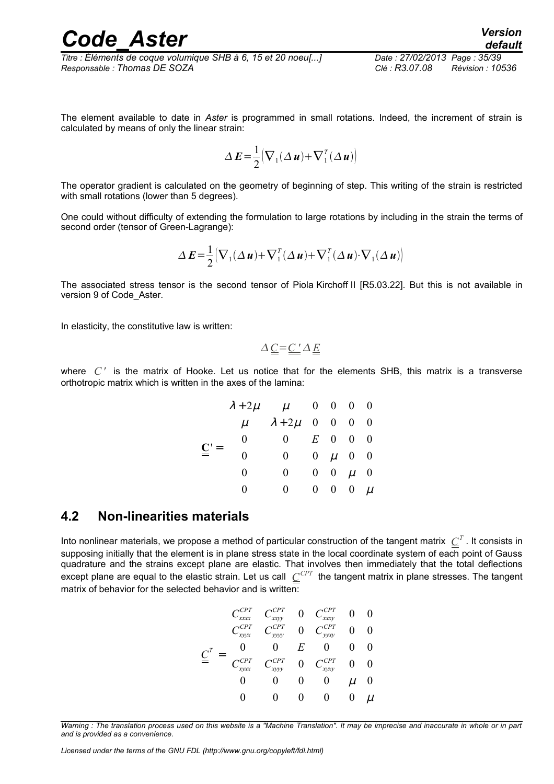The element available to date in *Aster* is programmed in small rotations. Indeed, the increment of strain is calculated by means of only the linear strain:

$$
\Delta \mathbf{E} = \frac{1}{2} \big( \nabla_1 (\Delta \mathbf{u}) + \nabla_1^T (\Delta \mathbf{u}) \big)
$$

The operator gradient is calculated on the geometry of beginning of step. This writing of the strain is restricted with small rotations (lower than 5 degrees).

One could without difficulty of extending the formulation to large rotations by including in the strain the terms of second order (tensor of Green-Lagrange):

$$
\Delta \boldsymbol{E} = \frac{1}{2} \big| \nabla_1 (\Delta \boldsymbol{u}) + \nabla_1^T (\Delta \boldsymbol{u}) + \nabla_1^T (\Delta \boldsymbol{u}) \cdot \nabla_1 (\Delta \boldsymbol{u}) \big|
$$

The associated stress tensor is the second tensor of Piola Kirchoff II [R5.03.22]. But this is not available in version 9 of Code\_Aster.

In elasticity, the constitutive law is written:

$$
\Delta \underline{\underline{C}} = \underline{\underline{C}}' \Delta \underline{\underline{E}}
$$

where C' is the matrix of Hooke. Let us notice that for the elements SHB, this matrix is a transverse orthotropic matrix which is written in the axes of the lamina:

| $\underline{\mathbf{C}}$ ' = |                                                                                                                                                                                                                            |  |  |
|------------------------------|----------------------------------------------------------------------------------------------------------------------------------------------------------------------------------------------------------------------------|--|--|
|                              |                                                                                                                                                                                                                            |  |  |
|                              |                                                                                                                                                                                                                            |  |  |
|                              | $\left[ \begin{matrix} \lambda+2\mu & \mu & 0 & 0 & 0 & 0 \ \mu & \lambda+2\mu & 0 & 0 & 0 & 0 \ 0 & 0 & E & 0 & 0 & 0 \ 0 & 0 & 0 & \mu & 0 & 0 \ 0 & 0 & 0 & 0 & \mu & 0 \ 0 & 0 & 0 & 0 & 0 & \mu \end{matrix} \right]$ |  |  |

#### <span id="page-34-0"></span>**4.2 Non-linearities materials**

Into nonlinear materials, we propose a method of particular construction of the tangent matrix  $\mathcal{L}^T$  . It consists in supposing initially that the element is in plane stress state in the local coordinate system of each point of Gauss quadrature and the strains except plane are elastic. That involves then immediately that the total deflections except plane are equal to the elastic strain. Let us call  $\ \underline{C}^{CPT}$  the tangent matrix in plane stresses. The tangent matrix of behavior for the selected behavior and is written:

$$
\underline{C}^{T} = \begin{bmatrix} C_{xxxx}^{CPT} & C_{xxyy}^{CPT} & 0 & C_{xxyy}^{CPT} & 0 & 0 \\ C_{xyyx}^{CPT} & C_{yyyy}^{CPT} & 0 & C_{yyxy}^{CPT} & 0 & 0 \\ 0 & 0 & E & 0 & 0 & 0 \\ C_{xyxx}^{CPT} & C_{xyyy}^{CPT} & 0 & C_{xyxy}^{CPT} & 0 & 0 \\ 0 & 0 & 0 & 0 & \mu & 0 \\ 0 & 0 & 0 & 0 & 0 & \mu \end{bmatrix}
$$

*Warning : The translation process used on this website is a "Machine Translation". It may be imprecise and inaccurate in whole or in part and is provided as a convenience.*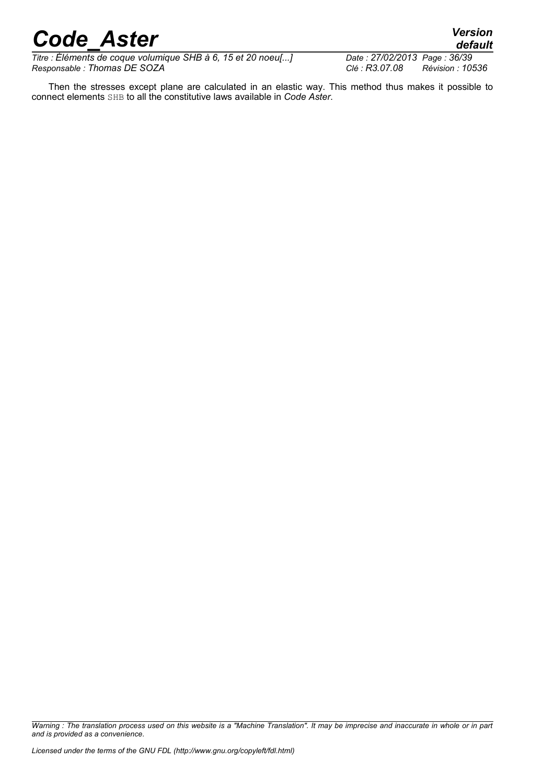*Titre : Éléments de coque volumique SHB à 6, 15 et 20 noeu[...] Responsable : Thomas DE SOZA Clé : R3.07.08 Révision : 10536*

*default*

Then the stresses except plane are calculated in an elastic way. This method thus makes it possible to connect elements SHB to all the constitutive laws available in *Code Aster*.

*Warning : The translation process used on this website is a "Machine Translation". It may be imprecise and inaccurate in whole or in part and is provided as a convenience.*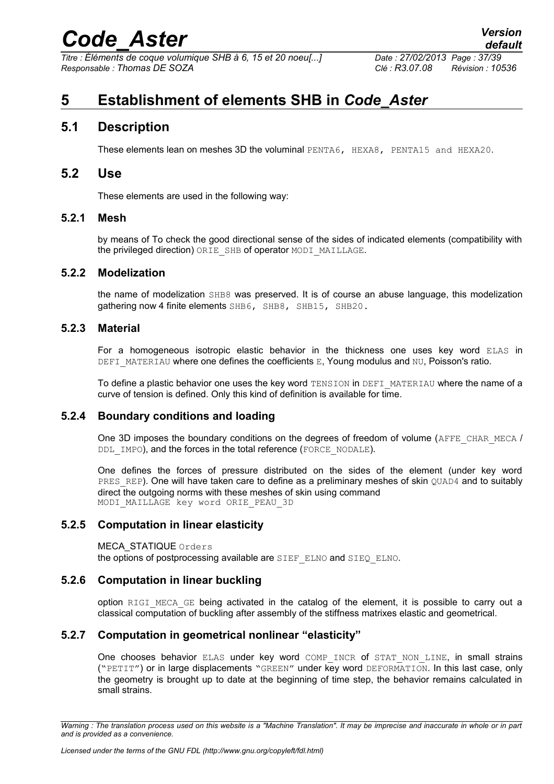*Titre : Éléments de coque volumique SHB à 6, 15 et 20 noeu[...] Date : 27/02/2013 Page : 37/39 Responsable : Thomas DE SOZA Clé : R3.07.08 Révision : 10536*

*default*<br>Date : 27/02/2013 Page : 37/39

### <span id="page-36-9"></span>**5 Establishment of elements SHB in** *Code\_Aster*

#### **5.1 Description**

<span id="page-36-8"></span><span id="page-36-7"></span>These elements lean on meshes 3D the voluminal PENTA6, HEXA8, PENTA15 and HEXA20.

#### **5.2 Use**

<span id="page-36-6"></span>These elements are used in the following way:

#### **5.2.1 Mesh**

by means of To check the good directional sense of the sides of indicated elements (compatibility with the privileged direction) ORIE\_SHB of operator MODI\_MAILLAGE.

#### **5.2.2 Modelization**

<span id="page-36-5"></span>the name of modelization SHB8 was preserved. It is of course an abuse language, this modelization gathering now 4 finite elements SHB6, SHB8, SHB15, SHB20.

#### **5.2.3 Material**

<span id="page-36-4"></span>For a homogeneous isotropic elastic behavior in the thickness one uses key word ELAS in DEFI\_MATERIAU where one defines the coefficients E, Young modulus and NU, Poisson's ratio.

To define a plastic behavior one uses the key word TENSION in DEFI\_MATERIAU where the name of a curve of tension is defined. Only this kind of definition is available for time.

#### **5.2.4 Boundary conditions and loading**

<span id="page-36-3"></span>One 3D imposes the boundary conditions on the degrees of freedom of volume (AFFE\_CHAR\_MECA / DDL IMPO), and the forces in the total reference (FORCE\_NODALE).

One defines the forces of pressure distributed on the sides of the element (under key word PRES REP). One will have taken care to define as a preliminary meshes of skin QUAD4 and to suitably direct the outgoing norms with these meshes of skin using command MODI\_MAILLAGE key word ORIE\_PEAU\_3D

#### **5.2.5 Computation in linear elasticity**

<span id="page-36-2"></span>MECA STATIQUE Orders the options of postprocessing available are SIEF\_ELNO and SIEQ\_ELNO.

#### **5.2.6 Computation in linear buckling**

<span id="page-36-1"></span>option RIGI MECA GE being activated in the catalog of the element, it is possible to carry out a classical computation of buckling after assembly of the stiffness matrixes elastic and geometrical.

#### **5.2.7 Computation in geometrical nonlinear "elasticity"**

<span id="page-36-0"></span>One chooses behavior ELAS under key word COMP\_INCR of STAT\_NON\_LINE, in small strains ("PETIT") or in large displacements "GREEN" under key word DEFORMATION. In this last case, only the geometry is brought up to date at the beginning of time step, the behavior remains calculated in small strains.

*Warning : The translation process used on this website is a "Machine Translation". It may be imprecise and inaccurate in whole or in part and is provided as a convenience.*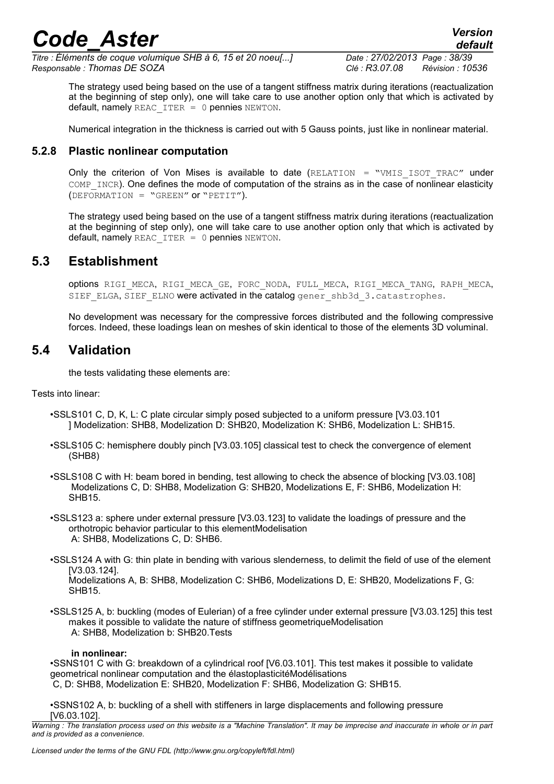*Titre : Éléments de coque volumique SHB à 6, 15 et 20 noeu[...] Date : 27/02/2013 Page : 38/39 Responsable : Thomas DE SOZA Clé : R3.07.08 Révision : 10536*

*default*

The strategy used being based on the use of a tangent stiffness matrix during iterations (reactualization at the beginning of step only), one will take care to use another option only that which is activated by default, namely REAC ITER =  $0$  pennies NEWTON.

<span id="page-37-2"></span>Numerical integration in the thickness is carried out with 5 Gauss points, just like in nonlinear material.

#### **5.2.8 Plastic nonlinear computation**

Only the criterion of Von Mises is available to date  $(RELATION = "VMIS ISOT TRAC" under)$ COMP\_INCR). One defines the mode of computation of the strains as in the case of nonlinear elasticity (DEFORMATION = "GREEN" or "PETIT").

The strategy used being based on the use of a tangent stiffness matrix during iterations (reactualization at the beginning of step only), one will take care to use another option only that which is activated by default, namely REAC ITER =  $0$  pennies NEWTON.

#### **5.3 Establishment**

<span id="page-37-1"></span>options RIGI\_MECA, RIGI\_MECA\_GE, FORC\_NODA, FULL\_MECA, RIGI\_MECA\_TANG, RAPH\_MECA, SIEF ELGA, SIEF ELNO were activated in the catalog gener shb3d 3.catastrophes.

No development was necessary for the compressive forces distributed and the following compressive forces. Indeed, these loadings lean on meshes of skin identical to those of the elements 3D voluminal.

#### **5.4 Validation**

<span id="page-37-0"></span>the tests validating these elements are:

Tests into linear:

- •SSLS101 C, D, K, L: C plate circular simply posed subjected to a uniform pressure [V3.03.101 ] Modelization: SHB8, Modelization D: SHB20, Modelization K: SHB6, Modelization L: SHB15.
- •SSLS105 C: hemisphere doubly pinch [V3.03.105] classical test to check the convergence of element (SHB8)
- •SSLS108 C with H: beam bored in bending, test allowing to check the absence of blocking [V3.03.108] Modelizations C, D: SHB8, Modelization G: SHB20, Modelizations E, F: SHB6, Modelization H: SHR<sub>15</sub>
- •SSLS123 a: sphere under external pressure [V3.03.123] to validate the loadings of pressure and the orthotropic behavior particular to this elementModelisation A: SHB8, Modelizations C, D: SHB6.
- •SSLS124 A with G: thin plate in bending with various slenderness, to delimit the field of use of the element [V3.03.124].

Modelizations A, B: SHB8, Modelization C: SHB6, Modelizations D, E: SHB20, Modelizations F, G: SHB15.

•SSLS125 A, b: buckling (modes of Eulerian) of a free cylinder under external pressure [V3.03.125] this test makes it possible to validate the nature of stiffness geometriqueModelisation A: SHB8, Modelization b: SHB20.Tests

 **in nonlinear:**

•SSNS101 C with G: breakdown of a cylindrical roof [V6.03.101]. This test makes it possible to validate geometrical nonlinear computation and the élastoplasticitéModélisations C, D: SHB8, Modelization E: SHB20, Modelization F: SHB6, Modelization G: SHB15.

•SSNS102 A, b: buckling of a shell with stiffeners in large displacements and following pressure [V6.03.102].

*Warning : The translation process used on this website is a "Machine Translation". It may be imprecise and inaccurate in whole or in part and is provided as a convenience.*